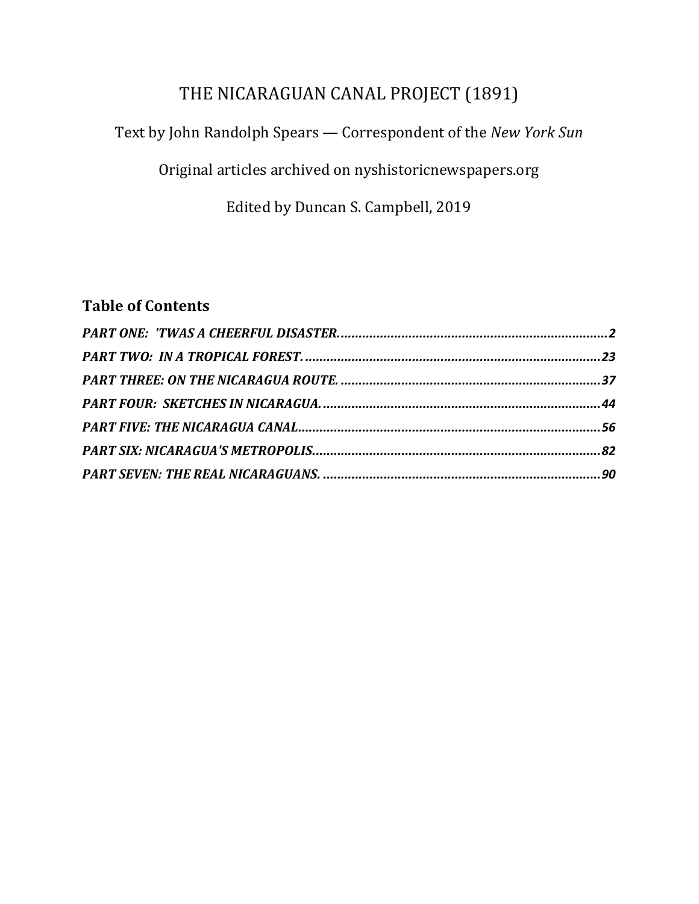# THE NICARAGUAN CANAL PROJECT (1891)

### Text by John Randolph Spears - Correspondent of the *New York Sun*

Original articles archived on nyshistoricnewspapers.org

Edited by Duncan S. Campbell, 2019

# **Table of Contents**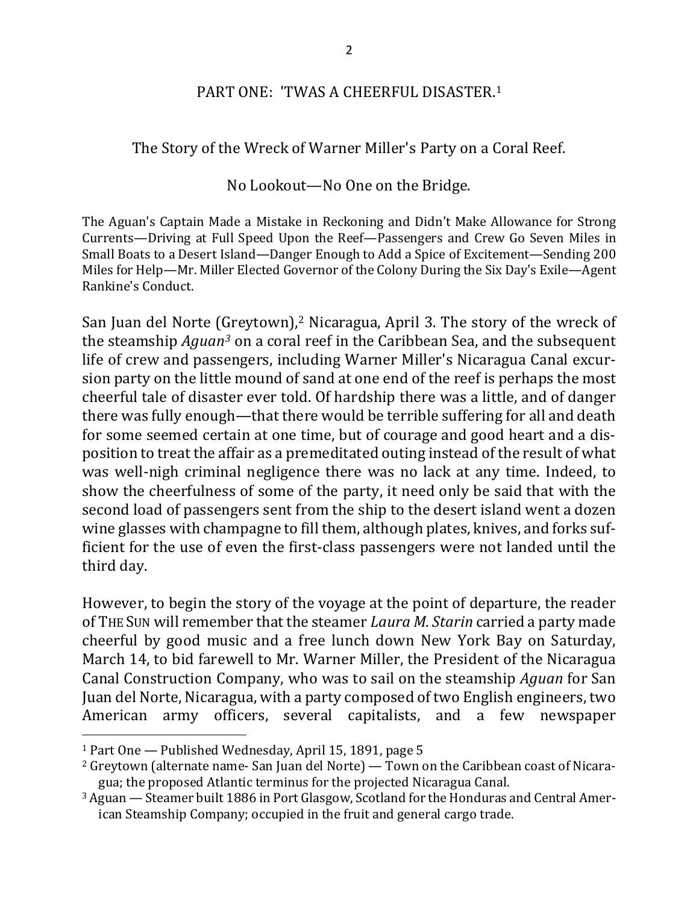#### PART ONE: 'TWAS A CHEERFUL DISASTER.<sup>1</sup>

The Story of the Wreck of Warner Miller's Party on a Coral Reef.

No Lookout—No One on the Bridge.

The Aguan's Captain Made a Mistake in Reckoning and Didn't Make Allowance for Strong Currents—Driving at Full Speed Upon the Reef—Passengers and Crew Go Seven Miles in Small Boats to a Desert Island—Danger Enough to Add a Spice of Excitement—Sending 200 Miles for Help—Mr. Miller Elected Governor of the Colony During the Six Day's Exile—Agent Rankine's Conduct.

San Juan del Norte (Greytown),<sup>2</sup> Nicaragua, April 3. The story of the wreck of the steamship *Aguan<sup>3</sup>* on a coral reef in the Caribbean Sea, and the subsequent life of crew and passengers, including Warner Miller's Nicaragua Canal excursion party on the little mound of sand at one end of the reef is perhaps the most cheerful tale of disaster ever told. Of hardship there was a little, and of danger there was fully enough—that there would be terrible suffering for all and death for some seemed certain at one time, but of courage and good heart and a disposition to treat the affair as a premeditated outing instead of the result of what was well-nigh criminal negligence there was no lack at any time. Indeed, to show the cheerfulness of some of the party, it need only be said that with the second load of passengers sent from the ship to the desert island went a dozen wine glasses with champagne to fill them, although plates, knives, and forks sufficient for the use of even the first-class passengers were not landed until the third day.

However, to begin the story of the voyage at the point of departure, the reader of THE SUN will remember that the steamer *Laura M. Starin* carried a party made cheerful by good music and a free lunch down New York Bay on Saturday, March 14, to bid farewell to Mr. Warner Miller, the President of the Nicaragua Canal Construction Company, who was to sail on the steamship *Aquan* for San Juan del Norte, Nicaragua, with a party composed of two English engineers, two American army officers, several capitalists, and a few newspaper

 $1$  Part One  $-$  Published Wednesday, April 15, 1891, page 5

 $2$  Greytown (alternate name- San Juan del Norte) — Town on the Caribbean coast of Nicaragua; the proposed Atlantic terminus for the projected Nicaragua Canal.

<sup>&</sup>lt;sup>3</sup> Aguan — Steamer built 1886 in Port Glasgow, Scotland for the Honduras and Central American Steamship Company; occupied in the fruit and general cargo trade.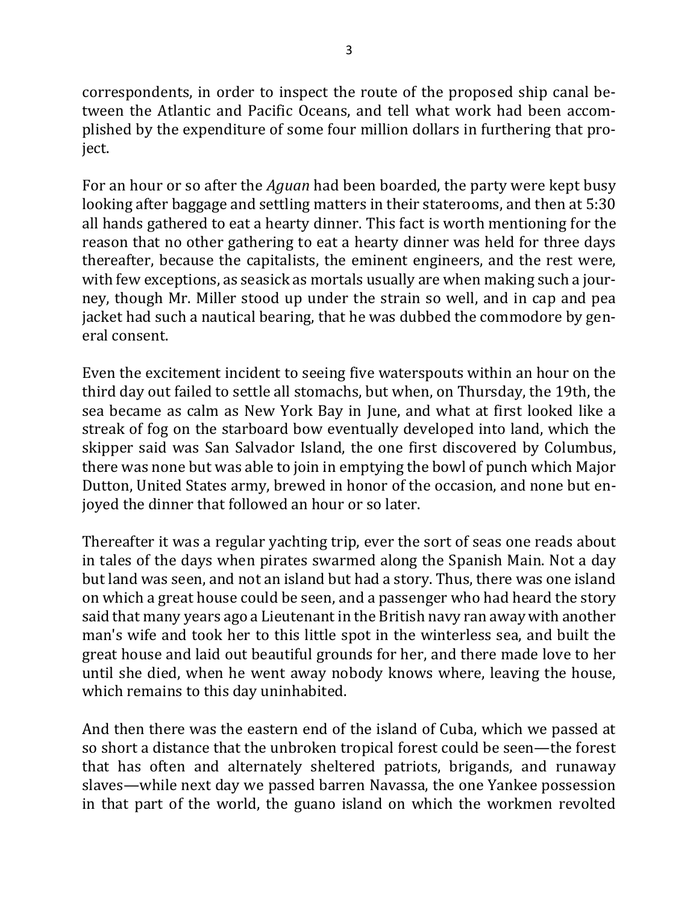correspondents, in order to inspect the route of the proposed ship canal between the Atlantic and Pacific Oceans, and tell what work had been accomplished by the expenditure of some four million dollars in furthering that project.

For an hour or so after the *Aguan* had been boarded, the party were kept busy looking after baggage and settling matters in their staterooms, and then at 5:30 all hands gathered to eat a hearty dinner. This fact is worth mentioning for the reason that no other gathering to eat a hearty dinner was held for three days thereafter, because the capitalists, the eminent engineers, and the rest were, with few exceptions, as seasick as mortals usually are when making such a journey, though Mr. Miller stood up under the strain so well, and in cap and pea jacket had such a nautical bearing, that he was dubbed the commodore by general consent.

Even the excitement incident to seeing five waterspouts within an hour on the third day out failed to settle all stomachs, but when, on Thursday, the 19th, the sea became as calm as New York Bay in June, and what at first looked like a streak of fog on the starboard bow eventually developed into land, which the skipper said was San Salvador Island, the one first discovered by Columbus, there was none but was able to join in emptying the bowl of punch which Major Dutton, United States army, brewed in honor of the occasion, and none but enjoyed the dinner that followed an hour or so later.

Thereafter it was a regular yachting trip, ever the sort of seas one reads about in tales of the days when pirates swarmed along the Spanish Main. Not a day but land was seen, and not an island but had a story. Thus, there was one island on which a great house could be seen, and a passenger who had heard the story said that many years ago a Lieutenant in the British navy ran away with another man's wife and took her to this little spot in the winterless sea, and built the great house and laid out beautiful grounds for her, and there made love to her until she died, when he went away nobody knows where, leaving the house, which remains to this day uninhabited.

And then there was the eastern end of the island of Cuba, which we passed at so short a distance that the unbroken tropical forest could be seen—the forest that has often and alternately sheltered patriots, brigands, and runaway slaves—while next day we passed barren Navassa, the one Yankee possession in that part of the world, the guano island on which the workmen revolted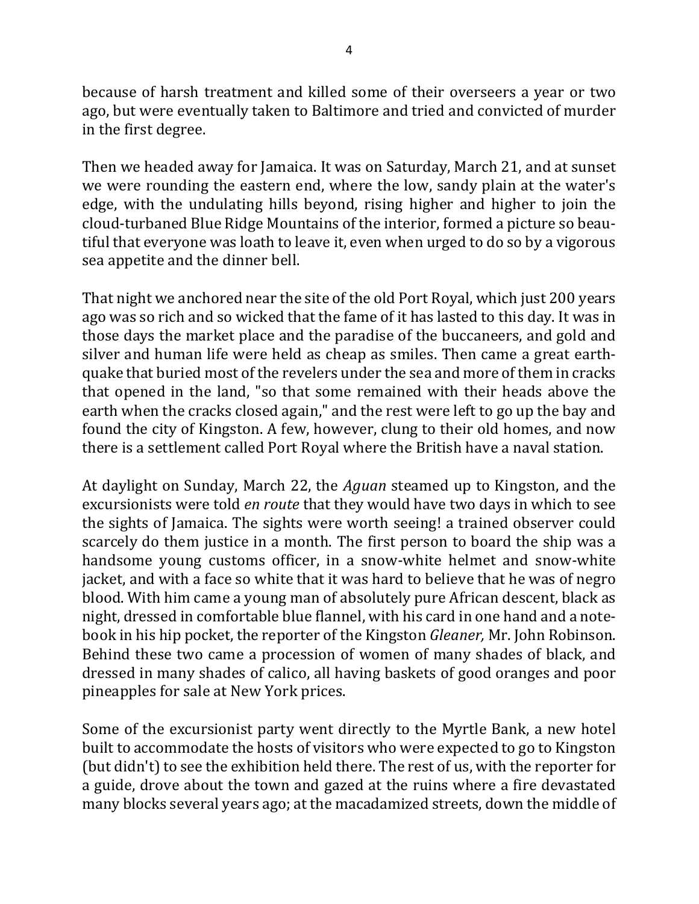because of harsh treatment and killed some of their overseers a year or two ago, but were eventually taken to Baltimore and tried and convicted of murder in the first degree.

Then we headed away for Jamaica. It was on Saturday, March 21, and at sunset we were rounding the eastern end, where the low, sandy plain at the water's edge, with the undulating hills beyond, rising higher and higher to join the cloud-turbaned Blue Ridge Mountains of the interior, formed a picture so beautiful that everyone was loath to leave it, even when urged to do so by a vigorous sea appetite and the dinner bell.

That night we anchored near the site of the old Port Royal, which just 200 years ago was so rich and so wicked that the fame of it has lasted to this day. It was in those days the market place and the paradise of the buccaneers, and gold and silver and human life were held as cheap as smiles. Then came a great earthquake that buried most of the revelers under the sea and more of them in cracks that opened in the land, "so that some remained with their heads above the earth when the cracks closed again," and the rest were left to go up the bay and found the city of Kingston. A few, however, clung to their old homes, and now there is a settlement called Port Royal where the British have a naval station.

At daylight on Sunday, March 22, the *Aguan* steamed up to Kingston, and the excursionists were told *en route* that they would have two days in which to see the sights of Jamaica. The sights were worth seeing! a trained observer could scarcely do them justice in a month. The first person to board the ship was a handsome young customs officer, in a snow-white helmet and snow-white jacket, and with a face so white that it was hard to believe that he was of negro blood. With him came a young man of absolutely pure African descent, black as night, dressed in comfortable blue flannel, with his card in one hand and a notebook in his hip pocket, the reporter of the Kingston *Gleaner*, Mr. John Robinson. Behind these two came a procession of women of many shades of black, and dressed in many shades of calico, all having baskets of good oranges and poor pineapples for sale at New York prices.

Some of the excursionist party went directly to the Myrtle Bank, a new hotel built to accommodate the hosts of visitors who were expected to go to Kingston (but didn't) to see the exhibition held there. The rest of us, with the reporter for a guide, drove about the town and gazed at the ruins where a fire devastated many blocks several years ago; at the macadamized streets, down the middle of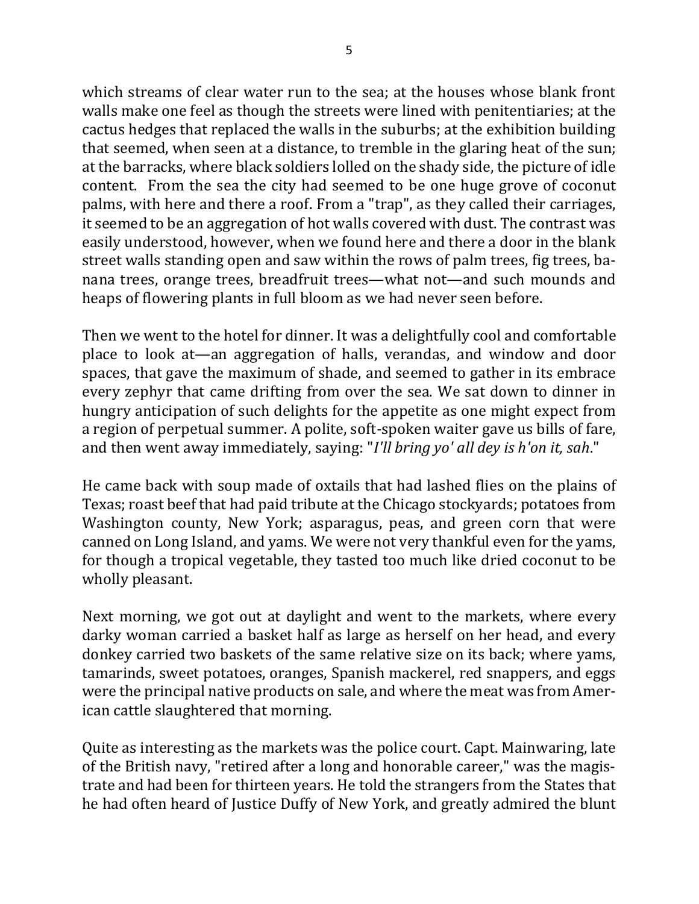which streams of clear water run to the sea; at the houses whose blank front walls make one feel as though the streets were lined with penitentiaries; at the cactus hedges that replaced the walls in the suburbs; at the exhibition building that seemed, when seen at a distance, to tremble in the glaring heat of the sun; at the barracks, where black soldiers lolled on the shady side, the picture of idle content. From the sea the city had seemed to be one huge grove of coconut palms, with here and there a roof. From a "trap", as they called their carriages, it seemed to be an aggregation of hot walls covered with dust. The contrast was easily understood, however, when we found here and there a door in the blank street walls standing open and saw within the rows of palm trees, fig trees, banana trees, orange trees, breadfruit trees—what not—and such mounds and heaps of flowering plants in full bloom as we had never seen before.

Then we went to the hotel for dinner. It was a delightfully cool and comfortable place to look at—an aggregation of halls, verandas, and window and door spaces, that gave the maximum of shade, and seemed to gather in its embrace every zephyr that came drifting from over the sea. We sat down to dinner in hungry anticipation of such delights for the appetite as one might expect from a region of perpetual summer. A polite, soft-spoken waiter gave us bills of fare, and then went away immediately, saying: "*I'll bring yo' all dey is h'on it, sah*."

He came back with soup made of oxtails that had lashed flies on the plains of Texas; roast beef that had paid tribute at the Chicago stockyards; potatoes from Washington county, New York; asparagus, peas, and green corn that were canned on Long Island, and yams. We were not very thankful even for the yams, for though a tropical vegetable, they tasted too much like dried coconut to be wholly pleasant.

Next morning, we got out at daylight and went to the markets, where every darky woman carried a basket half as large as herself on her head, and every donkey carried two baskets of the same relative size on its back; where yams, tamarinds, sweet potatoes, oranges, Spanish mackerel, red snappers, and eggs were the principal native products on sale, and where the meat was from American cattle slaughtered that morning.

Quite as interesting as the markets was the police court. Capt. Mainwaring, late of the British navy, "retired after a long and honorable career," was the magistrate and had been for thirteen years. He told the strangers from the States that he had often heard of Justice Duffy of New York, and greatly admired the blunt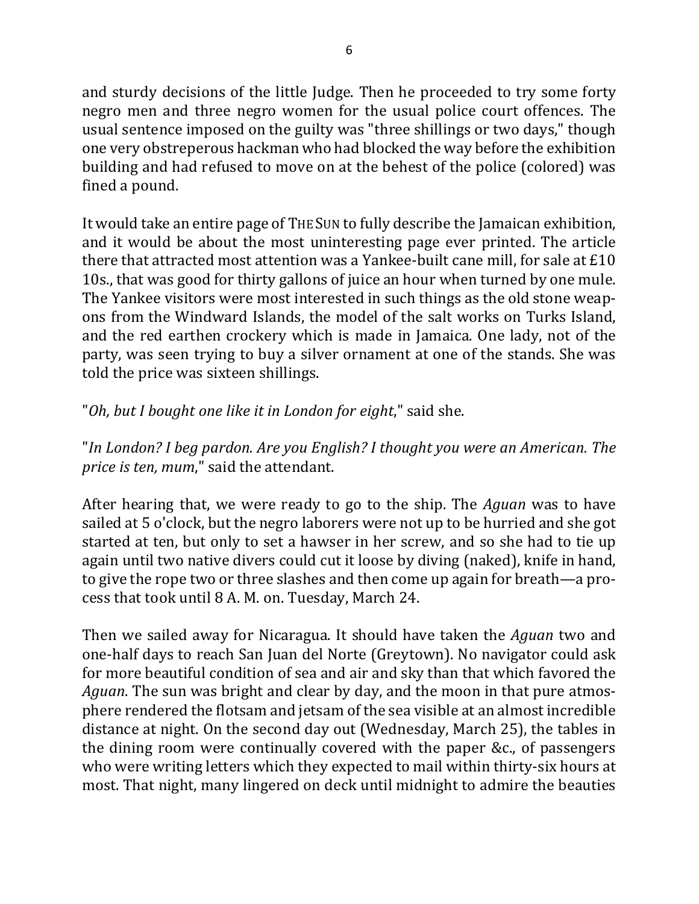and sturdy decisions of the little Judge. Then he proceeded to try some forty negro men and three negro women for the usual police court offences. The usual sentence imposed on the guilty was "three shillings or two days," though one very obstreperous hackman who had blocked the way before the exhibition building and had refused to move on at the behest of the police (colored) was fined a pound.

It would take an entire page of THE SUN to fully describe the Jamaican exhibition, and it would be about the most uninteresting page ever printed. The article there that attracted most attention was a Yankee-built cane mill, for sale at  $£10$ 10s., that was good for thirty gallons of juice an hour when turned by one mule. The Yankee visitors were most interested in such things as the old stone weapons from the Windward Islands, the model of the salt works on Turks Island, and the red earthen crockery which is made in Jamaica. One lady, not of the party, was seen trying to buy a silver ornament at one of the stands. She was told the price was sixteen shillings.

"Oh, but I bought one like it in London for eight," said she.

"In London? I beg pardon. Are you English? I thought you were an American. The *price is ten, mum*," said the attendant.

After hearing that, we were ready to go to the ship. The *Aguan* was to have sailed at 5 o'clock, but the negro laborers were not up to be hurried and she got started at ten, but only to set a hawser in her screw, and so she had to tie up again until two native divers could cut it loose by diving (naked), knife in hand, to give the rope two or three slashes and then come up again for breath—a process that took until 8 A. M. on. Tuesday, March 24.

Then we sailed away for Nicaragua. It should have taken the *Aguan* two and one-half days to reach San Juan del Norte (Greytown). No navigator could ask for more beautiful condition of sea and air and sky than that which favored the *Aguan*. The sun was bright and clear by day, and the moon in that pure atmosphere rendered the flotsam and jetsam of the sea visible at an almost incredible distance at night. On the second day out (Wednesday, March 25), the tables in the dining room were continually covered with the paper &c., of passengers who were writing letters which they expected to mail within thirty-six hours at most. That night, many lingered on deck until midnight to admire the beauties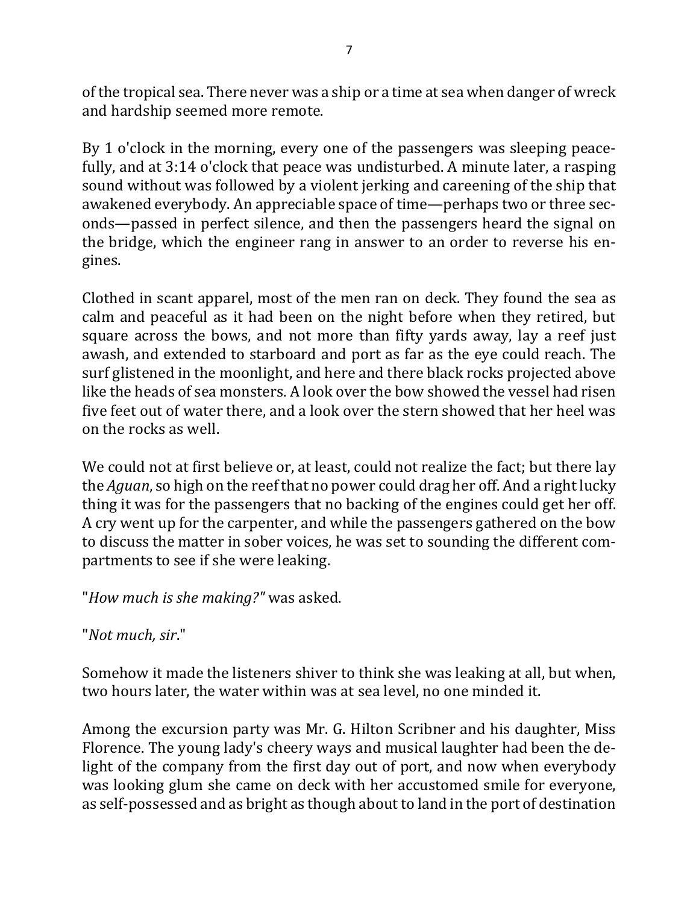of the tropical sea. There never was a ship or a time at sea when danger of wreck and hardship seemed more remote.

By 1 o'clock in the morning, every one of the passengers was sleeping peacefully, and at 3:14 o'clock that peace was undisturbed. A minute later, a rasping sound without was followed by a violent jerking and careening of the ship that awakened everybody. An appreciable space of time—perhaps two or three seconds—passed in perfect silence, and then the passengers heard the signal on the bridge, which the engineer rang in answer to an order to reverse his engines.

Clothed in scant apparel, most of the men ran on deck. They found the sea as calm and peaceful as it had been on the night before when they retired, but square across the bows, and not more than fifty yards away, lay a reef just awash, and extended to starboard and port as far as the eye could reach. The surf glistened in the moonlight, and here and there black rocks projected above like the heads of sea monsters. A look over the bow showed the vessel had risen five feet out of water there, and a look over the stern showed that her heel was on the rocks as well.

We could not at first believe or, at least, could not realize the fact; but there lay the *Aguan*, so high on the reef that no power could drag her off. And a right lucky thing it was for the passengers that no backing of the engines could get her off. A cry went up for the carpenter, and while the passengers gathered on the bow to discuss the matter in sober voices, he was set to sounding the different compartments to see if she were leaking.

"*How much is she making?"* was asked.

"*Not much, sir*."

Somehow it made the listeners shiver to think she was leaking at all, but when, two hours later, the water within was at sea level, no one minded it.

Among the excursion party was Mr. G. Hilton Scribner and his daughter, Miss Florence. The young lady's cheery ways and musical laughter had been the delight of the company from the first day out of port, and now when everybody was looking glum she came on deck with her accustomed smile for everyone, as self-possessed and as bright as though about to land in the port of destination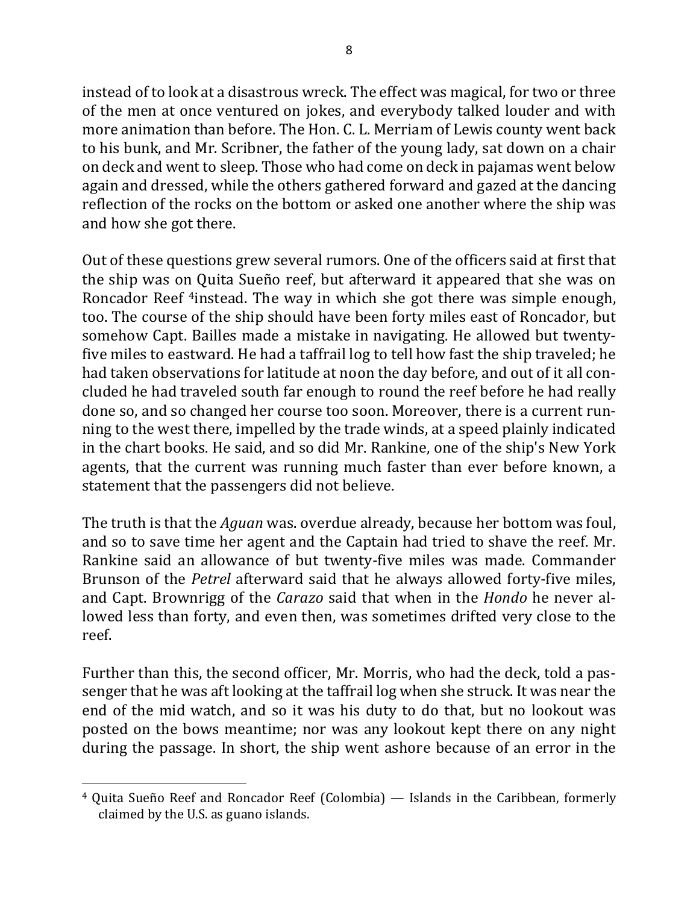instead of to look at a disastrous wreck. The effect was magical, for two or three of the men at once ventured on jokes, and everybody talked louder and with more animation than before. The Hon. C. L. Merriam of Lewis county went back to his bunk, and Mr. Scribner, the father of the young lady, sat down on a chair on deck and went to sleep. Those who had come on deck in pajamas went below again and dressed, while the others gathered forward and gazed at the dancing reflection of the rocks on the bottom or asked one another where the ship was and how she got there.

Out of these questions grew several rumors. One of the officers said at first that the ship was on Quita Sueño reef, but afterward it appeared that she was on Roncador Reef <sup>4</sup>instead. The way in which she got there was simple enough, too. The course of the ship should have been forty miles east of Roncador, but somehow Capt. Bailles made a mistake in navigating. He allowed but twentyfive miles to eastward. He had a taffrail log to tell how fast the ship traveled; he had taken observations for latitude at noon the day before, and out of it all concluded he had traveled south far enough to round the reef before he had really done so, and so changed her course too soon. Moreover, there is a current running to the west there, impelled by the trade winds, at a speed plainly indicated in the chart books. He said, and so did Mr. Rankine, one of the ship's New York agents, that the current was running much faster than ever before known, a statement that the passengers did not believe.

The truth is that the *Aguan* was. overdue already, because her bottom was foul, and so to save time her agent and the Captain had tried to shave the reef. Mr. Rankine said an allowance of but twenty-five miles was made. Commander Brunson of the *Petrel* afterward said that he always allowed forty-five miles, and Capt. Brownrigg of the *Carazo* said that when in the *Hondo* he never allowed less than forty, and even then, was sometimes drifted very close to the reef.

Further than this, the second officer, Mr. Morris, who had the deck, told a passenger that he was aft looking at the taffrail log when she struck. It was near the end of the mid watch, and so it was his duty to do that, but no lookout was posted on the bows meantime; nor was any lookout kept there on any night during the passage. In short, the ship went ashore because of an error in the

 $4$  Quita Sueño Reef and Roncador Reef (Colombia)  $-$  Islands in the Caribbean, formerly claimed by the U.S. as guano islands.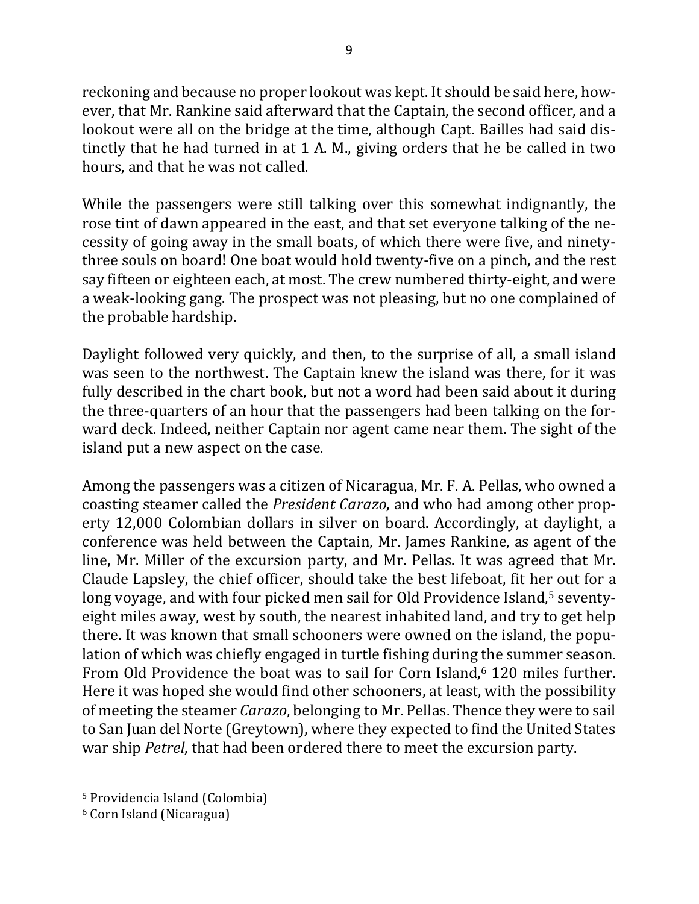reckoning and because no proper lookout was kept. It should be said here, however, that Mr. Rankine said afterward that the Captain, the second officer, and a lookout were all on the bridge at the time, although Capt. Bailles had said distinctly that he had turned in at 1 A. M., giving orders that he be called in two hours, and that he was not called.

While the passengers were still talking over this somewhat indignantly, the rose tint of dawn appeared in the east, and that set everyone talking of the necessity of going away in the small boats, of which there were five, and ninetythree souls on board! One boat would hold twenty-five on a pinch, and the rest say fifteen or eighteen each, at most. The crew numbered thirty-eight, and were a weak-looking gang. The prospect was not pleasing, but no one complained of the probable hardship.

Daylight followed very quickly, and then, to the surprise of all, a small island was seen to the northwest. The Captain knew the island was there, for it was fully described in the chart book, but not a word had been said about it during the three-quarters of an hour that the passengers had been talking on the forward deck. Indeed, neither Captain nor agent came near them. The sight of the island put a new aspect on the case.

Among the passengers was a citizen of Nicaragua, Mr. F. A. Pellas, who owned a coasting steamer called the *President Carazo*, and who had among other property 12,000 Colombian dollars in silver on board. Accordingly, at daylight, a conference was held between the Captain, Mr. James Rankine, as agent of the line, Mr. Miller of the excursion party, and Mr. Pellas. It was agreed that Mr. Claude Lapsley, the chief officer, should take the best lifeboat, fit her out for a long voyage, and with four picked men sail for Old Providence Island,<sup>5</sup> seventyeight miles away, west by south, the nearest inhabited land, and try to get help there. It was known that small schooners were owned on the island, the population of which was chiefly engaged in turtle fishing during the summer season. From Old Providence the boat was to sail for Corn Island.<sup>6</sup> 120 miles further. Here it was hoped she would find other schooners, at least, with the possibility of meeting the steamer *Carazo*, belonging to Mr. Pellas. Thence they were to sail to San Juan del Norte (Greytown), where they expected to find the United States war ship *Petrel*, that had been ordered there to meet the excursion party.

<sup>&</sup>lt;sup>5</sup> Providencia Island (Colombia)

<sup>&</sup>lt;sup>6</sup> Corn Island (Nicaragua)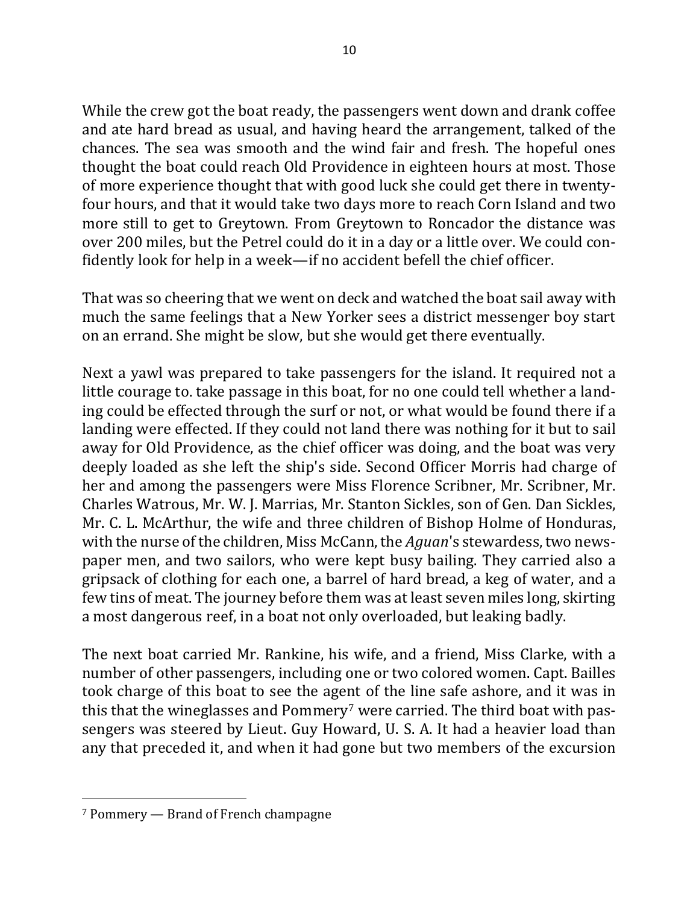While the crew got the boat ready, the passengers went down and drank coffee and ate hard bread as usual, and having heard the arrangement, talked of the chances. The sea was smooth and the wind fair and fresh. The hopeful ones thought the boat could reach Old Providence in eighteen hours at most. Those of more experience thought that with good luck she could get there in twentyfour hours, and that it would take two days more to reach Corn Island and two more still to get to Greytown. From Greytown to Roncador the distance was over 200 miles, but the Petrel could do it in a day or a little over. We could confidently look for help in a week—if no accident befell the chief officer.

That was so cheering that we went on deck and watched the boat sail away with much the same feelings that a New Yorker sees a district messenger boy start on an errand. She might be slow, but she would get there eventually.

Next a yawl was prepared to take passengers for the island. It required not a little courage to. take passage in this boat, for no one could tell whether a landing could be effected through the surf or not, or what would be found there if a landing were effected. If they could not land there was nothing for it but to sail away for Old Providence, as the chief officer was doing, and the boat was very deeply loaded as she left the ship's side. Second Officer Morris had charge of her and among the passengers were Miss Florence Scribner, Mr. Scribner, Mr. Charles Watrous, Mr. W. J. Marrias, Mr. Stanton Sickles, son of Gen. Dan Sickles, Mr. C. L. McArthur, the wife and three children of Bishop Holme of Honduras, with the nurse of the children, Miss McCann, the *Aguan*'s stewardess, two newspaper men, and two sailors, who were kept busy bailing. They carried also a gripsack of clothing for each one, a barrel of hard bread, a keg of water, and a few tins of meat. The journey before them was at least seven miles long, skirting a most dangerous reef, in a boat not only overloaded, but leaking badly.

The next boat carried Mr. Rankine, his wife, and a friend, Miss Clarke, with a number of other passengers, including one or two colored women. Capt. Bailles took charge of this boat to see the agent of the line safe ashore, and it was in this that the wineglasses and Pommery<sup>7</sup> were carried. The third boat with passengers was steered by Lieut. Guy Howard, U. S. A. It had a heavier load than any that preceded it, and when it had gone but two members of the excursion

 $7$  Pommery  $-$  Brand of French champagne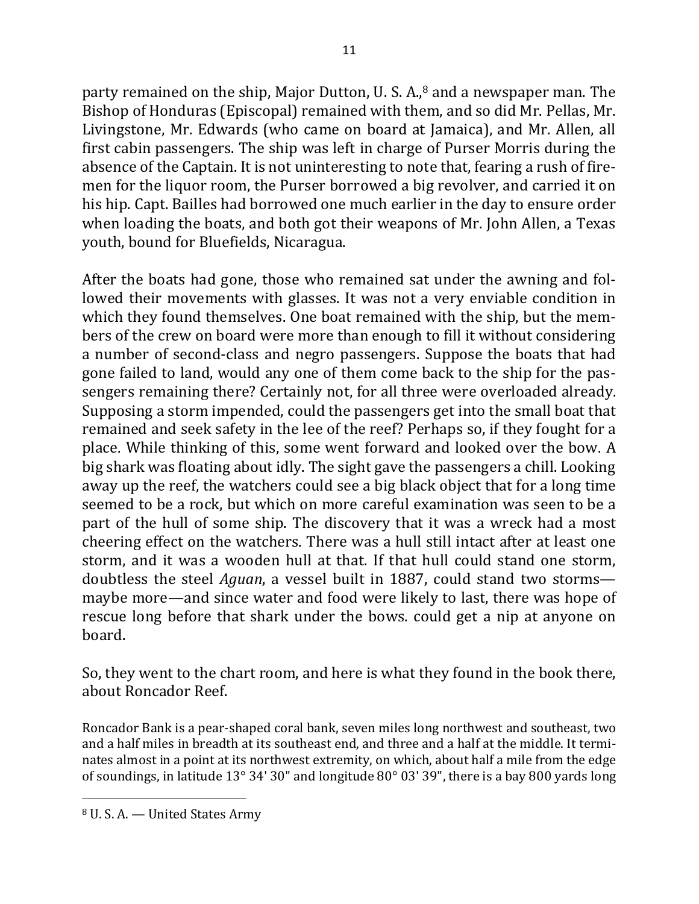party remained on the ship, Major Dutton, U. S. A., $8$  and a newspaper man. The Bishop of Honduras (Episcopal) remained with them, and so did Mr. Pellas, Mr. Livingstone, Mr. Edwards (who came on board at Jamaica), and Mr. Allen, all first cabin passengers. The ship was left in charge of Purser Morris during the absence of the Captain. It is not uninteresting to note that, fearing a rush of firemen for the liquor room, the Purser borrowed a big revolver, and carried it on his hip. Capt. Bailles had borrowed one much earlier in the day to ensure order when loading the boats, and both got their weapons of Mr. John Allen, a Texas youth, bound for Bluefields, Nicaragua.

After the boats had gone, those who remained sat under the awning and followed their movements with glasses. It was not a very enviable condition in which they found themselves. One boat remained with the ship, but the members of the crew on board were more than enough to fill it without considering a number of second-class and negro passengers. Suppose the boats that had gone failed to land, would any one of them come back to the ship for the passengers remaining there? Certainly not, for all three were overloaded already. Supposing a storm impended, could the passengers get into the small boat that remained and seek safety in the lee of the reef? Perhaps so, if they fought for a place. While thinking of this, some went forward and looked over the bow. A big shark was floating about idly. The sight gave the passengers a chill. Looking away up the reef, the watchers could see a big black object that for a long time seemed to be a rock, but which on more careful examination was seen to be a part of the hull of some ship. The discovery that it was a wreck had a most cheering effect on the watchers. There was a hull still intact after at least one storm, and it was a wooden hull at that. If that hull could stand one storm, doubtless the steel *Aguan*, a vessel built in 1887, could stand two storms maybe more—and since water and food were likely to last, there was hope of rescue long before that shark under the bows. could get a nip at anyone on board.

So, they went to the chart room, and here is what they found in the book there, about Roncador Reef.

Roncador Bank is a pear-shaped coral bank, seven miles long northwest and southeast, two and a half miles in breadth at its southeast end, and three and a half at the middle. It terminates almost in a point at its northwest extremity, on which, about half a mile from the edge of soundings, in latitude  $13^{\circ}$  34' 30" and longitude  $80^{\circ}$  03' 39", there is a bay 800 yards long

<sup>&</sup>lt;sup>8</sup> U.S.A. — United States Army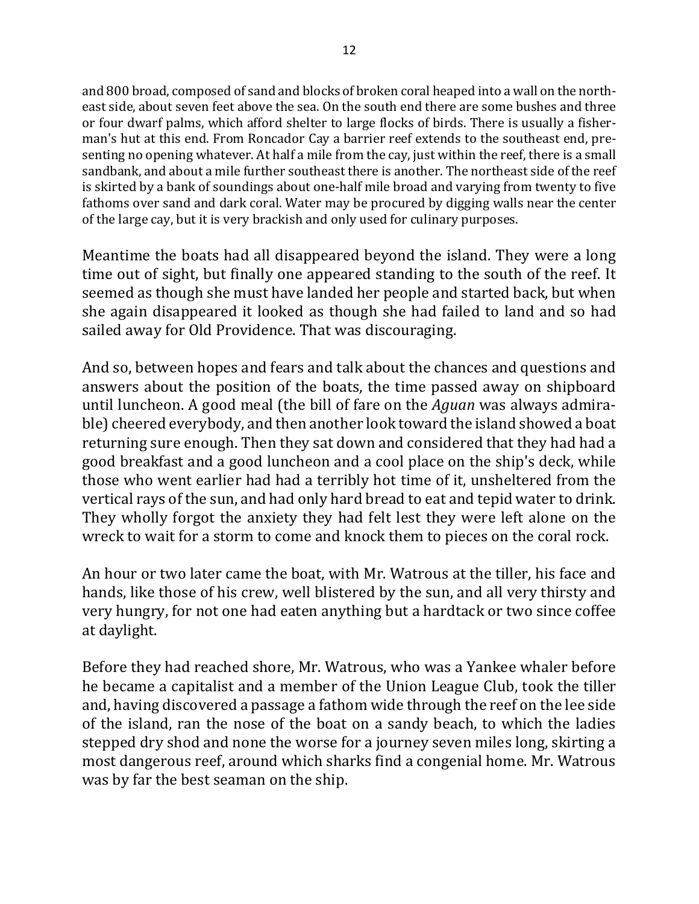and 800 broad, composed of sand and blocks of broken coral heaped into a wall on the northeast side, about seven feet above the sea. On the south end there are some bushes and three or four dwarf palms, which afford shelter to large flocks of birds. There is usually a fisherman's hut at this end. From Roncador Cay a barrier reef extends to the southeast end, presenting no opening whatever. At half a mile from the cay, just within the reef, there is a small sandbank, and about a mile further southeast there is another. The northeast side of the reef is skirted by a bank of soundings about one-half mile broad and varying from twenty to five fathoms over sand and dark coral. Water may be procured by digging walls near the center of the large cay, but it is very brackish and only used for culinary purposes.

Meantime the boats had all disappeared beyond the island. They were a long time out of sight, but finally one appeared standing to the south of the reef. It seemed as though she must have landed her people and started back, but when she again disappeared it looked as though she had failed to land and so had sailed away for Old Providence. That was discouraging.

And so, between hopes and fears and talk about the chances and questions and answers about the position of the boats, the time passed away on shipboard until luncheon. A good meal (the bill of fare on the *Aguan* was always admirable) cheered everybody, and then another look toward the island showed a boat returning sure enough. Then they sat down and considered that they had had a good breakfast and a good luncheon and a cool place on the ship's deck, while those who went earlier had had a terribly hot time of it, unsheltered from the vertical rays of the sun, and had only hard bread to eat and tepid water to drink. They wholly forgot the anxiety they had felt lest they were left alone on the wreck to wait for a storm to come and knock them to pieces on the coral rock.

An hour or two later came the boat, with Mr. Watrous at the tiller, his face and hands, like those of his crew, well blistered by the sun, and all very thirsty and very hungry, for not one had eaten anything but a hardtack or two since coffee at daylight.

Before they had reached shore, Mr. Watrous, who was a Yankee whaler before he became a capitalist and a member of the Union League Club, took the tiller and, having discovered a passage a fathom wide through the reef on the lee side of the island, ran the nose of the boat on a sandy beach, to which the ladies stepped dry shod and none the worse for a journey seven miles long, skirting a most dangerous reef, around which sharks find a congenial home. Mr. Watrous was by far the best seaman on the ship.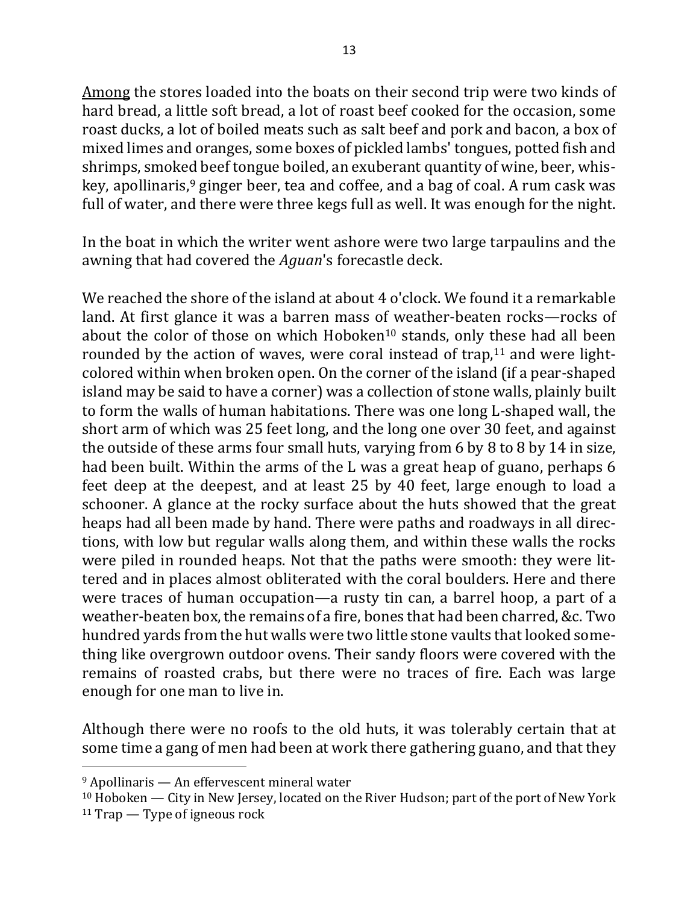Among the stores loaded into the boats on their second trip were two kinds of hard bread, a little soft bread, a lot of roast beef cooked for the occasion, some roast ducks, a lot of boiled meats such as salt beef and pork and bacon, a box of mixed limes and oranges, some boxes of pickled lambs' tongues, potted fish and shrimps, smoked beef tongue boiled, an exuberant quantity of wine, beer, whiskey, apollinaris,  $9$  ginger beer, tea and coffee, and a bag of coal. A rum cask was full of water, and there were three kegs full as well. It was enough for the night.

In the boat in which the writer went ashore were two large tarpaulins and the awning that had covered the *Aguan*'s forecastle deck.

We reached the shore of the island at about  $4$  o'clock. We found it a remarkable land. At first glance it was a barren mass of weather-beaten rocks—rocks of about the color of those on which Hoboken<sup>10</sup> stands, only these had all been rounded by the action of waves, were coral instead of trap, $11$  and were lightcolored within when broken open. On the corner of the island (if a pear-shaped island may be said to have a corner) was a collection of stone walls, plainly built to form the walls of human habitations. There was one long L-shaped wall, the short arm of which was 25 feet long, and the long one over 30 feet, and against the outside of these arms four small huts, varying from  $6$  by  $8$  to  $8$  by  $14$  in size, had been built. Within the arms of the L was a great heap of guano, perhaps 6 feet deep at the deepest, and at least 25 by 40 feet, large enough to load a schooner. A glance at the rocky surface about the huts showed that the great heaps had all been made by hand. There were paths and roadways in all directions, with low but regular walls along them, and within these walls the rocks were piled in rounded heaps. Not that the paths were smooth: they were littered and in places almost obliterated with the coral boulders. Here and there were traces of human occupation—a rusty tin can, a barrel hoop, a part of a weather-beaten box, the remains of a fire, bones that had been charred, &c. Two hundred yards from the hut walls were two little stone vaults that looked something like overgrown outdoor ovens. Their sandy floors were covered with the remains of roasted crabs, but there were no traces of fire. Each was large enough for one man to live in.

Although there were no roofs to the old huts, it was tolerably certain that at some time a gang of men had been at work there gathering guano, and that they

 $9$  Apollinaris — An effervescent mineral water

 $10$  Hoboken — City in New Jersey, located on the River Hudson; part of the port of New York

 $11$  Trap — Type of igneous rock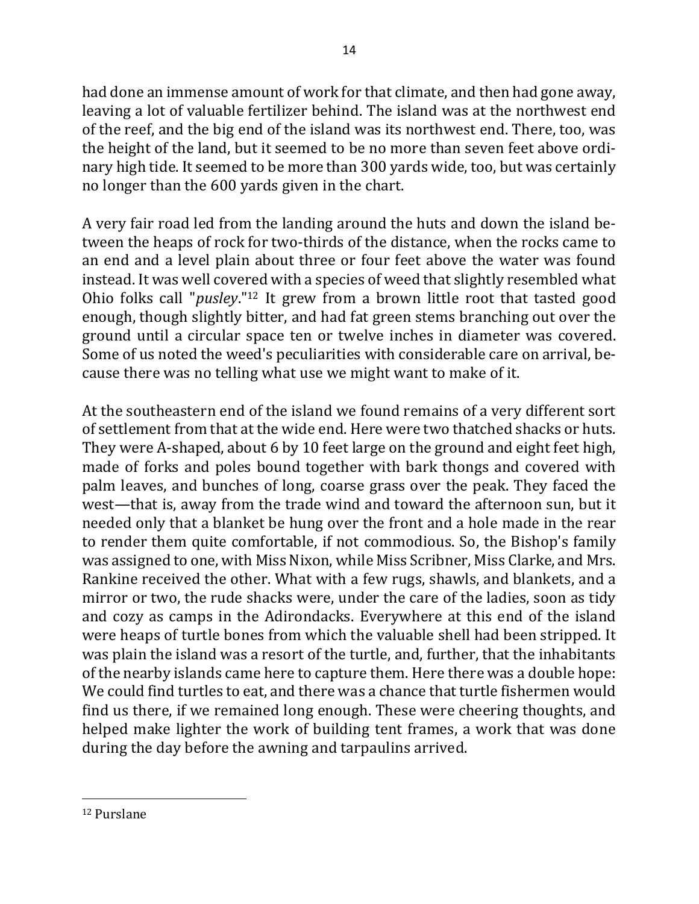had done an immense amount of work for that climate, and then had gone away, leaving a lot of valuable fertilizer behind. The island was at the northwest end of the reef, and the big end of the island was its northwest end. There, too, was the height of the land, but it seemed to be no more than seven feet above ordinary high tide. It seemed to be more than 300 yards wide, too, but was certainly no longer than the 600 yards given in the chart.

A very fair road led from the landing around the huts and down the island between the heaps of rock for two-thirds of the distance, when the rocks came to an end and a level plain about three or four feet above the water was found instead. It was well covered with a species of weed that slightly resembled what Ohio folks call "*pusley*."<sup>12</sup> It grew from a brown little root that tasted good enough, though slightly bitter, and had fat green stems branching out over the ground until a circular space ten or twelve inches in diameter was covered. Some of us noted the weed's peculiarities with considerable care on arrival, because there was no telling what use we might want to make of it.

At the southeastern end of the island we found remains of a very different sort of settlement from that at the wide end. Here were two thatched shacks or huts. They were A-shaped, about 6 by 10 feet large on the ground and eight feet high, made of forks and poles bound together with bark thongs and covered with palm leaves, and bunches of long, coarse grass over the peak. They faced the west—that is, away from the trade wind and toward the afternoon sun, but it needed only that a blanket be hung over the front and a hole made in the rear to render them quite comfortable, if not commodious. So, the Bishop's family was assigned to one, with Miss Nixon, while Miss Scribner, Miss Clarke, and Mrs. Rankine received the other. What with a few rugs, shawls, and blankets, and a mirror or two, the rude shacks were, under the care of the ladies, soon as tidy and cozy as camps in the Adirondacks. Everywhere at this end of the island were heaps of turtle bones from which the valuable shell had been stripped. It was plain the island was a resort of the turtle, and, further, that the inhabitants of the nearby islands came here to capture them. Here there was a double hope: We could find turtles to eat, and there was a chance that turtle fishermen would find us there, if we remained long enough. These were cheering thoughts, and helped make lighter the work of building tent frames, a work that was done during the day before the awning and tarpaulins arrived.

<sup>12</sup> Purslane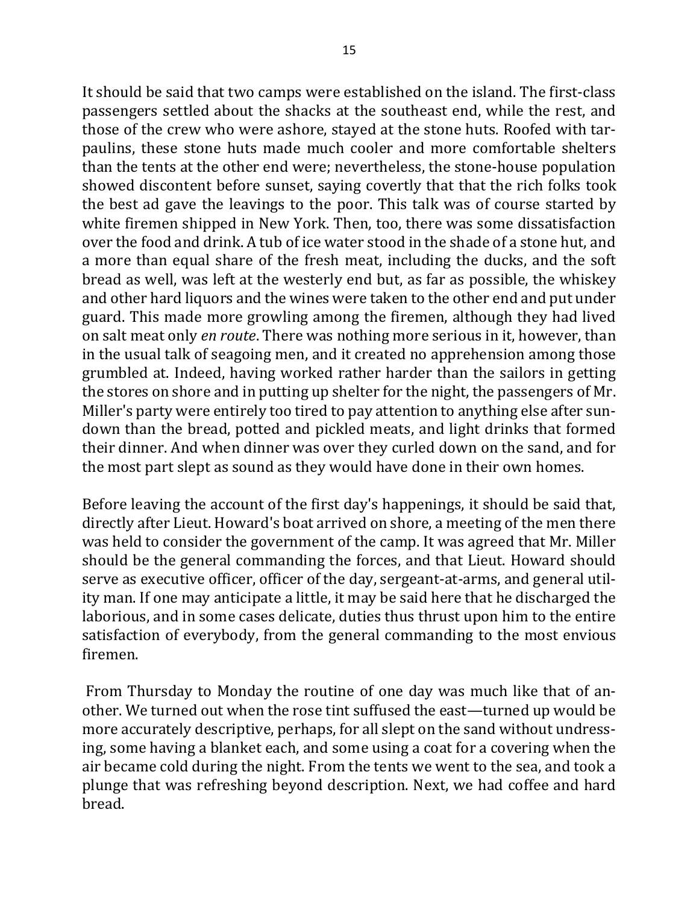It should be said that two camps were established on the island. The first-class passengers settled about the shacks at the southeast end, while the rest, and those of the crew who were ashore, stayed at the stone huts. Roofed with tarpaulins, these stone huts made much cooler and more comfortable shelters than the tents at the other end were; nevertheless, the stone-house population showed discontent before sunset, saying covertly that that the rich folks took the best ad gave the leavings to the poor. This talk was of course started by white firemen shipped in New York. Then, too, there was some dissatisfaction over the food and drink. A tub of ice water stood in the shade of a stone hut, and a more than equal share of the fresh meat, including the ducks, and the soft bread as well, was left at the westerly end but, as far as possible, the whiskey and other hard liquors and the wines were taken to the other end and put under guard. This made more growling among the firemen, although they had lived on salt meat only *en route*. There was nothing more serious in it, however, than in the usual talk of seagoing men, and it created no apprehension among those grumbled at. Indeed, having worked rather harder than the sailors in getting the stores on shore and in putting up shelter for the night, the passengers of Mr. Miller's party were entirely too tired to pay attention to anything else after sundown than the bread, potted and pickled meats, and light drinks that formed their dinner. And when dinner was over they curled down on the sand, and for the most part slept as sound as they would have done in their own homes.

Before leaving the account of the first day's happenings, it should be said that, directly after Lieut. Howard's boat arrived on shore, a meeting of the men there was held to consider the government of the camp. It was agreed that Mr. Miller should be the general commanding the forces, and that Lieut. Howard should serve as executive officer, officer of the day, sergeant-at-arms, and general utility man. If one may anticipate a little, it may be said here that he discharged the laborious, and in some cases delicate, duties thus thrust upon him to the entire satisfaction of everybody, from the general commanding to the most envious firemen.

From Thursday to Monday the routine of one day was much like that of another. We turned out when the rose tint suffused the east—turned up would be more accurately descriptive, perhaps, for all slept on the sand without undressing, some having a blanket each, and some using a coat for a covering when the air became cold during the night. From the tents we went to the sea, and took a plunge that was refreshing beyond description. Next, we had coffee and hard bread.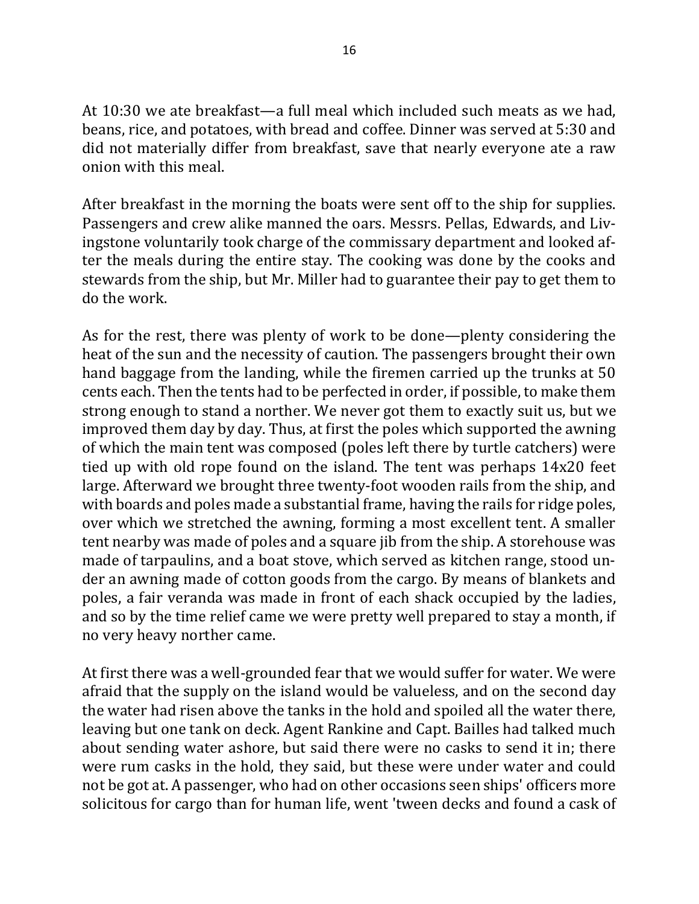At  $10:30$  we ate breakfast—a full meal which included such meats as we had. beans, rice, and potatoes, with bread and coffee. Dinner was served at 5:30 and did not materially differ from breakfast, save that nearly everyone ate a raw onion with this meal.

After breakfast in the morning the boats were sent off to the ship for supplies. Passengers and crew alike manned the oars. Messrs. Pellas, Edwards, and Livingstone voluntarily took charge of the commissary department and looked after the meals during the entire stay. The cooking was done by the cooks and stewards from the ship, but Mr. Miller had to guarantee their pay to get them to do the work.

As for the rest, there was plenty of work to be done—plenty considering the heat of the sun and the necessity of caution. The passengers brought their own hand baggage from the landing, while the firemen carried up the trunks at 50 cents each. Then the tents had to be perfected in order, if possible, to make them strong enough to stand a norther. We never got them to exactly suit us, but we improved them day by day. Thus, at first the poles which supported the awning of which the main tent was composed (poles left there by turtle catchers) were tied up with old rope found on the island. The tent was perhaps  $14x20$  feet large. Afterward we brought three twenty-foot wooden rails from the ship, and with boards and poles made a substantial frame, having the rails for ridge poles, over which we stretched the awning, forming a most excellent tent. A smaller tent nearby was made of poles and a square jib from the ship. A storehouse was made of tarpaulins, and a boat stove, which served as kitchen range, stood under an awning made of cotton goods from the cargo. By means of blankets and poles, a fair veranda was made in front of each shack occupied by the ladies, and so by the time relief came we were pretty well prepared to stay a month, if no very heavy norther came.

At first there was a well-grounded fear that we would suffer for water. We were afraid that the supply on the island would be valueless, and on the second day the water had risen above the tanks in the hold and spoiled all the water there, leaving but one tank on deck. Agent Rankine and Capt. Bailles had talked much about sending water ashore, but said there were no casks to send it in; there were rum casks in the hold, they said, but these were under water and could not be got at. A passenger, who had on other occasions seen ships' officers more solicitous for cargo than for human life, went 'tween decks and found a cask of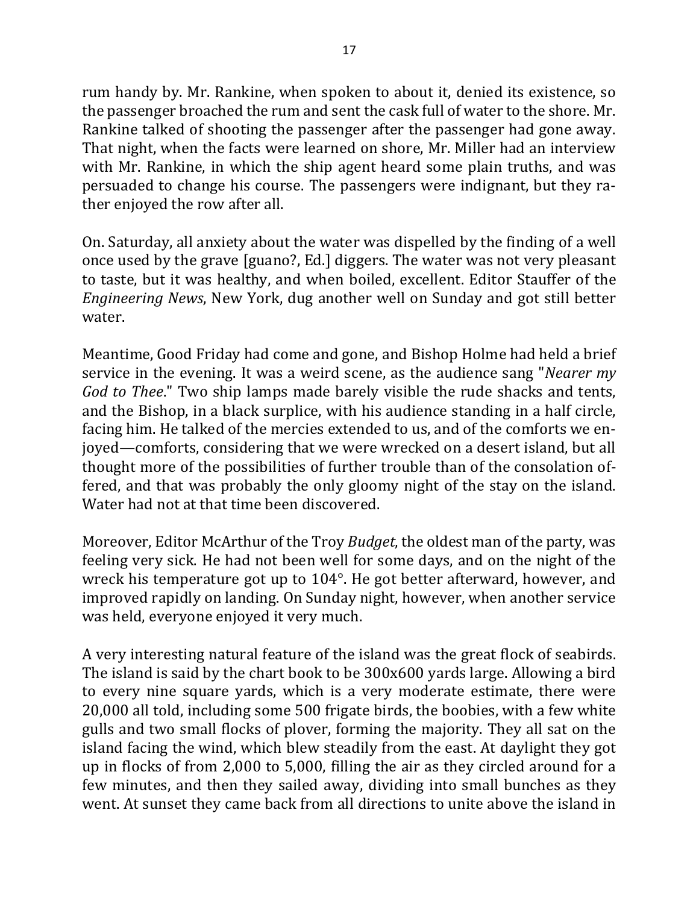rum handy by. Mr. Rankine, when spoken to about it, denied its existence, so the passenger broached the rum and sent the cask full of water to the shore. Mr. Rankine talked of shooting the passenger after the passenger had gone away. That night, when the facts were learned on shore, Mr. Miller had an interview with Mr. Rankine, in which the ship agent heard some plain truths, and was persuaded to change his course. The passengers were indignant, but they rather enjoyed the row after all.

On. Saturday, all anxiety about the water was dispelled by the finding of a well once used by the grave [guano?, Ed.] diggers. The water was not very pleasant to taste, but it was healthy, and when boiled, excellent. Editor Stauffer of the *Engineering News*, New York, dug another well on Sunday and got still better water.

Meantime, Good Friday had come and gone, and Bishop Holme had held a brief service in the evening. It was a weird scene, as the audience sang "*Nearer my God* to *Thee*." Two ship lamps made barely visible the rude shacks and tents, and the Bishop, in a black surplice, with his audience standing in a half circle, facing him. He talked of the mercies extended to us, and of the comforts we enjoved—comforts, considering that we were wrecked on a desert island, but all thought more of the possibilities of further trouble than of the consolation offered, and that was probably the only gloomy night of the stay on the island. Water had not at that time been discovered.

Moreover, Editor McArthur of the Troy *Budget*, the oldest man of the party, was feeling very sick. He had not been well for some days, and on the night of the wreck his temperature got up to  $104^\circ$ . He got better afterward, however, and improved rapidly on landing. On Sunday night, however, when another service was held, everyone enjoyed it very much.

A very interesting natural feature of the island was the great flock of seabirds. The island is said by the chart book to be  $300x600$  yards large. Allowing a bird to every nine square yards, which is a very moderate estimate, there were 20,000 all told, including some 500 frigate birds, the boobies, with a few white gulls and two small flocks of plover, forming the majority. They all sat on the island facing the wind, which blew steadily from the east. At daylight they got up in flocks of from 2,000 to 5,000, filling the air as they circled around for a few minutes, and then they sailed away, dividing into small bunches as they went. At sunset they came back from all directions to unite above the island in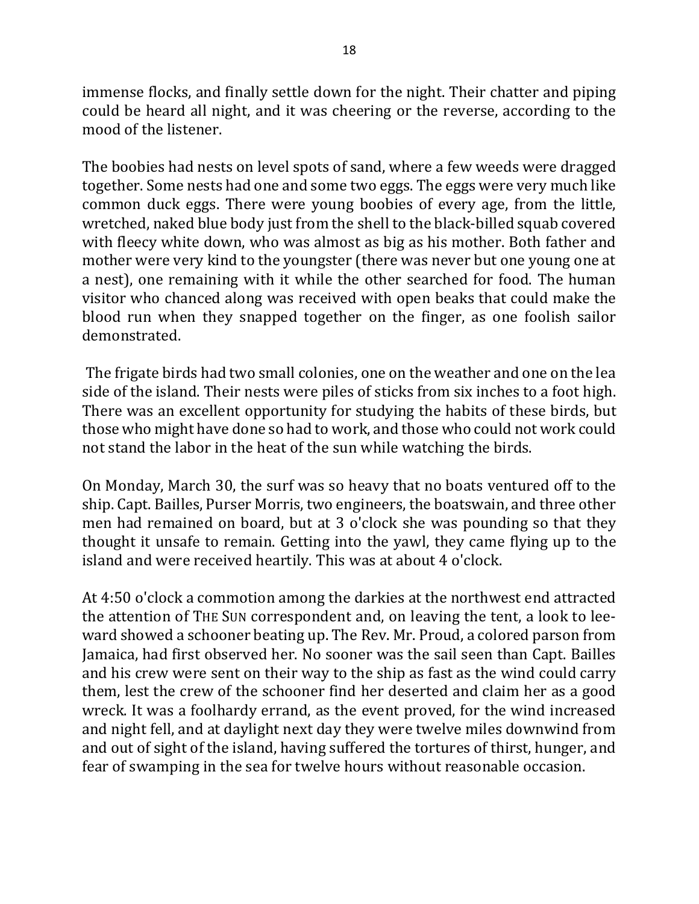immense flocks, and finally settle down for the night. Their chatter and piping could be heard all night, and it was cheering or the reverse, according to the mood of the listener.

The boobies had nests on level spots of sand, where a few weeds were dragged together. Some nests had one and some two eggs. The eggs were very much like common duck eggs. There were young boobies of every age, from the little, wretched, naked blue body just from the shell to the black-billed squab covered with fleecy white down, who was almost as big as his mother. Both father and mother were very kind to the youngster (there was never but one young one at a nest), one remaining with it while the other searched for food. The human visitor who chanced along was received with open beaks that could make the blood run when they snapped together on the finger, as one foolish sailor demonstrated.

The frigate birds had two small colonies, one on the weather and one on the lea side of the island. Their nests were piles of sticks from six inches to a foot high. There was an excellent opportunity for studying the habits of these birds, but those who might have done so had to work, and those who could not work could not stand the labor in the heat of the sun while watching the birds.

On Monday, March 30, the surf was so heavy that no boats ventured off to the ship. Capt. Bailles, Purser Morris, two engineers, the boatswain, and three other men had remained on board, but at 3 o'clock she was pounding so that they thought it unsafe to remain. Getting into the yawl, they came flying up to the island and were received heartily. This was at about 4 o'clock.

At 4:50 o'clock a commotion among the darkies at the northwest end attracted the attention of THE SUN correspondent and, on leaving the tent, a look to leeward showed a schooner beating up. The Rev. Mr. Proud, a colored parson from Jamaica, had first observed her. No sooner was the sail seen than Capt. Bailles and his crew were sent on their way to the ship as fast as the wind could carry them, lest the crew of the schooner find her deserted and claim her as a good wreck. It was a foolhardy errand, as the event proved, for the wind increased and night fell, and at daylight next day they were twelve miles downwind from and out of sight of the island, having suffered the tortures of thirst, hunger, and fear of swamping in the sea for twelve hours without reasonable occasion.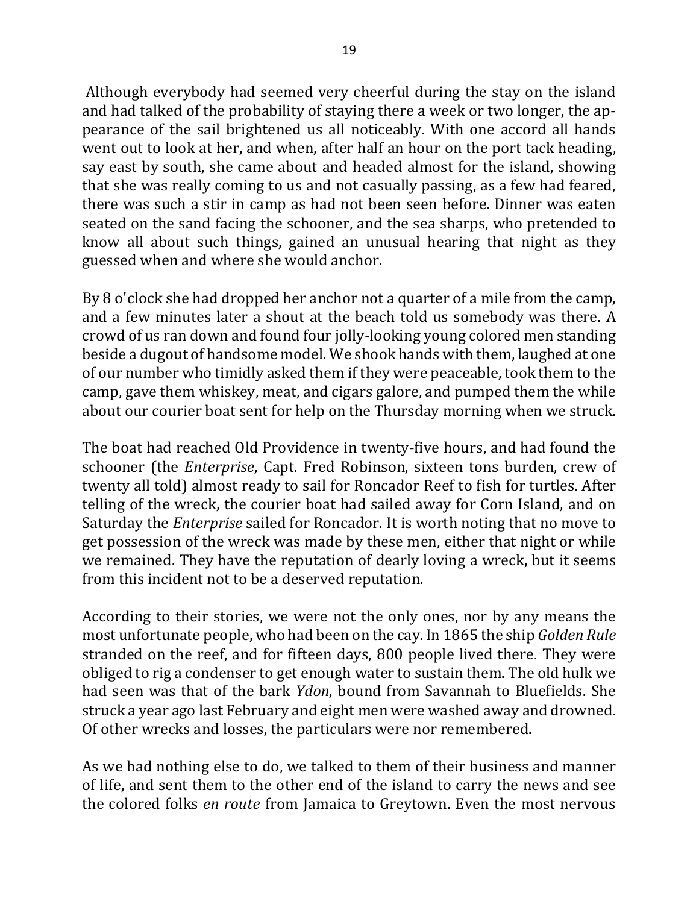Although everybody had seemed very cheerful during the stay on the island and had talked of the probability of staying there a week or two longer, the appearance of the sail brightened us all noticeably. With one accord all hands went out to look at her, and when, after half an hour on the port tack heading, say east by south, she came about and headed almost for the island, showing that she was really coming to us and not casually passing, as a few had feared, there was such a stir in camp as had not been seen before. Dinner was eaten seated on the sand facing the schooner, and the sea sharps, who pretended to know all about such things, gained an unusual hearing that night as they guessed when and where she would anchor.

By 8 o'clock she had dropped her anchor not a quarter of a mile from the camp, and a few minutes later a shout at the beach told us somebody was there. A crowd of us ran down and found four jolly-looking young colored men standing beside a dugout of handsome model. We shook hands with them, laughed at one of our number who timidly asked them if they were peaceable, took them to the camp, gave them whiskey, meat, and cigars galore, and pumped them the while about our courier boat sent for help on the Thursday morning when we struck.

The boat had reached Old Providence in twenty-five hours, and had found the schooner (the *Enterprise*, Capt. Fred Robinson, sixteen tons burden, crew of twenty all told) almost ready to sail for Roncador Reef to fish for turtles. After telling of the wreck, the courier boat had sailed away for Corn Island, and on Saturday the *Enterprise* sailed for Roncador. It is worth noting that no move to get possession of the wreck was made by these men, either that night or while we remained. They have the reputation of dearly loving a wreck, but it seems from this incident not to be a deserved reputation.

According to their stories, we were not the only ones, nor by any means the most unfortunate people, who had been on the cay. In 1865 the ship *Golden Rule* stranded on the reef, and for fifteen days, 800 people lived there. They were obliged to rig a condenser to get enough water to sustain them. The old hulk we had seen was that of the bark *Ydon*, bound from Savannah to Bluefields. She struck a year ago last February and eight men were washed away and drowned. Of other wrecks and losses, the particulars were nor remembered.

As we had nothing else to do, we talked to them of their business and manner of life, and sent them to the other end of the island to carry the news and see the colored folks *en route* from Jamaica to Greytown. Even the most nervous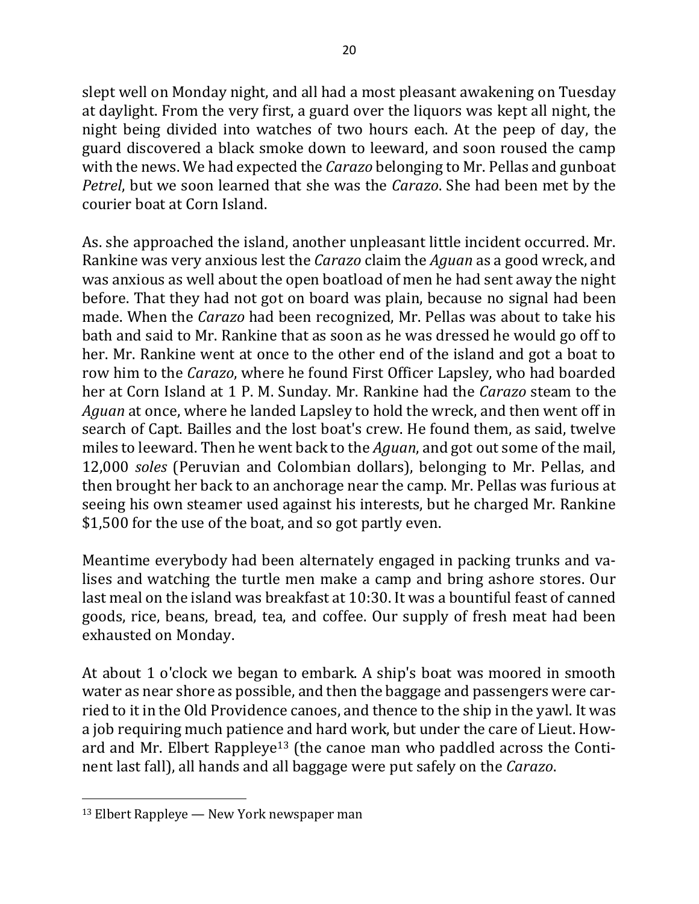slept well on Monday night, and all had a most pleasant awakening on Tuesday at daylight. From the very first, a guard over the liquors was kept all night, the night being divided into watches of two hours each. At the peep of day, the guard discovered a black smoke down to leeward, and soon roused the camp with the news. We had expected the *Carazo* belonging to Mr. Pellas and gunboat *Petrel*, but we soon learned that she was the *Carazo*. She had been met by the courier boat at Corn Island.

As. she approached the island, another unpleasant little incident occurred. Mr. Rankine was very anxious lest the *Carazo* claim the *Aguan* as a good wreck, and was anxious as well about the open boatload of men he had sent away the night before. That they had not got on board was plain, because no signal had been made. When the *Carazo* had been recognized, Mr. Pellas was about to take his bath and said to Mr. Rankine that as soon as he was dressed he would go off to her. Mr. Rankine went at once to the other end of the island and got a boat to row him to the *Carazo*, where he found First Officer Lapsley, who had boarded her at Corn Island at 1 P. M. Sunday. Mr. Rankine had the *Carazo* steam to the *Aguan* at once, where he landed Lapsley to hold the wreck, and then went off in search of Capt. Bailles and the lost boat's crew. He found them, as said, twelve miles to leeward. Then he went back to the *Aguan*, and got out some of the mail, 12,000 *soles* (Peruvian and Colombian dollars), belonging to Mr. Pellas, and then brought her back to an anchorage near the camp. Mr. Pellas was furious at seeing his own steamer used against his interests, but he charged Mr. Rankine \$1,500 for the use of the boat, and so got partly even.

Meantime everybody had been alternately engaged in packing trunks and valises and watching the turtle men make a camp and bring ashore stores. Our last meal on the island was breakfast at  $10:30$ . It was a bountiful feast of canned goods, rice, beans, bread, tea, and coffee. Our supply of fresh meat had been exhausted on Monday.

At about 1 o'clock we began to embark. A ship's boat was moored in smooth water as near shore as possible, and then the baggage and passengers were carried to it in the Old Providence canoes, and thence to the ship in the yawl. It was a job requiring much patience and hard work, but under the care of Lieut. Howard and Mr. Elbert Rappleye<sup>13</sup> (the canoe man who paddled across the Continent last fall), all hands and all baggage were put safely on the *Carazo*.

 $13$  Elbert Rappleye — New York newspaper man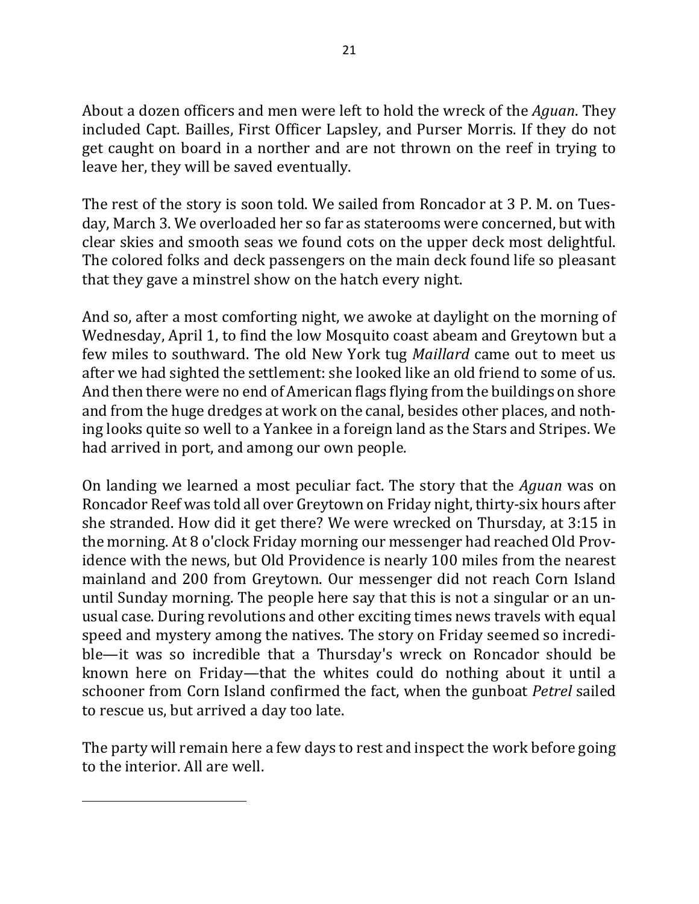About a dozen officers and men were left to hold the wreck of the *Aguan*. They included Capt. Bailles, First Officer Lapsley, and Purser Morris. If they do not get caught on board in a norther and are not thrown on the reef in trying to leave her, they will be saved eventually.

The rest of the story is soon told. We sailed from Roncador at 3 P. M. on Tuesday, March 3. We overloaded her so far as staterooms were concerned, but with clear skies and smooth seas we found cots on the upper deck most delightful. The colored folks and deck passengers on the main deck found life so pleasant that they gave a minstrel show on the hatch every night.

And so, after a most comforting night, we awoke at daylight on the morning of Wednesday, April 1, to find the low Mosquito coast abeam and Greytown but a few miles to southward. The old New York tug *Maillard* came out to meet us after we had sighted the settlement: she looked like an old friend to some of us. And then there were no end of American flags flying from the buildings on shore and from the huge dredges at work on the canal, besides other places, and nothing looks quite so well to a Yankee in a foreign land as the Stars and Stripes. We had arrived in port, and among our own people.

On landing we learned a most peculiar fact. The story that the *Aguan* was on Roncador Reef was told all over Greytown on Friday night, thirty-six hours after she stranded. How did it get there? We were wrecked on Thursday, at 3:15 in the morning. At 8 o'clock Friday morning our messenger had reached Old Providence with the news, but Old Providence is nearly 100 miles from the nearest mainland and 200 from Greytown. Our messenger did not reach Corn Island until Sunday morning. The people here say that this is not a singular or an unusual case. During revolutions and other exciting times news travels with equal speed and mystery among the natives. The story on Friday seemed so incredible—it was so incredible that a Thursday's wreck on Roncador should be known here on Friday—that the whites could do nothing about it until a schooner from Corn Island confirmed the fact, when the gunboat *Petrel* sailed to rescue us, but arrived a day too late.

The party will remain here a few days to rest and inspect the work before going to the interior. All are well.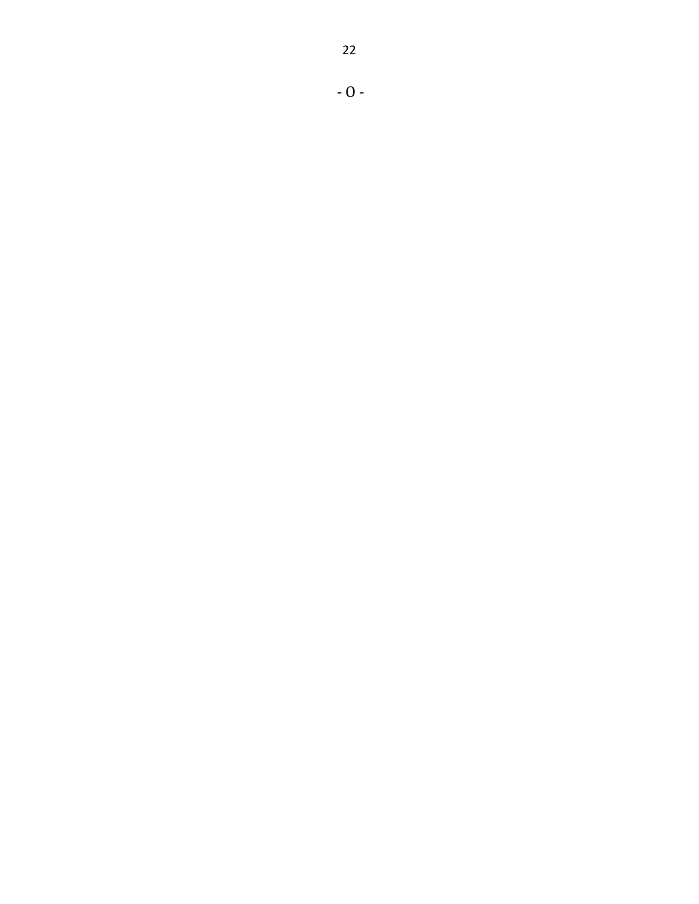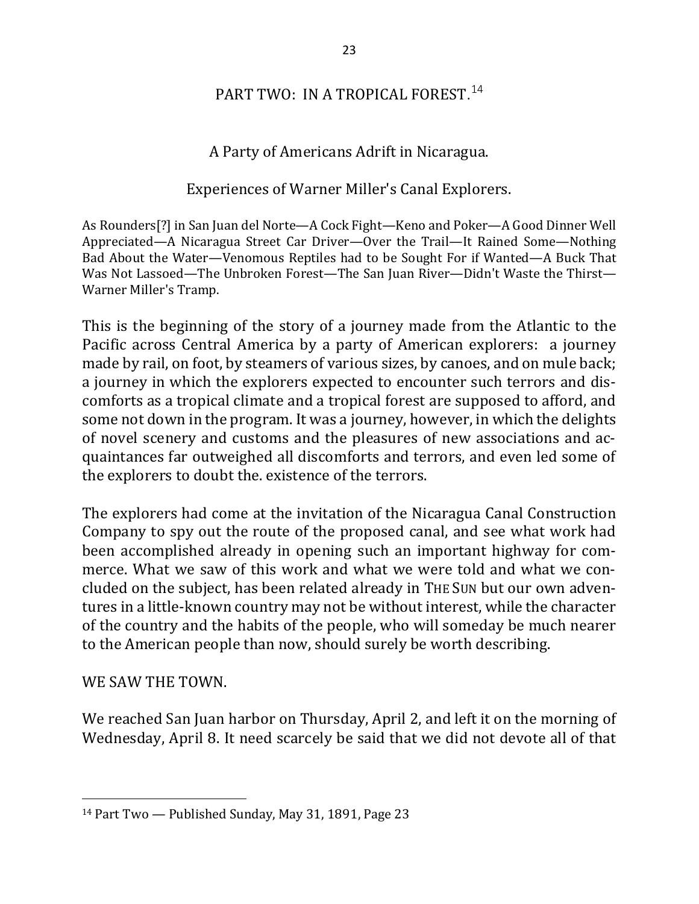# PART TWO: IN A TROPICAL FOREST.<sup>14</sup>

### A Party of Americans Adrift in Nicaragua.

#### Experiences of Warner Miller's Canal Explorers.

As Rounders<sup>[?]</sup> in San Juan del Norte—A Cock Fight—Keno and Poker—A Good Dinner Well Appreciated—A Nicaragua Street Car Driver—Over the Trail—It Rained Some—Nothing Bad About the Water—Venomous Reptiles had to be Sought For if Wanted—A Buck That Was Not Lassoed—The Unbroken Forest—The San Juan River—Didn't Waste the Thirst— Warner Miller's Tramp.

This is the beginning of the story of a journey made from the Atlantic to the Pacific across Central America by a party of American explorers: a journey made by rail, on foot, by steamers of various sizes, by canoes, and on mule back; a journey in which the explorers expected to encounter such terrors and discomforts as a tropical climate and a tropical forest are supposed to afford, and some not down in the program. It was a journey, however, in which the delights of novel scenery and customs and the pleasures of new associations and acquaintances far outweighed all discomforts and terrors, and even led some of the explorers to doubt the. existence of the terrors.

The explorers had come at the invitation of the Nicaragua Canal Construction Company to spy out the route of the proposed canal, and see what work had been accomplished already in opening such an important highway for commerce. What we saw of this work and what we were told and what we concluded on the subject, has been related already in THE SUN but our own adventures in a little-known country may not be without interest, while the character of the country and the habits of the people, who will someday be much nearer to the American people than now, should surely be worth describing.

#### WE SAW THE TOWN.

 $\overline{a}$ 

We reached San Juan harbor on Thursday, April 2, and left it on the morning of Wednesday, April 8. It need scarcely be said that we did not devote all of that

 $14$  Part Two — Published Sunday, May 31, 1891, Page 23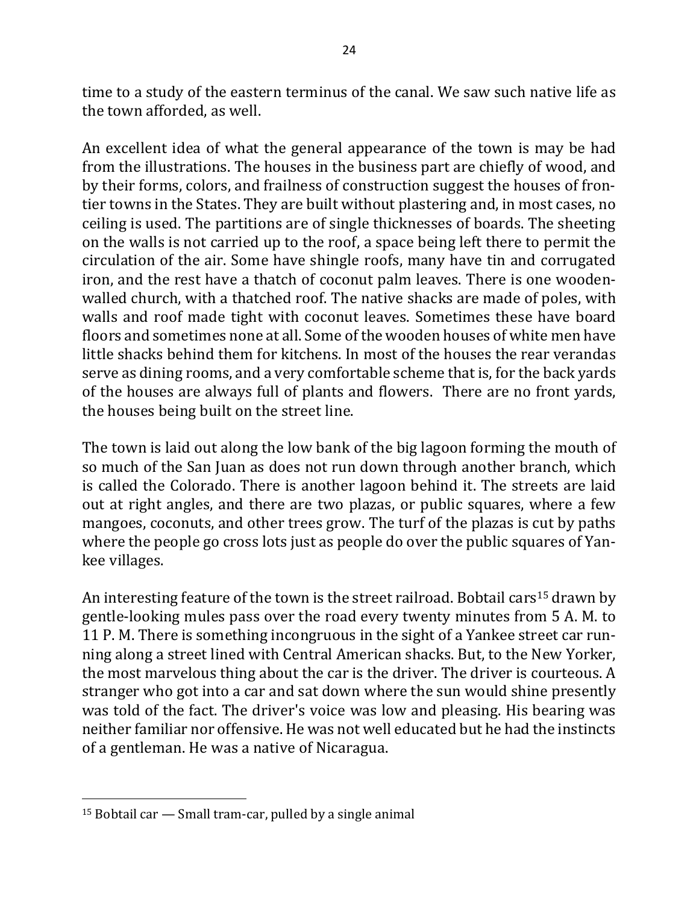time to a study of the eastern terminus of the canal. We saw such native life as the town afforded, as well.

An excellent idea of what the general appearance of the town is may be had from the illustrations. The houses in the business part are chiefly of wood, and by their forms, colors, and frailness of construction suggest the houses of frontier towns in the States. They are built without plastering and, in most cases, no ceiling is used. The partitions are of single thicknesses of boards. The sheeting on the walls is not carried up to the roof, a space being left there to permit the circulation of the air. Some have shingle roofs, many have tin and corrugated iron, and the rest have a thatch of coconut palm leaves. There is one woodenwalled church, with a thatched roof. The native shacks are made of poles, with walls and roof made tight with coconut leaves. Sometimes these have board floors and sometimes none at all. Some of the wooden houses of white men have little shacks behind them for kitchens. In most of the houses the rear verandas serve as dining rooms, and a very comfortable scheme that is, for the back yards of the houses are always full of plants and flowers. There are no front yards, the houses being built on the street line.

The town is laid out along the low bank of the big lagoon forming the mouth of so much of the San Juan as does not run down through another branch, which is called the Colorado. There is another lagoon behind it. The streets are laid out at right angles, and there are two plazas, or public squares, where a few mangoes, coconuts, and other trees grow. The turf of the plazas is cut by paths where the people go cross lots just as people do over the public squares of Yankee villages.

An interesting feature of the town is the street railroad. Bobtail cars<sup>15</sup> drawn by gentle-looking mules pass over the road every twenty minutes from 5 A. M. to 11 P. M. There is something incongruous in the sight of a Yankee street car running along a street lined with Central American shacks. But, to the New Yorker, the most marvelous thing about the car is the driver. The driver is courteous. A stranger who got into a car and sat down where the sun would shine presently was told of the fact. The driver's voice was low and pleasing. His bearing was neither familiar nor offensive. He was not well educated but he had the instincts of a gentleman. He was a native of Nicaragua.

 $15$  Bobtail car  $-$  Small tram-car, pulled by a single animal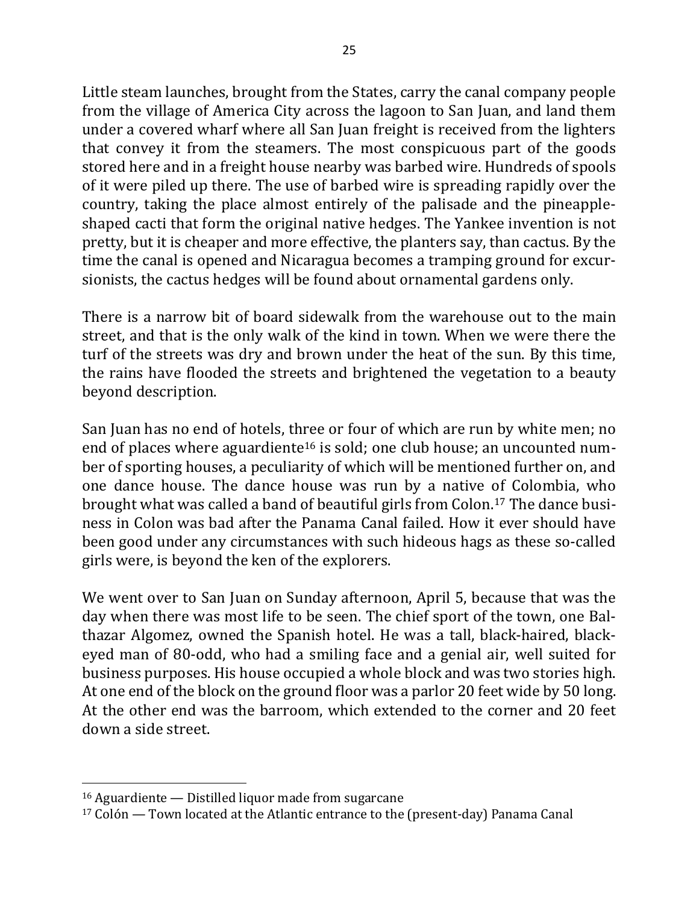Little steam launches, brought from the States, carry the canal company people from the village of America City across the lagoon to San Juan, and land them under a covered wharf where all San Juan freight is received from the lighters that convey it from the steamers. The most conspicuous part of the goods stored here and in a freight house nearby was barbed wire. Hundreds of spools of it were piled up there. The use of barbed wire is spreading rapidly over the country, taking the place almost entirely of the palisade and the pineappleshaped cacti that form the original native hedges. The Yankee invention is not pretty, but it is cheaper and more effective, the planters say, than cactus. By the time the canal is opened and Nicaragua becomes a tramping ground for excursionists, the cactus hedges will be found about ornamental gardens only.

There is a narrow bit of board sidewalk from the warehouse out to the main street, and that is the only walk of the kind in town. When we were there the turf of the streets was dry and brown under the heat of the sun. By this time, the rains have flooded the streets and brightened the vegetation to a beauty beyond description.

San Juan has no end of hotels, three or four of which are run by white men; no end of places where aguardiente<sup>16</sup> is sold; one club house; an uncounted number of sporting houses, a peculiarity of which will be mentioned further on, and one dance house. The dance house was run by a native of Colombia, who brought what was called a band of beautiful girls from Colon.<sup>17</sup> The dance business in Colon was bad after the Panama Canal failed. How it ever should have been good under any circumstances with such hideous hags as these so-called girls were, is beyond the ken of the explorers.

We went over to San Juan on Sunday afternoon, April 5, because that was the day when there was most life to be seen. The chief sport of the town, one Balthazar Algomez, owned the Spanish hotel. He was a tall, black-haired, blackeyed man of 80-odd, who had a smiling face and a genial air, well suited for business purposes. His house occupied a whole block and was two stories high. At one end of the block on the ground floor was a parlor 20 feet wide by 50 long. At the other end was the barroom, which extended to the corner and 20 feet down a side street.

 $16$  Aguardiente  $-$  Distilled liquor made from sugarcane

 $17$  Colón — Town located at the Atlantic entrance to the (present-day) Panama Canal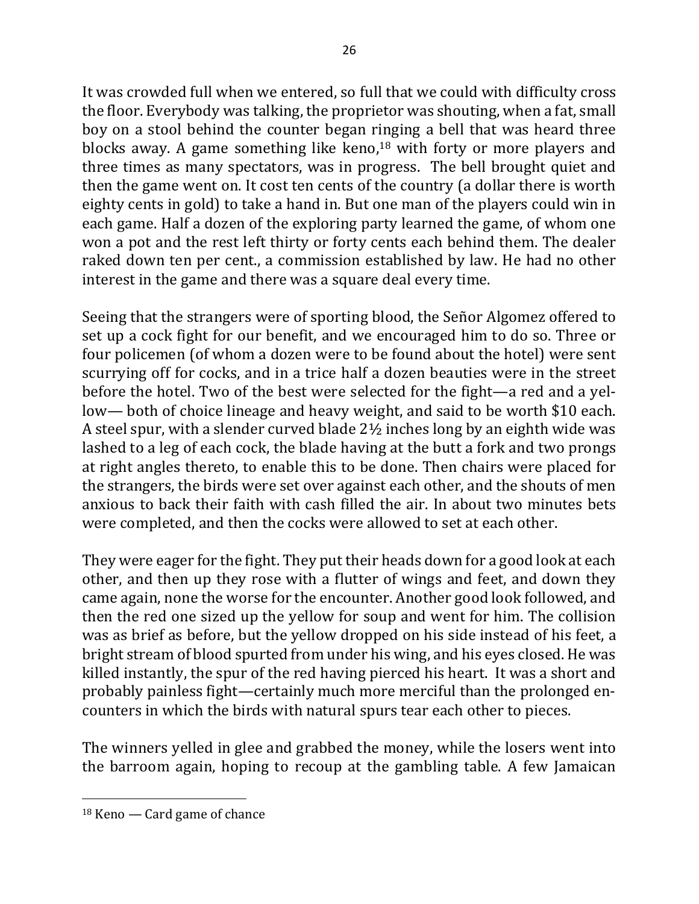It was crowded full when we entered, so full that we could with difficulty cross the floor. Everybody was talking, the proprietor was shouting, when a fat, small boy on a stool behind the counter began ringing a bell that was heard three blocks away. A game something like keno, $18$  with forty or more players and three times as many spectators, was in progress. The bell brought quiet and then the game went on. It cost ten cents of the country (a dollar there is worth eighty cents in gold) to take a hand in. But one man of the players could win in each game. Half a dozen of the exploring party learned the game, of whom one won a pot and the rest left thirty or forty cents each behind them. The dealer raked down ten per cent., a commission established by law. He had no other interest in the game and there was a square deal every time.

Seeing that the strangers were of sporting blood, the Señor Algomez offered to set up a cock fight for our benefit, and we encouraged him to do so. Three or four policemen (of whom a dozen were to be found about the hotel) were sent scurrying off for cocks, and in a trice half a dozen beauties were in the street before the hotel. Two of the best were selected for the fight—a red and a yellow— both of choice lineage and heavy weight, and said to be worth \$10 each. A steel spur, with a slender curved blade  $2\frac{1}{2}$  inches long by an eighth wide was lashed to a leg of each cock, the blade having at the butt a fork and two prongs at right angles thereto, to enable this to be done. Then chairs were placed for the strangers, the birds were set over against each other, and the shouts of men anxious to back their faith with cash filled the air. In about two minutes bets were completed, and then the cocks were allowed to set at each other.

They were eager for the fight. They put their heads down for a good look at each other, and then up they rose with a flutter of wings and feet, and down they came again, none the worse for the encounter. Another good look followed, and then the red one sized up the yellow for soup and went for him. The collision was as brief as before, but the yellow dropped on his side instead of his feet, a bright stream of blood spurted from under his wing, and his eyes closed. He was killed instantly, the spur of the red having pierced his heart. It was a short and probably painless fight—certainly much more merciful than the prolonged encounters in which the birds with natural spurs tear each other to pieces.

The winners yelled in glee and grabbed the money, while the losers went into the barroom again, hoping to recoup at the gambling table. A few Jamaican

 $18$  Keno — Card game of chance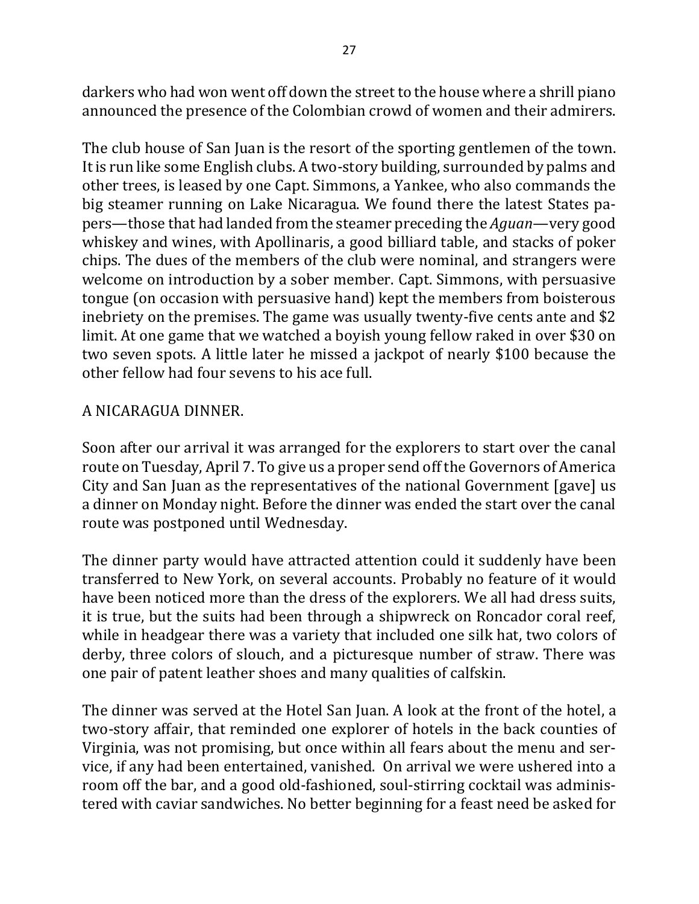darkers who had won went off down the street to the house where a shrill piano announced the presence of the Colombian crowd of women and their admirers.

The club house of San Juan is the resort of the sporting gentlemen of the town. It is run like some English clubs. A two-story building, surrounded by palms and other trees, is leased by one Capt. Simmons, a Yankee, who also commands the big steamer running on Lake Nicaragua. We found there the latest States papers—those that had landed from the steamer preceding the *Aguan*—very good whiskey and wines, with Apollinaris, a good billiard table, and stacks of poker chips. The dues of the members of the club were nominal, and strangers were welcome on introduction by a sober member. Capt. Simmons, with persuasive tongue (on occasion with persuasive hand) kept the members from boisterous inebriety on the premises. The game was usually twenty-five cents ante and  $$2$ limit. At one game that we watched a boyish young fellow raked in over \$30 on two seven spots. A little later he missed a jackpot of nearly \$100 because the other fellow had four sevens to his ace full.

### A NICARAGUA DINNER.

Soon after our arrival it was arranged for the explorers to start over the canal route on Tuesday, April 7. To give us a proper send off the Governors of America City and San Juan as the representatives of the national Government [gave] us a dinner on Monday night. Before the dinner was ended the start over the canal route was postponed until Wednesday.

The dinner party would have attracted attention could it suddenly have been transferred to New York, on several accounts. Probably no feature of it would have been noticed more than the dress of the explorers. We all had dress suits, it is true, but the suits had been through a shipwreck on Roncador coral reef, while in headgear there was a variety that included one silk hat, two colors of derby, three colors of slouch, and a picturesque number of straw. There was one pair of patent leather shoes and many qualities of calfskin.

The dinner was served at the Hotel San Juan. A look at the front of the hotel, a two-story affair, that reminded one explorer of hotels in the back counties of Virginia, was not promising, but once within all fears about the menu and service, if any had been entertained, vanished. On arrival we were ushered into a room off the bar, and a good old-fashioned, soul-stirring cocktail was administered with caviar sandwiches. No better beginning for a feast need be asked for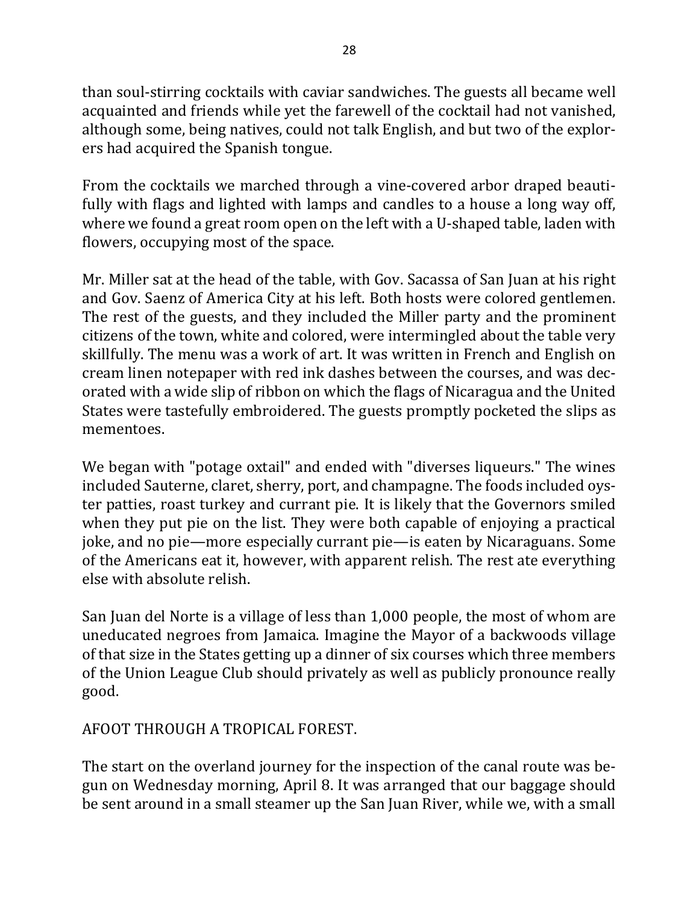than soul-stirring cocktails with caviar sandwiches. The guests all became well acquainted and friends while yet the farewell of the cocktail had not vanished, although some, being natives, could not talk English, and but two of the explorers had acquired the Spanish tongue.

From the cocktails we marched through a vine-covered arbor draped beautifully with flags and lighted with lamps and candles to a house a long way off, where we found a great room open on the left with a U-shaped table, laden with flowers, occupying most of the space.

Mr. Miller sat at the head of the table, with Gov. Sacassa of San Juan at his right and Gov. Saenz of America City at his left. Both hosts were colored gentlemen. The rest of the guests, and they included the Miller party and the prominent citizens of the town, white and colored, were intermingled about the table very skillfully. The menu was a work of art. It was written in French and English on cream linen notepaper with red ink dashes between the courses, and was decorated with a wide slip of ribbon on which the flags of Nicaragua and the United States were tastefully embroidered. The guests promptly pocketed the slips as mementoes.

We began with "potage oxtail" and ended with "diverses liqueurs." The wines included Sauterne, claret, sherry, port, and champagne. The foods included oyster patties, roast turkey and currant pie. It is likely that the Governors smiled when they put pie on the list. They were both capable of enjoying a practical joke, and no pie—more especially currant pie—is eaten by Nicaraguans. Some of the Americans eat it, however, with apparent relish. The rest ate everything else with absolute relish.

San Juan del Norte is a village of less than 1,000 people, the most of whom are uneducated negroes from Jamaica. Imagine the Mayor of a backwoods village of that size in the States getting up a dinner of six courses which three members of the Union League Club should privately as well as publicly pronounce really good.

### AFOOT THROUGH A TROPICAL FOREST.

The start on the overland journey for the inspection of the canal route was begun on Wednesday morning, April 8. It was arranged that our baggage should be sent around in a small steamer up the San Juan River, while we, with a small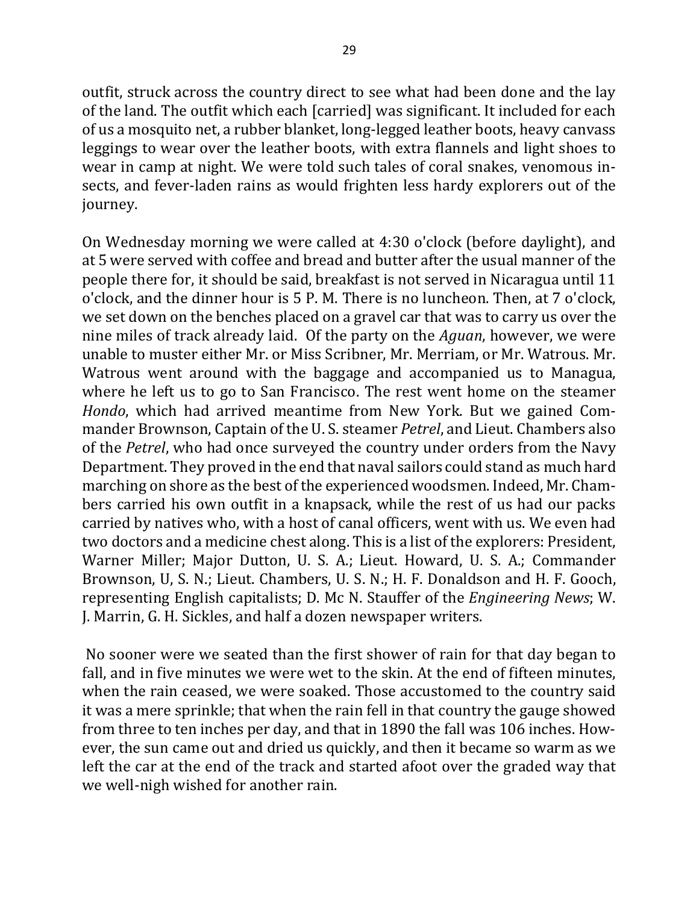outfit, struck across the country direct to see what had been done and the lay of the land. The outfit which each [carried] was significant. It included for each of us a mosquito net, a rubber blanket, long-legged leather boots, heavy canvass leggings to wear over the leather boots, with extra flannels and light shoes to wear in camp at night. We were told such tales of coral snakes, venomous insects, and fever-laden rains as would frighten less hardy explorers out of the journey.

On Wednesday morning we were called at 4:30 o'clock (before daylight), and at 5 were served with coffee and bread and butter after the usual manner of the people there for, it should be said, breakfast is not served in Nicaragua until 11 o'clock, and the dinner hour is 5 P. M. There is no luncheon. Then, at 7 o'clock, we set down on the benches placed on a gravel car that was to carry us over the nine miles of track already laid. Of the party on the *Aguan*, however, we were unable to muster either Mr. or Miss Scribner, Mr. Merriam, or Mr. Watrous. Mr. Watrous went around with the baggage and accompanied us to Managua, where he left us to go to San Francisco. The rest went home on the steamer *Hondo*, which had arrived meantime from New York. But we gained Commander Brownson, Captain of the U.S. steamer *Petrel*, and Lieut. Chambers also of the *Petrel*, who had once surveyed the country under orders from the Navy Department. They proved in the end that naval sailors could stand as much hard marching on shore as the best of the experienced woodsmen. Indeed, Mr. Chambers carried his own outfit in a knapsack, while the rest of us had our packs carried by natives who, with a host of canal officers, went with us. We even had two doctors and a medicine chest along. This is a list of the explorers: President, Warner Miller; Major Dutton, U. S. A.; Lieut. Howard, U. S. A.; Commander Brownson, U, S. N.; Lieut. Chambers, U. S. N.; H. F. Donaldson and H. F. Gooch, representing English capitalists; D. Mc N. Stauffer of the *Engineering News*; W. J. Marrin, G. H. Sickles, and half a dozen newspaper writers.

No sooner were we seated than the first shower of rain for that day began to fall, and in five minutes we were wet to the skin. At the end of fifteen minutes, when the rain ceased, we were soaked. Those accustomed to the country said it was a mere sprinkle; that when the rain fell in that country the gauge showed from three to ten inches per day, and that in 1890 the fall was 106 inches. However, the sun came out and dried us quickly, and then it became so warm as we left the car at the end of the track and started afoot over the graded way that we well-nigh wished for another rain.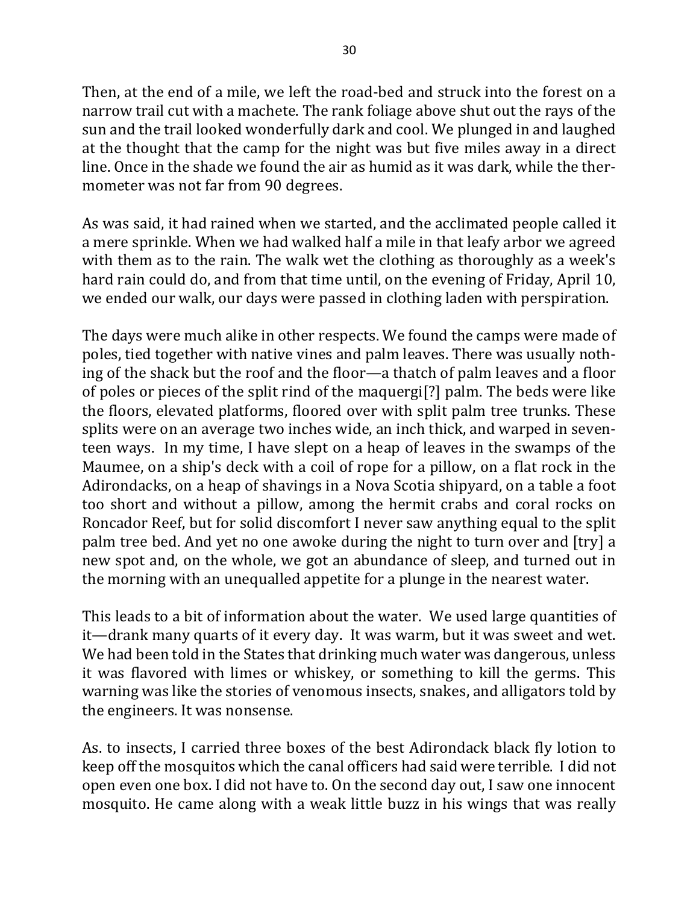Then, at the end of a mile, we left the road-bed and struck into the forest on a narrow trail cut with a machete. The rank foliage above shut out the rays of the sun and the trail looked wonderfully dark and cool. We plunged in and laughed at the thought that the camp for the night was but five miles away in a direct line. Once in the shade we found the air as humid as it was dark, while the thermometer was not far from 90 degrees.

As was said, it had rained when we started, and the acclimated people called it a mere sprinkle. When we had walked half a mile in that leafy arbor we agreed with them as to the rain. The walk wet the clothing as thoroughly as a week's hard rain could do, and from that time until, on the evening of Friday, April 10, we ended our walk, our days were passed in clothing laden with perspiration.

The days were much alike in other respects. We found the camps were made of poles, tied together with native vines and palm leaves. There was usually nothing of the shack but the roof and the floor—a thatch of palm leaves and a floor of poles or pieces of the split rind of the maquergi<sup>[?]</sup> palm. The beds were like the floors, elevated platforms, floored over with split palm tree trunks. These splits were on an average two inches wide, an inch thick, and warped in seventeen ways. In my time, I have slept on a heap of leaves in the swamps of the Maumee, on a ship's deck with a coil of rope for a pillow, on a flat rock in the Adirondacks, on a heap of shavings in a Nova Scotia shipyard, on a table a foot too short and without a pillow, among the hermit crabs and coral rocks on Roncador Reef, but for solid discomfort I never saw anything equal to the split palm tree bed. And yet no one awoke during the night to turn over and [try] a new spot and, on the whole, we got an abundance of sleep, and turned out in the morning with an unequalled appetite for a plunge in the nearest water.

This leads to a bit of information about the water. We used large quantities of it—drank many quarts of it every day. It was warm, but it was sweet and wet. We had been told in the States that drinking much water was dangerous, unless it was flavored with limes or whiskey, or something to kill the germs. This warning was like the stories of venomous insects, snakes, and alligators told by the engineers. It was nonsense.

As. to insects, I carried three boxes of the best Adirondack black fly lotion to keep off the mosquitos which the canal officers had said were terrible. I did not open even one box. I did not have to. On the second day out, I saw one innocent mosquito. He came along with a weak little buzz in his wings that was really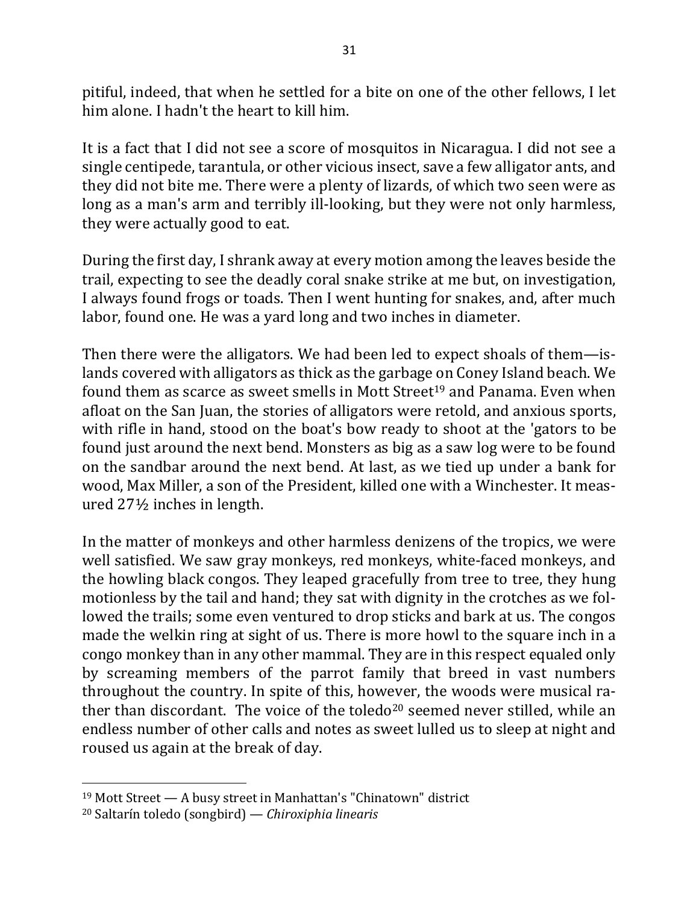pitiful, indeed, that when he settled for a bite on one of the other fellows, I let him alone. I hadn't the heart to kill him.

It is a fact that I did not see a score of mosquitos in Nicaragua. I did not see a single centipede, tarantula, or other vicious insect, save a few alligator ants, and they did not bite me. There were a plenty of lizards, of which two seen were as long as a man's arm and terribly ill-looking, but they were not only harmless, they were actually good to eat.

During the first day, I shrank away at every motion among the leaves beside the trail, expecting to see the deadly coral snake strike at me but, on investigation, I always found frogs or toads. Then I went hunting for snakes, and, after much labor, found one. He was a yard long and two inches in diameter.

Then there were the alligators. We had been led to expect shoals of them—islands covered with alligators as thick as the garbage on Coney Island beach. We found them as scarce as sweet smells in Mott Street<sup>19</sup> and Panama. Even when afloat on the San Juan, the stories of alligators were retold, and anxious sports, with rifle in hand, stood on the boat's bow ready to shoot at the 'gators to be found just around the next bend. Monsters as big as a saw log were to be found on the sandbar around the next bend. At last, as we tied up under a bank for wood, Max Miller, a son of the President, killed one with a Winchester. It measured  $27\frac{1}{2}$  inches in length.

In the matter of monkeys and other harmless denizens of the tropics, we were well satisfied. We saw gray monkeys, red monkeys, white-faced monkeys, and the howling black congos. They leaped gracefully from tree to tree, they hung motionless by the tail and hand; they sat with dignity in the crotches as we followed the trails; some even ventured to drop sticks and bark at us. The congos made the welkin ring at sight of us. There is more howl to the square inch in a congo monkey than in any other mammal. They are in this respect equaled only by screaming members of the parrot family that breed in vast numbers throughout the country. In spite of this, however, the woods were musical rather than discordant. The voice of the toledo<sup>20</sup> seemed never stilled, while an endless number of other calls and notes as sweet lulled us to sleep at night and roused us again at the break of day.

 $19$  Mott Street  $-$  A busy street in Manhattan's "Chinatown" district

<sup>&</sup>lt;sup>20</sup> Saltarín toledo (songbird) — *Chiroxiphia linearis*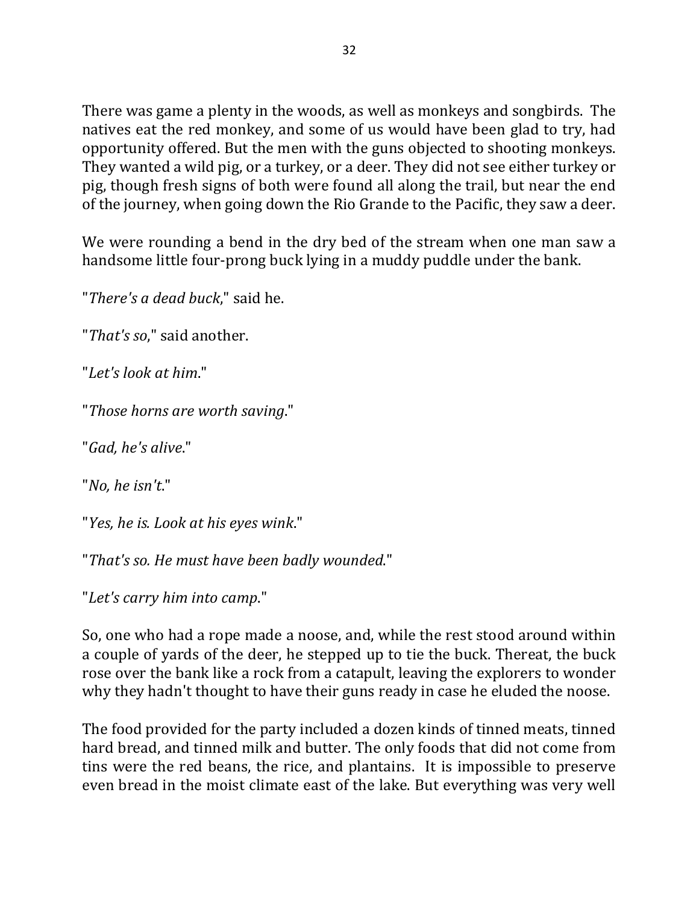There was game a plenty in the woods, as well as monkeys and songbirds. The natives eat the red monkey, and some of us would have been glad to try, had opportunity offered. But the men with the guns objected to shooting monkeys. They wanted a wild pig, or a turkey, or a deer. They did not see either turkey or pig, though fresh signs of both were found all along the trail, but near the end of the journey, when going down the Rio Grande to the Pacific, they saw a deer.

We were rounding a bend in the dry bed of the stream when one man saw a handsome little four-prong buck lying in a muddy puddle under the bank.

"*There's a dead buck*," said he.

"*That's so*," said another.

"*Let's look at him*."

"*Those horns are worth saving*."

"*Gad, he's alive*."

"*No, he isn't*."

"*Yes, he is. Look at his eyes wink*."

"That's so. He must have been badly wounded."

"Let's carry him into camp."

So, one who had a rope made a noose, and, while the rest stood around within a couple of yards of the deer, he stepped up to tie the buck. Thereat, the buck rose over the bank like a rock from a catapult, leaving the explorers to wonder why they hadn't thought to have their guns ready in case he eluded the noose.

The food provided for the party included a dozen kinds of tinned meats, tinned hard bread, and tinned milk and butter. The only foods that did not come from tins were the red beans, the rice, and plantains. It is impossible to preserve even bread in the moist climate east of the lake. But everything was very well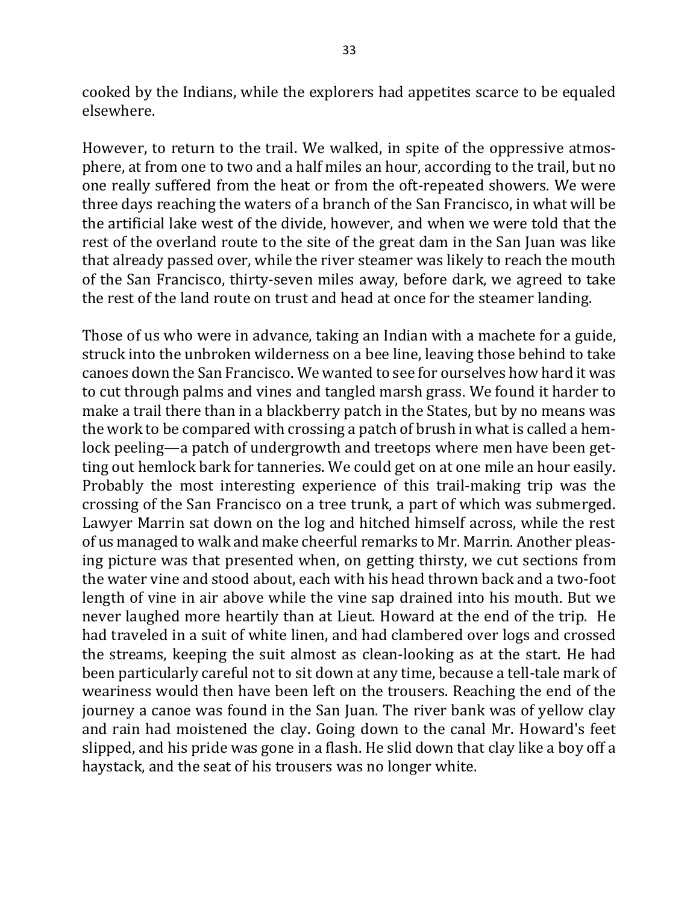cooked by the Indians, while the explorers had appetites scarce to be equaled elsewhere.

However, to return to the trail. We walked, in spite of the oppressive atmosphere, at from one to two and a half miles an hour, according to the trail, but no one really suffered from the heat or from the oft-repeated showers. We were three days reaching the waters of a branch of the San Francisco, in what will be the artificial lake west of the divide, however, and when we were told that the rest of the overland route to the site of the great dam in the San Juan was like that already passed over, while the river steamer was likely to reach the mouth of the San Francisco, thirty-seven miles away, before dark, we agreed to take the rest of the land route on trust and head at once for the steamer landing.

Those of us who were in advance, taking an Indian with a machete for a guide, struck into the unbroken wilderness on a bee line, leaving those behind to take canoes down the San Francisco. We wanted to see for ourselves how hard it was to cut through palms and vines and tangled marsh grass. We found it harder to make a trail there than in a blackberry patch in the States, but by no means was the work to be compared with crossing a patch of brush in what is called a hemlock peeling—a patch of undergrowth and treetops where men have been getting out hemlock bark for tanneries. We could get on at one mile an hour easily. Probably the most interesting experience of this trail-making trip was the crossing of the San Francisco on a tree trunk, a part of which was submerged. Lawyer Marrin sat down on the log and hitched himself across, while the rest of us managed to walk and make cheerful remarks to Mr. Marrin. Another pleasing picture was that presented when, on getting thirsty, we cut sections from the water vine and stood about, each with his head thrown back and a two-foot length of vine in air above while the vine sap drained into his mouth. But we never laughed more heartily than at Lieut. Howard at the end of the trip. He had traveled in a suit of white linen, and had clambered over logs and crossed the streams, keeping the suit almost as clean-looking as at the start. He had been particularly careful not to sit down at any time, because a tell-tale mark of weariness would then have been left on the trousers. Reaching the end of the journey a canoe was found in the San Juan. The river bank was of yellow clay and rain had moistened the clay. Going down to the canal Mr. Howard's feet slipped, and his pride was gone in a flash. He slid down that clay like a boy off a haystack, and the seat of his trousers was no longer white.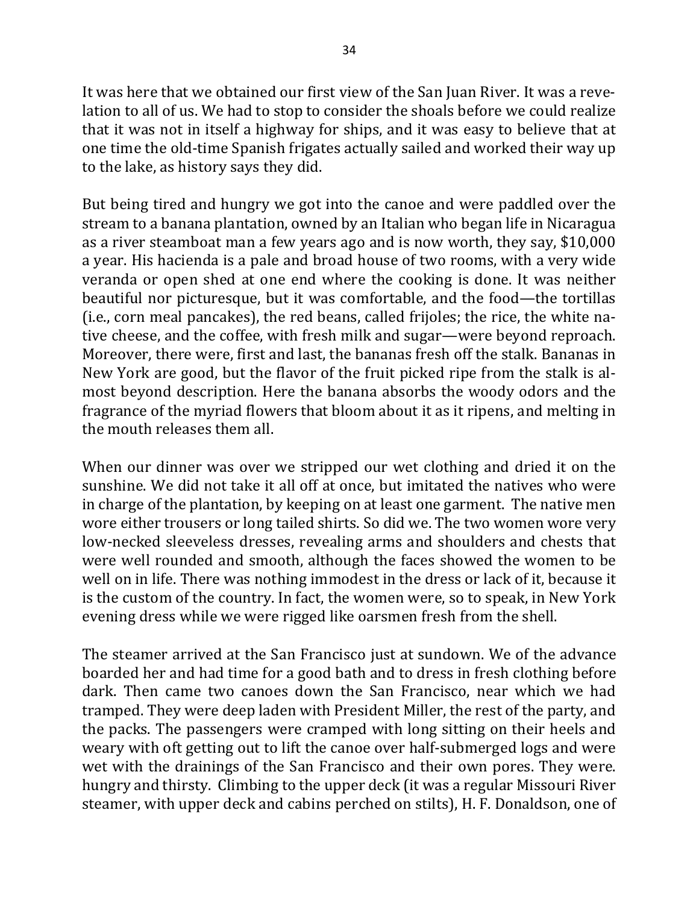It was here that we obtained our first view of the San Juan River. It was a revelation to all of us. We had to stop to consider the shoals before we could realize that it was not in itself a highway for ships, and it was easy to believe that at one time the old-time Spanish frigates actually sailed and worked their way up to the lake, as history says they did.

But being tired and hungry we got into the canoe and were paddled over the stream to a banana plantation, owned by an Italian who began life in Nicaragua as a river steamboat man a few years ago and is now worth, they say, \$10,000 a year. His hacienda is a pale and broad house of two rooms, with a very wide veranda or open shed at one end where the cooking is done. It was neither beautiful nor picturesque, but it was comfortable, and the food—the tortillas (i.e., corn meal pancakes), the red beans, called frijoles; the rice, the white native cheese, and the coffee, with fresh milk and sugar—were beyond reproach. Moreover, there were, first and last, the bananas fresh off the stalk. Bananas in New York are good, but the flavor of the fruit picked ripe from the stalk is almost beyond description. Here the banana absorbs the woody odors and the fragrance of the myriad flowers that bloom about it as it ripens, and melting in the mouth releases them all.

When our dinner was over we stripped our wet clothing and dried it on the sunshine. We did not take it all off at once, but imitated the natives who were in charge of the plantation, by keeping on at least one garment. The native men wore either trousers or long tailed shirts. So did we. The two women wore very low-necked sleeveless dresses, revealing arms and shoulders and chests that were well rounded and smooth, although the faces showed the women to be well on in life. There was nothing immodest in the dress or lack of it, because it is the custom of the country. In fact, the women were, so to speak, in New York evening dress while we were rigged like oarsmen fresh from the shell.

The steamer arrived at the San Francisco just at sundown. We of the advance boarded her and had time for a good bath and to dress in fresh clothing before dark. Then came two canoes down the San Francisco, near which we had tramped. They were deep laden with President Miller, the rest of the party, and the packs. The passengers were cramped with long sitting on their heels and weary with oft getting out to lift the canoe over half-submerged logs and were wet with the drainings of the San Francisco and their own pores. They were. hungry and thirsty. Climbing to the upper deck (it was a regular Missouri River steamer, with upper deck and cabins perched on stilts), H. F. Donaldson, one of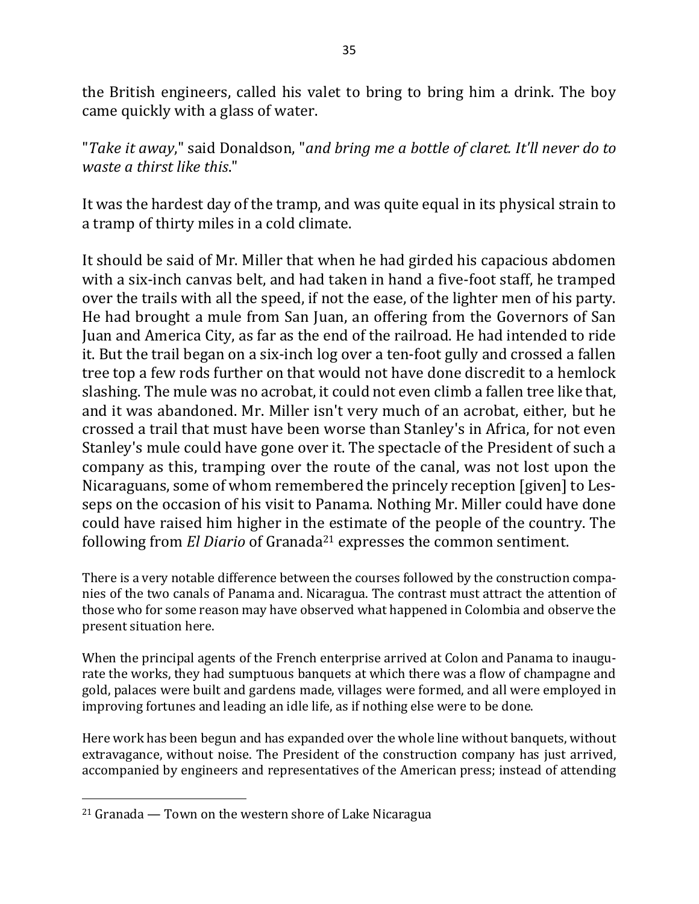the British engineers, called his valet to bring to bring him a drink. The boy came quickly with a glass of water.

"Take it away," said Donaldson, "and bring me a bottle of claret. It'll never do to *waste a thirst like this.*"

It was the hardest day of the tramp, and was quite equal in its physical strain to a tramp of thirty miles in a cold climate.

It should be said of Mr. Miller that when he had girded his capacious abdomen with a six-inch canvas belt, and had taken in hand a five-foot staff, he tramped over the trails with all the speed, if not the ease, of the lighter men of his party. He had brought a mule from San Juan, an offering from the Governors of San Juan and America City, as far as the end of the railroad. He had intended to ride it. But the trail began on a six-inch log over a ten-foot gully and crossed a fallen tree top a few rods further on that would not have done discredit to a hemlock slashing. The mule was no acrobat, it could not even climb a fallen tree like that, and it was abandoned. Mr. Miller isn't very much of an acrobat, either, but he crossed a trail that must have been worse than Stanley's in Africa, for not even Stanley's mule could have gone over it. The spectacle of the President of such a company as this, tramping over the route of the canal, was not lost upon the Nicaraguans, some of whom remembered the princely reception [given] to Lesseps on the occasion of his visit to Panama. Nothing Mr. Miller could have done could have raised him higher in the estimate of the people of the country. The following from *El Diario* of Granada<sup>21</sup> expresses the common sentiment.

There is a very notable difference between the courses followed by the construction companies of the two canals of Panama and. Nicaragua. The contrast must attract the attention of those who for some reason may have observed what happened in Colombia and observe the present situation here.

When the principal agents of the French enterprise arrived at Colon and Panama to inaugurate the works, they had sumptuous banquets at which there was a flow of champagne and gold, palaces were built and gardens made, villages were formed, and all were employed in improving fortunes and leading an idle life, as if nothing else were to be done.

Here work has been begun and has expanded over the whole line without banquets, without extravagance, without noise. The President of the construction company has just arrived, accompanied by engineers and representatives of the American press; instead of attending

 $21$  Granada — Town on the western shore of Lake Nicaragua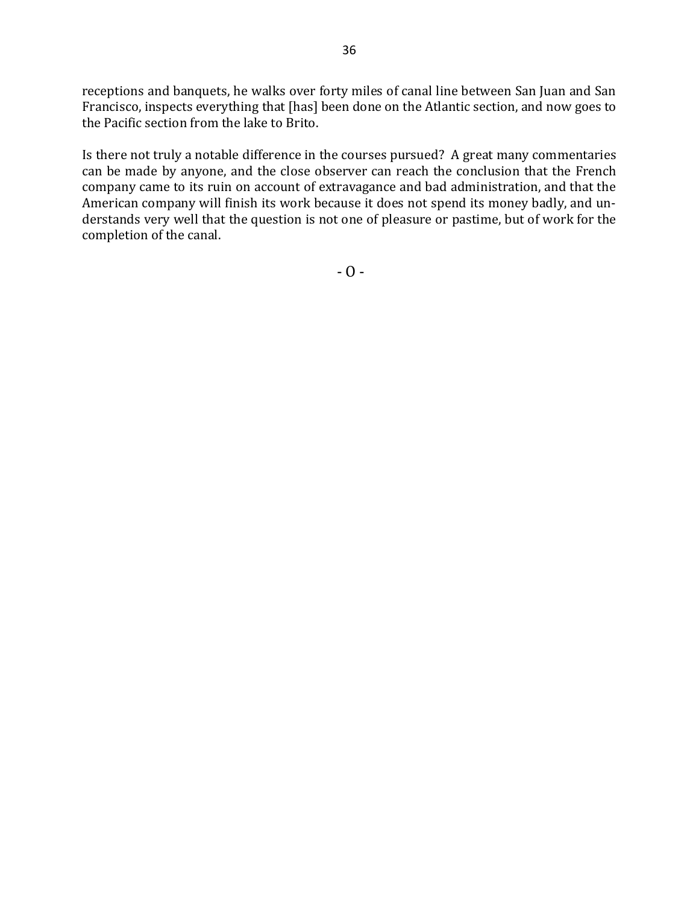receptions and banquets, he walks over forty miles of canal line between San Juan and San Francisco, inspects everything that [has] been done on the Atlantic section, and now goes to the Pacific section from the lake to Brito.

Is there not truly a notable difference in the courses pursued? A great many commentaries can be made by anyone, and the close observer can reach the conclusion that the French company came to its ruin on account of extravagance and bad administration, and that the American company will finish its work because it does not spend its money badly, and understands very well that the question is not one of pleasure or pastime, but of work for the completion of the canal.

 $- 0 -$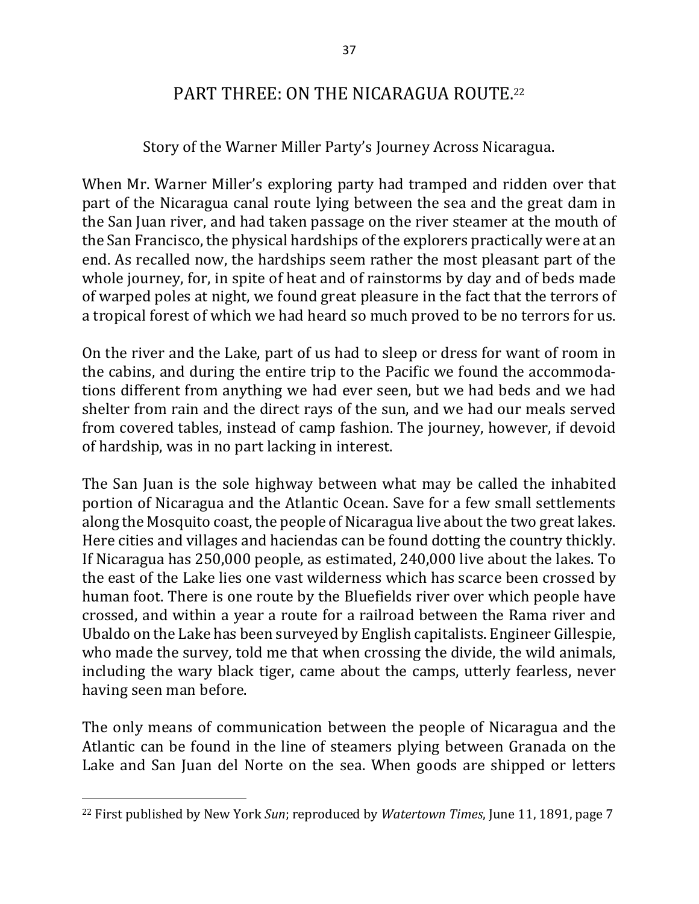# PART THREE: ON THE NICARAGUA ROUTE.<sup>22</sup>

### Story of the Warner Miller Party's Journey Across Nicaragua.

When Mr. Warner Miller's exploring party had tramped and ridden over that part of the Nicaragua canal route lying between the sea and the great dam in the San Juan river, and had taken passage on the river steamer at the mouth of the San Francisco, the physical hardships of the explorers practically were at an end. As recalled now, the hardships seem rather the most pleasant part of the whole journey, for, in spite of heat and of rainstorms by day and of beds made of warped poles at night, we found great pleasure in the fact that the terrors of a tropical forest of which we had heard so much proved to be no terrors for us.

On the river and the Lake, part of us had to sleep or dress for want of room in the cabins, and during the entire trip to the Pacific we found the accommodations different from anything we had ever seen, but we had beds and we had shelter from rain and the direct rays of the sun, and we had our meals served from covered tables, instead of camp fashion. The journey, however, if devoid of hardship, was in no part lacking in interest.

The San Juan is the sole highway between what may be called the inhabited portion of Nicaragua and the Atlantic Ocean. Save for a few small settlements along the Mosquito coast, the people of Nicaragua live about the two great lakes. Here cities and villages and haciendas can be found dotting the country thickly. If Nicaragua has  $250,000$  people, as estimated,  $240,000$  live about the lakes. To the east of the Lake lies one vast wilderness which has scarce been crossed by human foot. There is one route by the Bluefields river over which people have crossed, and within a year a route for a railroad between the Rama river and Ubaldo on the Lake has been surveyed by English capitalists. Engineer Gillespie, who made the survey, told me that when crossing the divide, the wild animals, including the wary black tiger, came about the camps, utterly fearless, never having seen man before.

The only means of communication between the people of Nicaragua and the Atlantic can be found in the line of steamers plying between Granada on the Lake and San Juan del Norte on the sea. When goods are shipped or letters

 $\overline{\phantom{a}}$ 

<sup>&</sup>lt;sup>22</sup> First published by New York *Sun*; reproduced by *Watertown Times*, June 11, 1891, page 7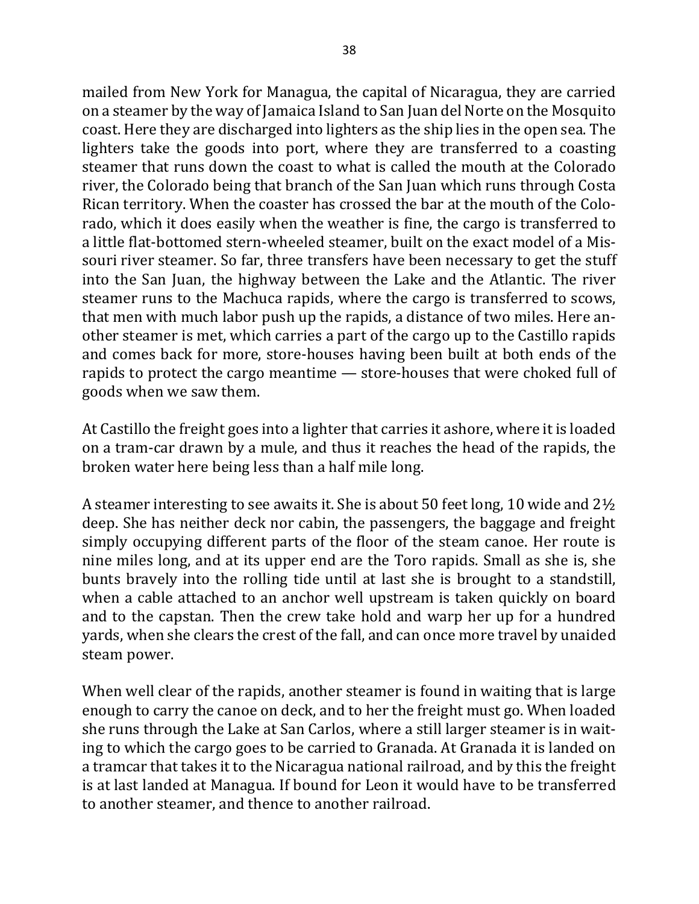mailed from New York for Managua, the capital of Nicaragua, they are carried on a steamer by the way of Jamaica Island to San Juan del Norte on the Mosquito coast. Here they are discharged into lighters as the ship lies in the open sea. The lighters take the goods into port, where they are transferred to a coasting steamer that runs down the coast to what is called the mouth at the Colorado river, the Colorado being that branch of the San Juan which runs through Costa Rican territory. When the coaster has crossed the bar at the mouth of the Colorado, which it does easily when the weather is fine, the cargo is transferred to a little flat-bottomed stern-wheeled steamer, built on the exact model of a Missouri river steamer. So far, three transfers have been necessary to get the stuff into the San Juan, the highway between the Lake and the Atlantic. The river steamer runs to the Machuca rapids, where the cargo is transferred to scows, that men with much labor push up the rapids, a distance of two miles. Here another steamer is met, which carries a part of the cargo up to the Castillo rapids and comes back for more, store-houses having been built at both ends of the rapids to protect the cargo meantime  $-$  store-houses that were choked full of goods when we saw them.

At Castillo the freight goes into a lighter that carries it ashore, where it is loaded on a tram-car drawn by a mule, and thus it reaches the head of the rapids, the broken water here being less than a half mile long.

A steamer interesting to see awaits it. She is about 50 feet long, 10 wide and  $2\frac{1}{2}$ deep. She has neither deck nor cabin, the passengers, the baggage and freight simply occupying different parts of the floor of the steam canoe. Her route is nine miles long, and at its upper end are the Toro rapids. Small as she is, she bunts bravely into the rolling tide until at last she is brought to a standstill, when a cable attached to an anchor well upstream is taken quickly on board and to the capstan. Then the crew take hold and warp her up for a hundred yards, when she clears the crest of the fall, and can once more travel by unaided steam power.

When well clear of the rapids, another steamer is found in waiting that is large enough to carry the canoe on deck, and to her the freight must go. When loaded she runs through the Lake at San Carlos, where a still larger steamer is in waiting to which the cargo goes to be carried to Granada. At Granada it is landed on a tramcar that takes it to the Nicaragua national railroad, and by this the freight is at last landed at Managua. If bound for Leon it would have to be transferred to another steamer, and thence to another railroad.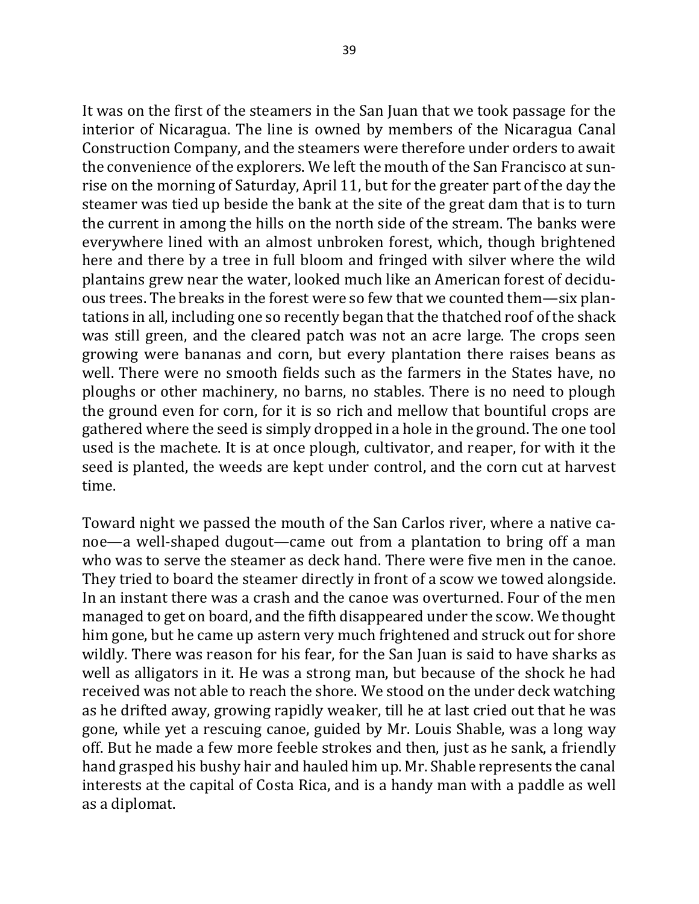It was on the first of the steamers in the San Juan that we took passage for the interior of Nicaragua. The line is owned by members of the Nicaragua Canal Construction Company, and the steamers were therefore under orders to await the convenience of the explorers. We left the mouth of the San Francisco at sunrise on the morning of Saturday, April 11, but for the greater part of the day the steamer was tied up beside the bank at the site of the great dam that is to turn the current in among the hills on the north side of the stream. The banks were everywhere lined with an almost unbroken forest, which, though brightened here and there by a tree in full bloom and fringed with silver where the wild plantains grew near the water, looked much like an American forest of deciduous trees. The breaks in the forest were so few that we counted them—six plantations in all, including one so recently began that the thatched roof of the shack was still green, and the cleared patch was not an acre large. The crops seen growing were bananas and corn, but every plantation there raises beans as well. There were no smooth fields such as the farmers in the States have, no ploughs or other machinery, no barns, no stables. There is no need to plough the ground even for corn, for it is so rich and mellow that bountiful crops are gathered where the seed is simply dropped in a hole in the ground. The one tool used is the machete. It is at once plough, cultivator, and reaper, for with it the seed is planted, the weeds are kept under control, and the corn cut at harvest time.

Toward night we passed the mouth of the San Carlos river, where a native canoe—a well-shaped dugout—came out from a plantation to bring off a man who was to serve the steamer as deck hand. There were five men in the canoe. They tried to board the steamer directly in front of a scow we towed alongside. In an instant there was a crash and the canoe was overturned. Four of the men managed to get on board, and the fifth disappeared under the scow. We thought him gone, but he came up astern very much frightened and struck out for shore wildly. There was reason for his fear, for the San Juan is said to have sharks as well as alligators in it. He was a strong man, but because of the shock he had received was not able to reach the shore. We stood on the under deck watching as he drifted away, growing rapidly weaker, till he at last cried out that he was gone, while yet a rescuing canoe, guided by Mr. Louis Shable, was a long way off. But he made a few more feeble strokes and then, just as he sank, a friendly hand grasped his bushy hair and hauled him up. Mr. Shable represents the canal interests at the capital of Costa Rica, and is a handy man with a paddle as well as a diplomat.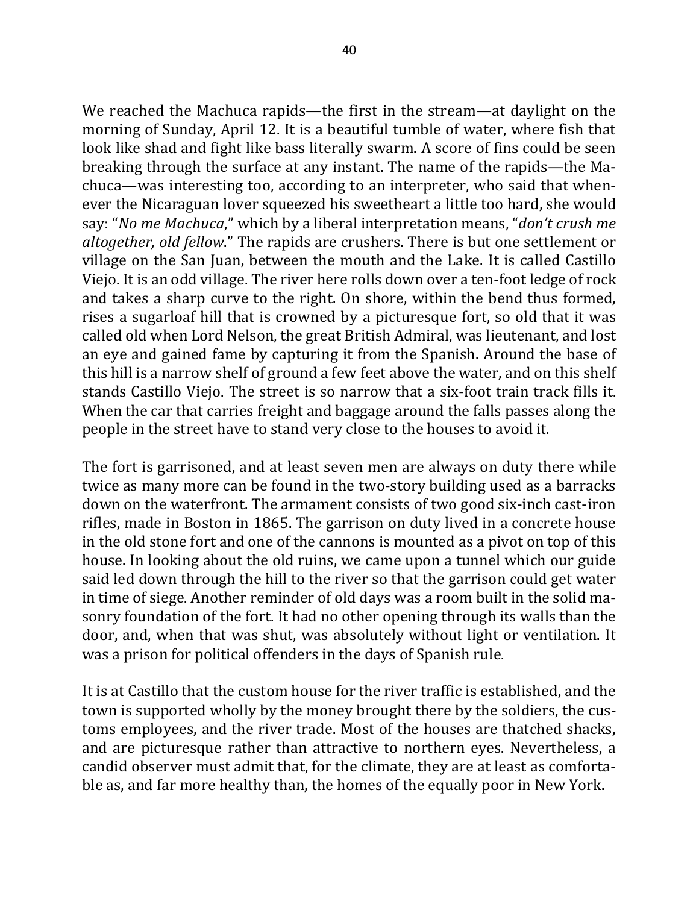We reached the Machuca rapids—the first in the stream—at daylight on the morning of Sunday, April 12. It is a beautiful tumble of water, where fish that look like shad and fight like bass literally swarm. A score of fins could be seen breaking through the surface at any instant. The name of the rapids—the Machuca—was interesting too, according to an interpreter, who said that whenever the Nicaraguan lover squeezed his sweetheart a little too hard, she would say: "*No me Machuca*," which by a liberal interpretation means, "*don't crush me altogether, old fellow.*" The rapids are crushers. There is but one settlement or village on the San Juan, between the mouth and the Lake. It is called Castillo Viejo. It is an odd village. The river here rolls down over a ten-foot ledge of rock and takes a sharp curve to the right. On shore, within the bend thus formed, rises a sugarloaf hill that is crowned by a picturesque fort, so old that it was called old when Lord Nelson, the great British Admiral, was lieutenant, and lost an eye and gained fame by capturing it from the Spanish. Around the base of this hill is a narrow shelf of ground a few feet above the water, and on this shelf stands Castillo Viejo. The street is so narrow that a six-foot train track fills it. When the car that carries freight and baggage around the falls passes along the people in the street have to stand very close to the houses to avoid it.

The fort is garrisoned, and at least seven men are always on duty there while twice as many more can be found in the two-story building used as a barracks down on the waterfront. The armament consists of two good six-inch cast-iron rifles, made in Boston in 1865. The garrison on duty lived in a concrete house in the old stone fort and one of the cannons is mounted as a pivot on top of this house. In looking about the old ruins, we came upon a tunnel which our guide said led down through the hill to the river so that the garrison could get water in time of siege. Another reminder of old days was a room built in the solid masonry foundation of the fort. It had no other opening through its walls than the door, and, when that was shut, was absolutely without light or ventilation. It was a prison for political offenders in the days of Spanish rule.

It is at Castillo that the custom house for the river traffic is established, and the town is supported wholly by the money brought there by the soldiers, the customs employees, and the river trade. Most of the houses are thatched shacks, and are picturesque rather than attractive to northern eyes. Nevertheless, a candid observer must admit that, for the climate, they are at least as comfortable as, and far more healthy than, the homes of the equally poor in New York.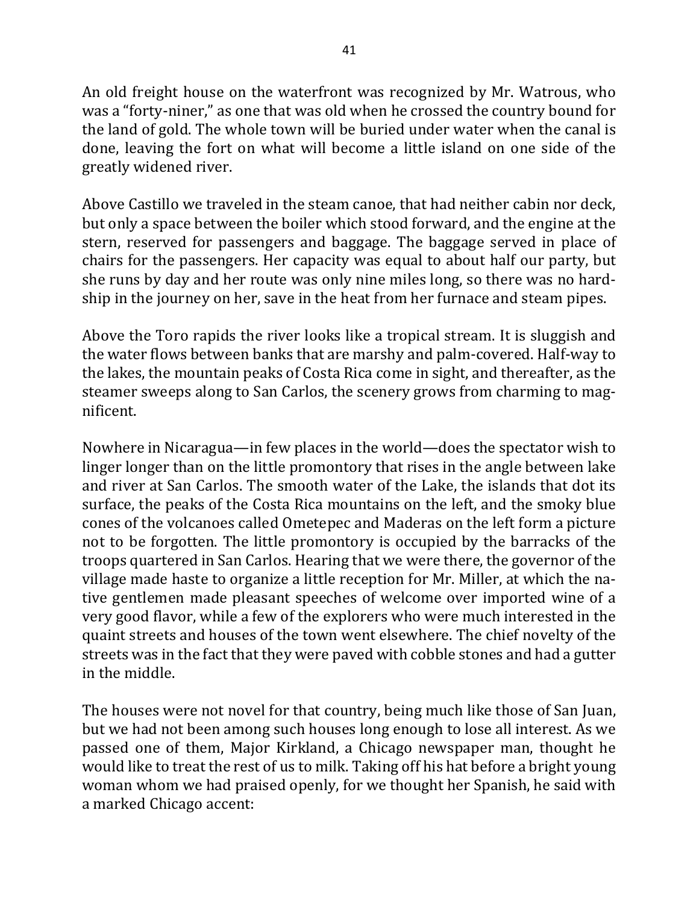An old freight house on the waterfront was recognized by Mr. Watrous, who was a "forty-niner," as one that was old when he crossed the country bound for the land of gold. The whole town will be buried under water when the canal is done, leaving the fort on what will become a little island on one side of the greatly widened river.

Above Castillo we traveled in the steam canoe, that had neither cabin nor deck, but only a space between the boiler which stood forward, and the engine at the stern, reserved for passengers and baggage. The baggage served in place of chairs for the passengers. Her capacity was equal to about half our party, but she runs by day and her route was only nine miles long, so there was no hardship in the journey on her, save in the heat from her furnace and steam pipes.

Above the Toro rapids the river looks like a tropical stream. It is sluggish and the water flows between banks that are marshy and palm-covered. Half-way to the lakes, the mountain peaks of Costa Rica come in sight, and thereafter, as the steamer sweeps along to San Carlos, the scenery grows from charming to magnificent. 

Nowhere in Nicaragua—in few places in the world—does the spectator wish to linger longer than on the little promontory that rises in the angle between lake and river at San Carlos. The smooth water of the Lake, the islands that dot its surface, the peaks of the Costa Rica mountains on the left, and the smoky blue cones of the volcanoes called Ometepec and Maderas on the left form a picture not to be forgotten. The little promontory is occupied by the barracks of the troops quartered in San Carlos. Hearing that we were there, the governor of the village made haste to organize a little reception for Mr. Miller, at which the native gentlemen made pleasant speeches of welcome over imported wine of a very good flavor, while a few of the explorers who were much interested in the quaint streets and houses of the town went elsewhere. The chief novelty of the streets was in the fact that they were paved with cobble stones and had a gutter in the middle.

The houses were not novel for that country, being much like those of San Juan, but we had not been among such houses long enough to lose all interest. As we passed one of them, Major Kirkland, a Chicago newspaper man, thought he would like to treat the rest of us to milk. Taking off his hat before a bright young woman whom we had praised openly, for we thought her Spanish, he said with a marked Chicago accent: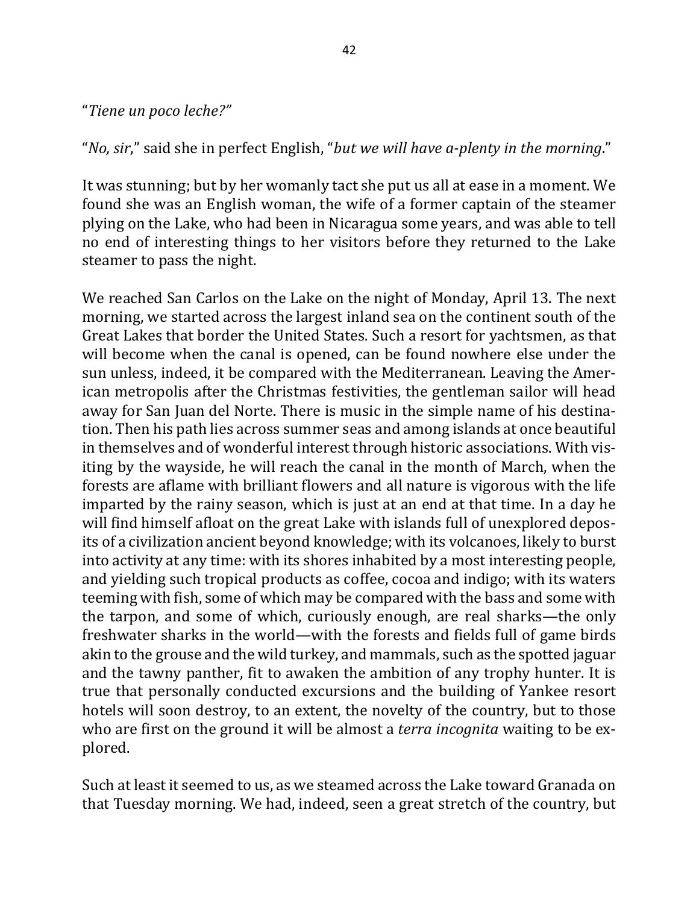#### "*Tiene un poco leche?"*

"*No, sir*," said she in perfect English, "*but we will have a-plenty in the morning*."

It was stunning; but by her womanly tact she put us all at ease in a moment. We found she was an English woman, the wife of a former captain of the steamer plying on the Lake, who had been in Nicaragua some years, and was able to tell no end of interesting things to her visitors before they returned to the Lake steamer to pass the night.

We reached San Carlos on the Lake on the night of Monday, April 13. The next morning, we started across the largest inland sea on the continent south of the Great Lakes that border the United States. Such a resort for yachtsmen, as that will become when the canal is opened, can be found nowhere else under the sun unless, indeed, it be compared with the Mediterranean. Leaving the American metropolis after the Christmas festivities, the gentleman sailor will head away for San Juan del Norte. There is music in the simple name of his destination. Then his path lies across summer seas and among islands at once beautiful in themselves and of wonderful interest through historic associations. With visiting by the wayside, he will reach the canal in the month of March, when the forests are aflame with brilliant flowers and all nature is vigorous with the life imparted by the rainy season, which is just at an end at that time. In a day he will find himself afloat on the great Lake with islands full of unexplored deposits of a civilization ancient beyond knowledge; with its volcanoes, likely to burst into activity at any time: with its shores inhabited by a most interesting people, and yielding such tropical products as coffee, cocoa and indigo; with its waters teeming with fish, some of which may be compared with the bass and some with the tarpon, and some of which, curiously enough, are real sharks—the only freshwater sharks in the world—with the forests and fields full of game birds akin to the grouse and the wild turkey, and mammals, such as the spotted jaguar and the tawny panther, fit to awaken the ambition of any trophy hunter. It is true that personally conducted excursions and the building of Yankee resort hotels will soon destroy, to an extent, the novelty of the country, but to those who are first on the ground it will be almost a *terra incognita* waiting to be explored. 

Such at least it seemed to us, as we steamed across the Lake toward Granada on that Tuesday morning. We had, indeed, seen a great stretch of the country, but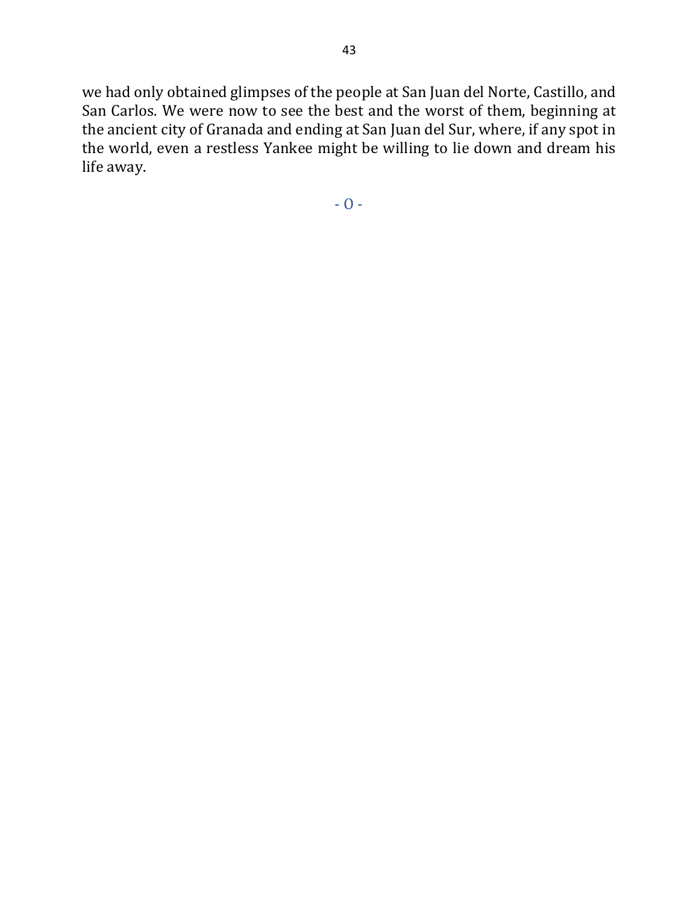we had only obtained glimpses of the people at San Juan del Norte, Castillo, and San Carlos. We were now to see the best and the worst of them, beginning at the ancient city of Granada and ending at San Juan del Sur, where, if any spot in the world, even a restless Yankee might be willing to lie down and dream his life away.

 $- 0 -$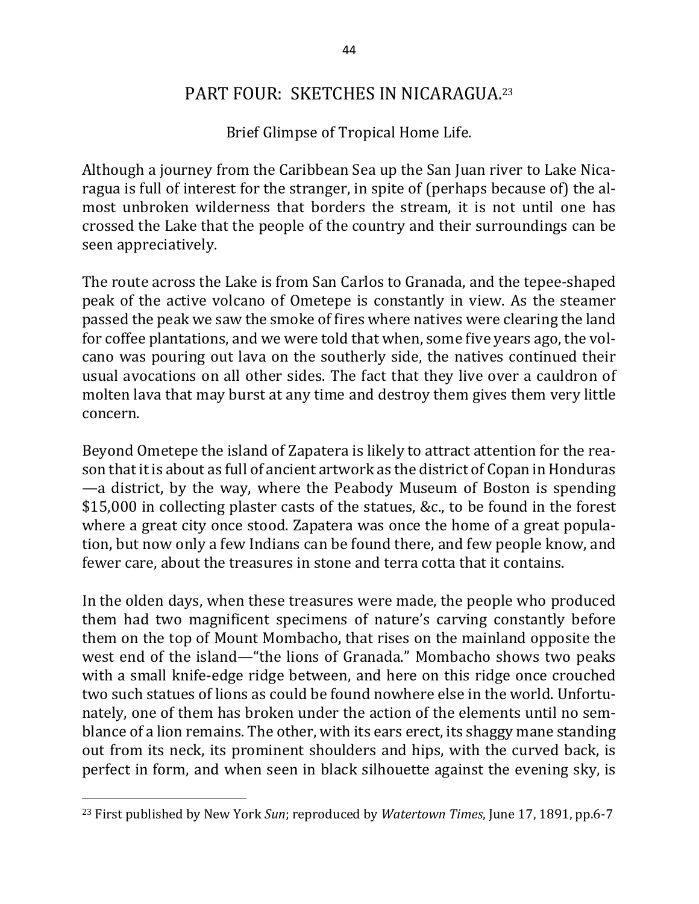## PART FOUR: SKETCHES IN NICARAGUA.<sup>23</sup>

Brief Glimpse of Tropical Home Life.

Although a journey from the Caribbean Sea up the San Juan river to Lake Nicaragua is full of interest for the stranger, in spite of (perhaps because of) the almost unbroken wilderness that borders the stream, it is not until one has crossed the Lake that the people of the country and their surroundings can be seen appreciatively.

The route across the Lake is from San Carlos to Granada, and the tepee-shaped peak of the active volcano of Ometepe is constantly in view. As the steamer passed the peak we saw the smoke of fires where natives were clearing the land for coffee plantations, and we were told that when, some five years ago, the volcano was pouring out lava on the southerly side, the natives continued their usual avocations on all other sides. The fact that they live over a cauldron of molten lava that may burst at any time and destroy them gives them very little concern. 

Beyond Ometepe the island of Zapatera is likely to attract attention for the reason that it is about as full of ancient artwork as the district of Copan in Honduras  $\sim$  a district, by the way, where the Peabody Museum of Boston is spending  $$15,000$  in collecting plaster casts of the statues, &c., to be found in the forest where a great city once stood. Zapatera was once the home of a great population, but now only a few Indians can be found there, and few people know, and fewer care, about the treasures in stone and terra cotta that it contains.

In the olden days, when these treasures were made, the people who produced them had two magnificent specimens of nature's carving constantly before them on the top of Mount Mombacho, that rises on the mainland opposite the west end of the island—"the lions of Granada." Mombacho shows two peaks with a small knife-edge ridge between, and here on this ridge once crouched two such statues of lions as could be found nowhere else in the world. Unfortunately, one of them has broken under the action of the elements until no semblance of a lion remains. The other, with its ears erect, its shaggy mane standing out from its neck, its prominent shoulders and hips, with the curved back, is perfect in form, and when seen in black silhouette against the evening sky, is

 $\overline{\phantom{a}}$ 

<sup>&</sup>lt;sup>23</sup> First published by New York *Sun*; reproduced by *Watertown Times*, June 17, 1891, pp.6-7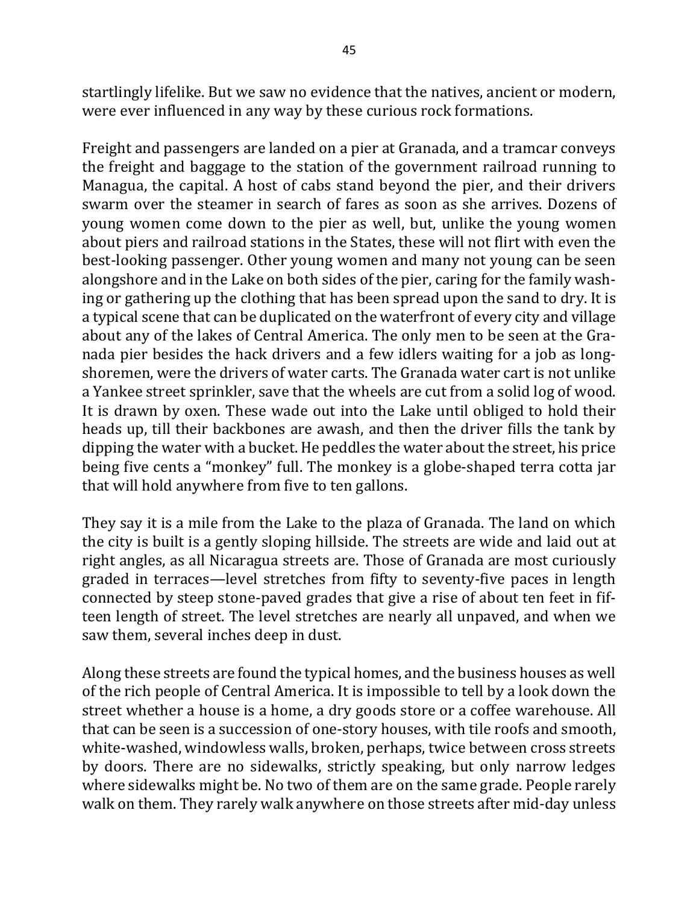startlingly lifelike. But we saw no evidence that the natives, ancient or modern, were ever influenced in any way by these curious rock formations.

Freight and passengers are landed on a pier at Granada, and a tramcar conveys the freight and baggage to the station of the government railroad running to Managua, the capital. A host of cabs stand beyond the pier, and their drivers swarm over the steamer in search of fares as soon as she arrives. Dozens of young women come down to the pier as well, but, unlike the young women about piers and railroad stations in the States, these will not flirt with even the best-looking passenger. Other young women and many not young can be seen alongshore and in the Lake on both sides of the pier, caring for the family washing or gathering up the clothing that has been spread upon the sand to dry. It is a typical scene that can be duplicated on the waterfront of every city and village about any of the lakes of Central America. The only men to be seen at the Granada pier besides the hack drivers and a few idlers waiting for a job as longshoremen, were the drivers of water carts. The Granada water cart is not unlike a Yankee street sprinkler, save that the wheels are cut from a solid log of wood. It is drawn by oxen. These wade out into the Lake until obliged to hold their heads up, till their backbones are awash, and then the driver fills the tank by dipping the water with a bucket. He peddles the water about the street, his price being five cents a "monkey" full. The monkey is a globe-shaped terra cotta jar that will hold anywhere from five to ten gallons.

They say it is a mile from the Lake to the plaza of Granada. The land on which the city is built is a gently sloping hillside. The streets are wide and laid out at right angles, as all Nicaragua streets are. Those of Granada are most curiously graded in terraces—level stretches from fifty to seventy-five paces in length connected by steep stone-paved grades that give a rise of about ten feet in fifteen length of street. The level stretches are nearly all unpaved, and when we saw them, several inches deep in dust.

Along these streets are found the typical homes, and the business houses as well of the rich people of Central America. It is impossible to tell by a look down the street whether a house is a home, a dry goods store or a coffee warehouse. All that can be seen is a succession of one-story houses, with tile roofs and smooth, white-washed, windowless walls, broken, perhaps, twice between cross streets by doors. There are no sidewalks, strictly speaking, but only narrow ledges where sidewalks might be. No two of them are on the same grade. People rarely walk on them. They rarely walk anywhere on those streets after mid-day unless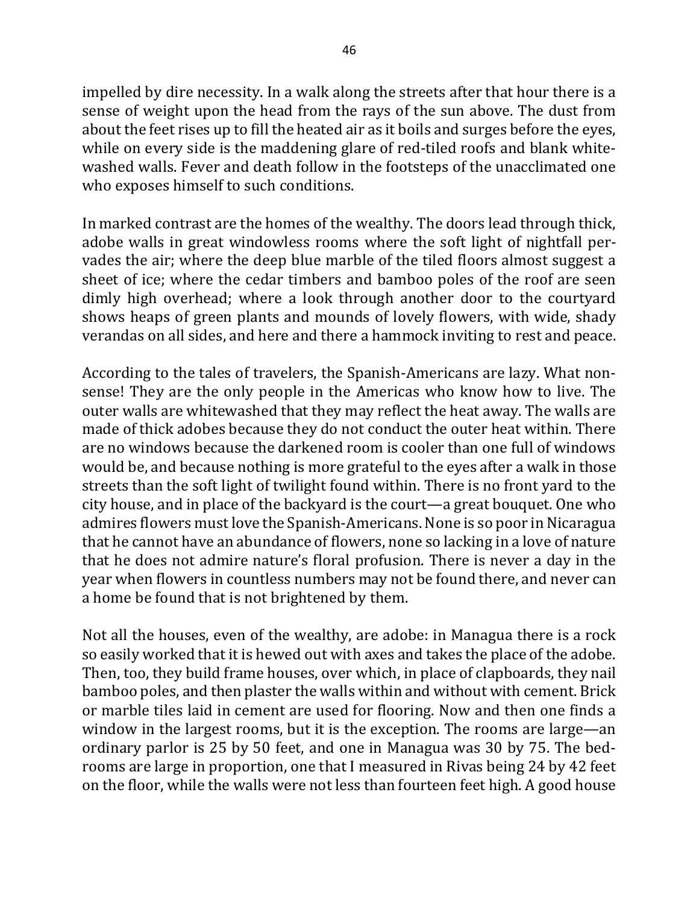impelled by dire necessity. In a walk along the streets after that hour there is a sense of weight upon the head from the rays of the sun above. The dust from about the feet rises up to fill the heated air as it boils and surges before the eyes, while on every side is the maddening glare of red-tiled roofs and blank whitewashed walls. Fever and death follow in the footsteps of the unacclimated one who exposes himself to such conditions.

In marked contrast are the homes of the wealthy. The doors lead through thick, adobe walls in great windowless rooms where the soft light of nightfall pervades the air; where the deep blue marble of the tiled floors almost suggest a sheet of ice; where the cedar timbers and bamboo poles of the roof are seen dimly high overhead; where a look through another door to the courtyard shows heaps of green plants and mounds of lovely flowers, with wide, shady verandas on all sides, and here and there a hammock inviting to rest and peace.

According to the tales of travelers, the Spanish-Americans are lazy. What nonsense! They are the only people in the Americas who know how to live. The outer walls are whitewashed that they may reflect the heat away. The walls are made of thick adobes because they do not conduct the outer heat within. There are no windows because the darkened room is cooler than one full of windows would be, and because nothing is more grateful to the eyes after a walk in those streets than the soft light of twilight found within. There is no front yard to the city house, and in place of the backyard is the court—a great bouquet. One who admires flowers must love the Spanish-Americans. None is so poor in Nicaragua that he cannot have an abundance of flowers, none so lacking in a love of nature that he does not admire nature's floral profusion. There is never a day in the year when flowers in countless numbers may not be found there, and never can a home be found that is not brightened by them.

Not all the houses, even of the wealthy, are adobe: in Managua there is a rock so easily worked that it is hewed out with axes and takes the place of the adobe. Then, too, they build frame houses, over which, in place of clapboards, they nail bamboo poles, and then plaster the walls within and without with cement. Brick or marble tiles laid in cement are used for flooring. Now and then one finds a window in the largest rooms, but it is the exception. The rooms are large—an ordinary parlor is 25 by 50 feet, and one in Managua was 30 by 75. The bedrooms are large in proportion, one that I measured in Rivas being 24 by 42 feet on the floor, while the walls were not less than fourteen feet high. A good house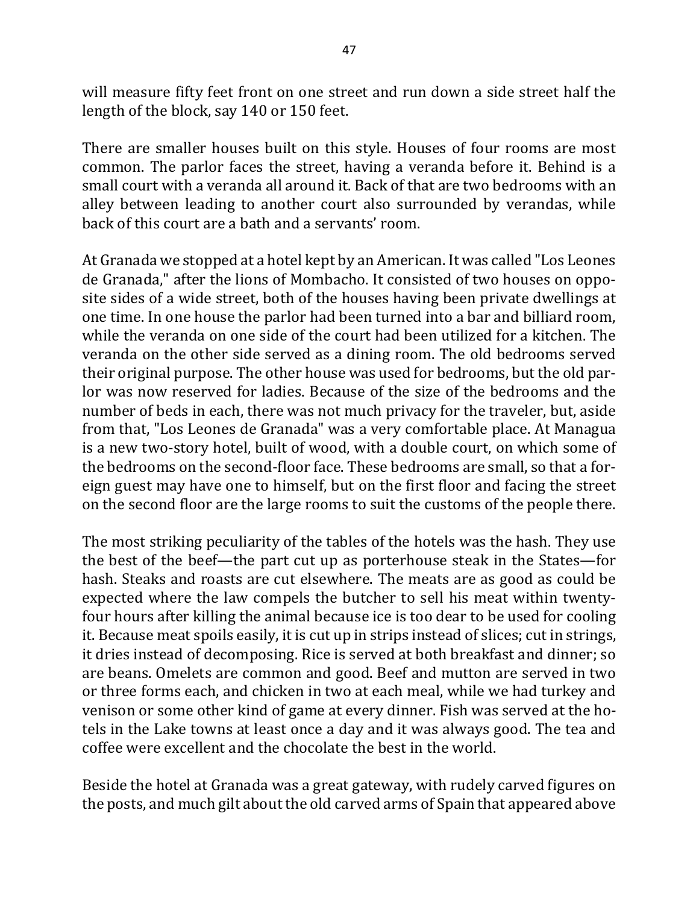will measure fifty feet front on one street and run down a side street half the length of the block, say 140 or 150 feet.

There are smaller houses built on this style. Houses of four rooms are most common. The parlor faces the street, having a veranda before it. Behind is a small court with a veranda all around it. Back of that are two bedrooms with an alley between leading to another court also surrounded by verandas, while back of this court are a bath and a servants' room.

At Granada we stopped at a hotel kept by an American. It was called "Los Leones" de Granada," after the lions of Mombacho. It consisted of two houses on opposite sides of a wide street, both of the houses having been private dwellings at one time. In one house the parlor had been turned into a bar and billiard room, while the veranda on one side of the court had been utilized for a kitchen. The veranda on the other side served as a dining room. The old bedrooms served their original purpose. The other house was used for bedrooms, but the old parlor was now reserved for ladies. Because of the size of the bedrooms and the number of beds in each, there was not much privacy for the traveler, but, aside from that, "Los Leones de Granada" was a very comfortable place. At Managua is a new two-story hotel, built of wood, with a double court, on which some of the bedrooms on the second-floor face. These bedrooms are small, so that a foreign guest may have one to himself, but on the first floor and facing the street on the second floor are the large rooms to suit the customs of the people there.

The most striking peculiarity of the tables of the hotels was the hash. They use the best of the beef—the part cut up as porterhouse steak in the States—for hash. Steaks and roasts are cut elsewhere. The meats are as good as could be expected where the law compels the butcher to sell his meat within twentyfour hours after killing the animal because ice is too dear to be used for cooling it. Because meat spoils easily, it is cut up in strips instead of slices; cut in strings, it dries instead of decomposing. Rice is served at both breakfast and dinner; so are beans. Omelets are common and good. Beef and mutton are served in two or three forms each, and chicken in two at each meal, while we had turkey and venison or some other kind of game at every dinner. Fish was served at the hotels in the Lake towns at least once a day and it was always good. The tea and coffee were excellent and the chocolate the best in the world.

Beside the hotel at Granada was a great gateway, with rudely carved figures on the posts, and much gilt about the old carved arms of Spain that appeared above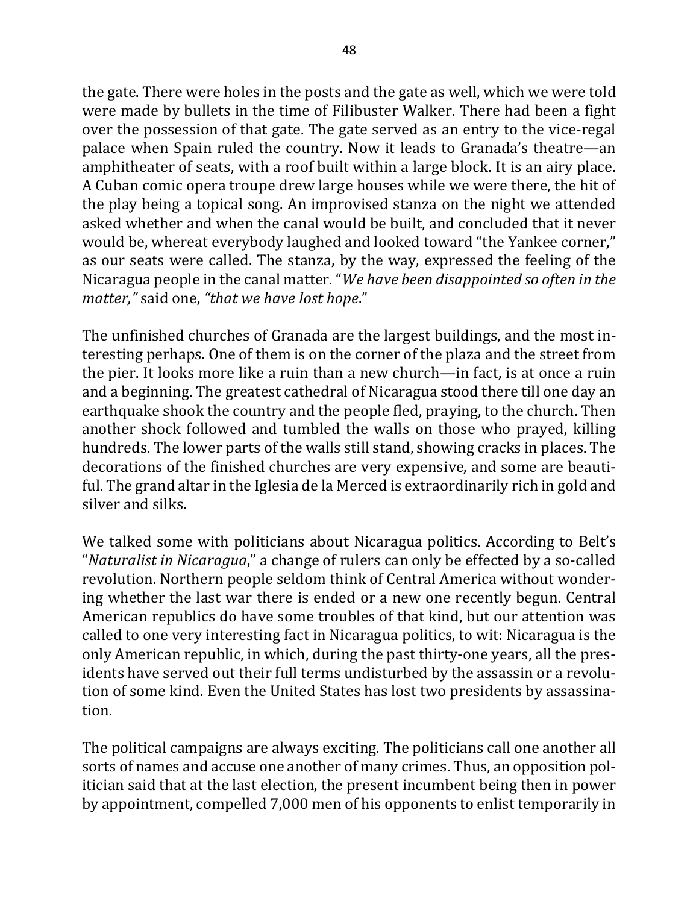the gate. There were holes in the posts and the gate as well, which we were told were made by bullets in the time of Filibuster Walker. There had been a fight over the possession of that gate. The gate served as an entry to the vice-regal palace when Spain ruled the country. Now it leads to Granada's theatre—an amphitheater of seats, with a roof built within a large block. It is an airy place. A Cuban comic opera troupe drew large houses while we were there, the hit of the play being a topical song. An improvised stanza on the night we attended asked whether and when the canal would be built, and concluded that it never would be, whereat everybody laughed and looked toward "the Yankee corner," as our seats were called. The stanza, by the way, expressed the feeling of the Nicaragua people in the canal matter. "*We have been disappointed so often in the matter,"* said one, "that we have lost hope."

The unfinished churches of Granada are the largest buildings, and the most interesting perhaps. One of them is on the corner of the plaza and the street from the pier. It looks more like a ruin than a new church—in fact, is at once a ruin and a beginning. The greatest cathedral of Nicaragua stood there till one day an earthquake shook the country and the people fled, praying, to the church. Then another shock followed and tumbled the walls on those who prayed, killing hundreds. The lower parts of the walls still stand, showing cracks in places. The decorations of the finished churches are very expensive, and some are beautiful. The grand altar in the Iglesia de la Merced is extraordinarily rich in gold and silver and silks.

We talked some with politicians about Nicaragua politics. According to Belt's "*Naturalist in Nicaragua*," a change of rulers can only be effected by a so-called revolution. Northern people seldom think of Central America without wondering whether the last war there is ended or a new one recently begun. Central American republics do have some troubles of that kind, but our attention was called to one very interesting fact in Nicaragua politics, to wit: Nicaragua is the only American republic, in which, during the past thirty-one years, all the presidents have served out their full terms undisturbed by the assassin or a revolution of some kind. Even the United States has lost two presidents by assassination. 

The political campaigns are always exciting. The politicians call one another all sorts of names and accuse one another of many crimes. Thus, an opposition politician said that at the last election, the present incumbent being then in power by appointment, compelled 7,000 men of his opponents to enlist temporarily in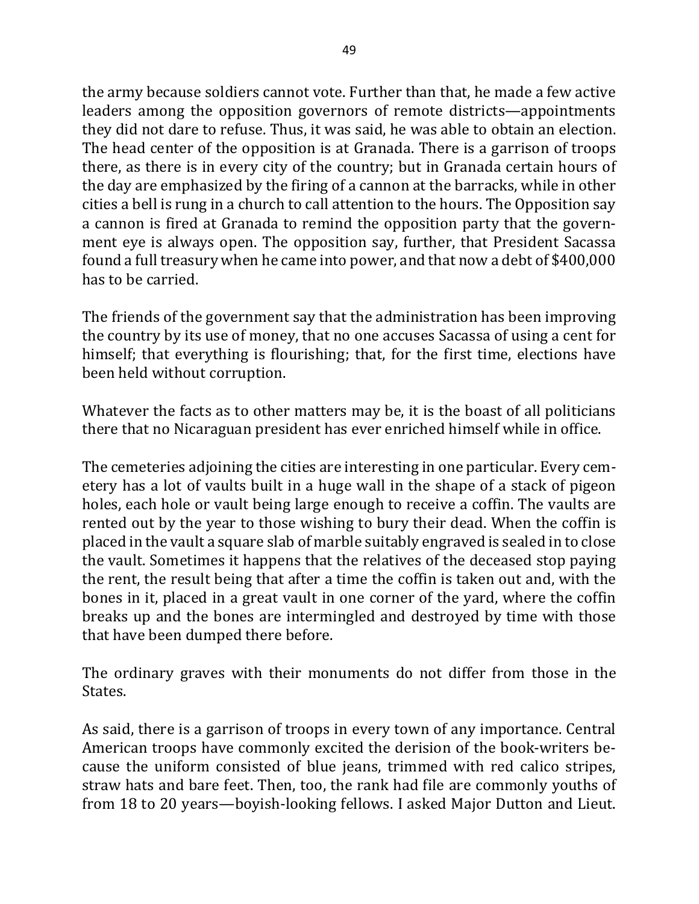the army because soldiers cannot vote. Further than that, he made a few active leaders among the opposition governors of remote districts—appointments they did not dare to refuse. Thus, it was said, he was able to obtain an election. The head center of the opposition is at Granada. There is a garrison of troops there, as there is in every city of the country; but in Granada certain hours of the day are emphasized by the firing of a cannon at the barracks, while in other cities a bell is rung in a church to call attention to the hours. The Opposition say a cannon is fired at Granada to remind the opposition party that the government eye is always open. The opposition say, further, that President Sacassa found a full treasury when he came into power, and that now a debt of \$400,000 has to be carried.

The friends of the government say that the administration has been improving the country by its use of money, that no one accuses Sacassa of using a cent for himself; that everything is flourishing; that, for the first time, elections have been held without corruption.

Whatever the facts as to other matters may be, it is the boast of all politicians there that no Nicaraguan president has ever enriched himself while in office.

The cemeteries adjoining the cities are interesting in one particular. Every cemetery has a lot of vaults built in a huge wall in the shape of a stack of pigeon holes, each hole or vault being large enough to receive a coffin. The vaults are rented out by the year to those wishing to bury their dead. When the coffin is placed in the vault a square slab of marble suitably engraved is sealed in to close the vault. Sometimes it happens that the relatives of the deceased stop paying the rent, the result being that after a time the coffin is taken out and, with the bones in it, placed in a great vault in one corner of the vard, where the coffin breaks up and the bones are intermingled and destroyed by time with those that have been dumped there before.

The ordinary graves with their monuments do not differ from those in the States. 

As said, there is a garrison of troops in every town of any importance. Central American troops have commonly excited the derision of the book-writers because the uniform consisted of blue jeans, trimmed with red calico stripes, straw hats and bare feet. Then, too, the rank had file are commonly youths of from 18 to 20 years—boyish-looking fellows. I asked Major Dutton and Lieut.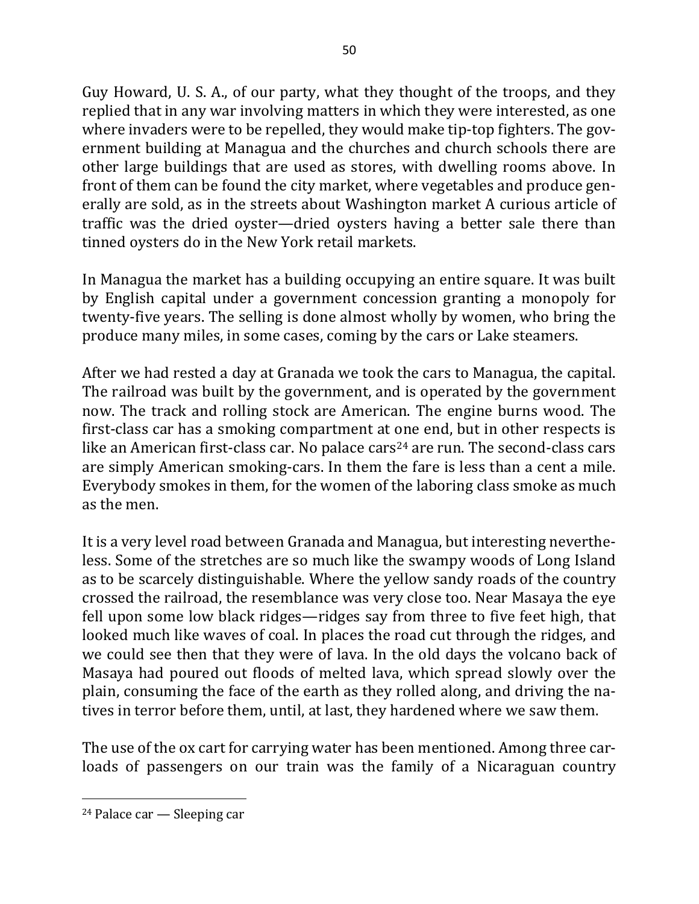Guy Howard, U. S. A., of our party, what they thought of the troops, and they replied that in any war involving matters in which they were interested, as one where invaders were to be repelled, they would make tip-top fighters. The government building at Managua and the churches and church schools there are other large buildings that are used as stores, with dwelling rooms above. In front of them can be found the city market, where vegetables and produce generally are sold, as in the streets about Washington market A curious article of traffic was the dried oyster—dried oysters having a better sale there than tinned oysters do in the New York retail markets.

In Managua the market has a building occupying an entire square. It was built by English capital under a government concession granting a monopoly for twenty-five years. The selling is done almost wholly by women, who bring the produce many miles, in some cases, coming by the cars or Lake steamers.

After we had rested a day at Granada we took the cars to Managua, the capital. The railroad was built by the government, and is operated by the government now. The track and rolling stock are American. The engine burns wood. The first-class car has a smoking compartment at one end, but in other respects is like an American first-class car. No palace  $cars<sup>24</sup>$  are run. The second-class cars are simply American smoking-cars. In them the fare is less than a cent a mile. Everybody smokes in them, for the women of the laboring class smoke as much as the men.

It is a very level road between Granada and Managua, but interesting nevertheless. Some of the stretches are so much like the swampy woods of Long Island as to be scarcely distinguishable. Where the yellow sandy roads of the country crossed the railroad, the resemblance was very close too. Near Masaya the eye fell upon some low black ridges—ridges say from three to five feet high, that looked much like waves of coal. In places the road cut through the ridges, and we could see then that they were of lava. In the old days the volcano back of Masaya had poured out floods of melted lava, which spread slowly over the plain, consuming the face of the earth as they rolled along, and driving the natives in terror before them, until, at last, they hardened where we saw them.

The use of the ox cart for carrying water has been mentioned. Among three carloads of passengers on our train was the family of a Nicaraguan country

 $\overline{\phantom{a}}$ 

 $24$  Palace car  $-$  Sleeping car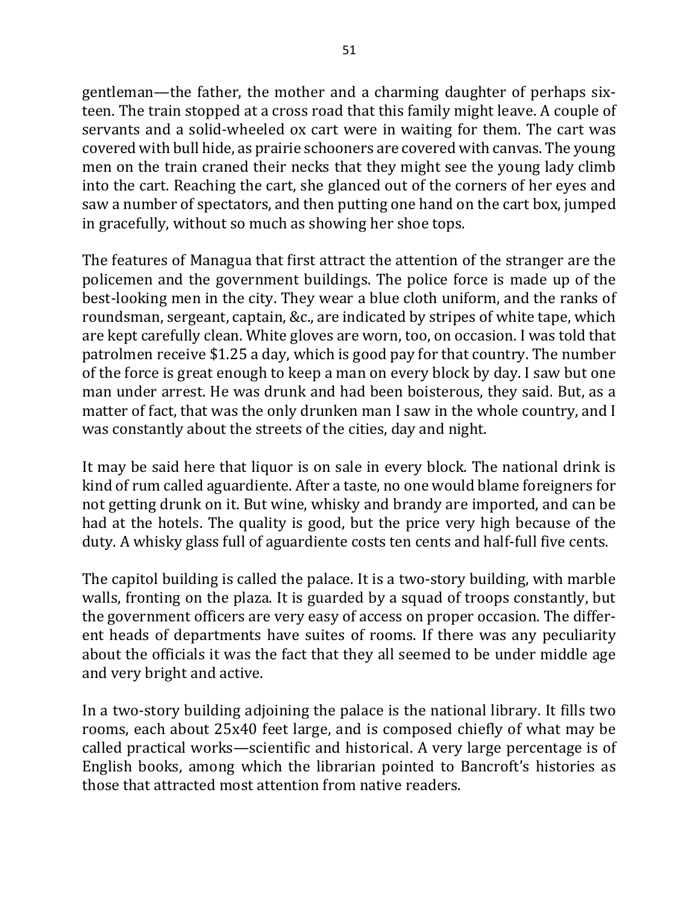gentleman—the father, the mother and a charming daughter of perhaps sixteen. The train stopped at a cross road that this family might leave. A couple of servants and a solid-wheeled ox cart were in waiting for them. The cart was covered with bull hide, as prairie schooners are covered with canvas. The young men on the train craned their necks that they might see the young lady climb into the cart. Reaching the cart, she glanced out of the corners of her eyes and saw a number of spectators, and then putting one hand on the cart box, jumped in gracefully, without so much as showing her shoe tops.

The features of Managua that first attract the attention of the stranger are the policemen and the government buildings. The police force is made up of the best-looking men in the city. They wear a blue cloth uniform, and the ranks of roundsman, sergeant, captain, &c., are indicated by stripes of white tape, which are kept carefully clean. White gloves are worn, too, on occasion. I was told that patrolmen receive \$1.25 a day, which is good pay for that country. The number of the force is great enough to keep a man on every block by day. I saw but one man under arrest. He was drunk and had been boisterous, they said. But, as a matter of fact, that was the only drunken man I saw in the whole country, and I was constantly about the streets of the cities, day and night.

It may be said here that liquor is on sale in every block. The national drink is kind of rum called aguardiente. After a taste, no one would blame foreigners for not getting drunk on it. But wine, whisky and brandy are imported, and can be had at the hotels. The quality is good, but the price very high because of the duty. A whisky glass full of aguardiente costs ten cents and half-full five cents.

The capitol building is called the palace. It is a two-story building, with marble walls, fronting on the plaza. It is guarded by a squad of troops constantly, but the government officers are very easy of access on proper occasion. The different heads of departments have suites of rooms. If there was any peculiarity about the officials it was the fact that they all seemed to be under middle age and very bright and active.

In a two-story building adjoining the palace is the national library. It fills two rooms, each about 25x40 feet large, and is composed chiefly of what may be called practical works—scientific and historical. A very large percentage is of English books, among which the librarian pointed to Bancroft's histories as those that attracted most attention from native readers.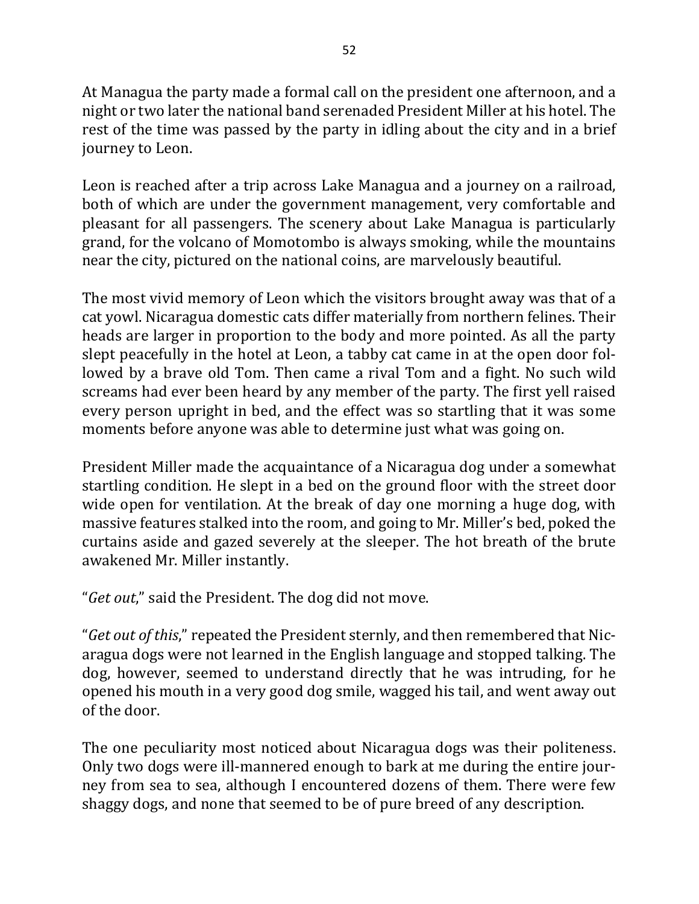At Managua the party made a formal call on the president one afternoon, and a night or two later the national band serenaded President Miller at his hotel. The rest of the time was passed by the party in idling about the city and in a brief journey to Leon.

Leon is reached after a trip across Lake Managua and a journey on a railroad, both of which are under the government management, very comfortable and pleasant for all passengers. The scenery about Lake Managua is particularly grand, for the volcano of Momotombo is always smoking, while the mountains near the city, pictured on the national coins, are marvelously beautiful.

The most vivid memory of Leon which the visitors brought away was that of a cat yowl. Nicaragua domestic cats differ materially from northern felines. Their heads are larger in proportion to the body and more pointed. As all the party slept peacefully in the hotel at Leon, a tabby cat came in at the open door followed by a brave old Tom. Then came a rival Tom and a fight. No such wild screams had ever been heard by any member of the party. The first yell raised every person upright in bed, and the effect was so startling that it was some moments before anyone was able to determine just what was going on.

President Miller made the acquaintance of a Nicaragua dog under a somewhat startling condition. He slept in a bed on the ground floor with the street door wide open for ventilation. At the break of day one morning a huge dog, with massive features stalked into the room, and going to Mr. Miller's bed, poked the curtains aside and gazed severely at the sleeper. The hot breath of the brute awakened Mr. Miller instantly.

"*Get out*," said the President. The dog did not move.

"*Get out of this*," repeated the President sternly, and then remembered that Nicaragua dogs were not learned in the English language and stopped talking. The dog, however, seemed to understand directly that he was intruding, for he opened his mouth in a very good dog smile, wagged his tail, and went away out of the door.

The one peculiarity most noticed about Nicaragua dogs was their politeness. Only two dogs were ill-mannered enough to bark at me during the entire journey from sea to sea, although I encountered dozens of them. There were few shaggy dogs, and none that seemed to be of pure breed of any description.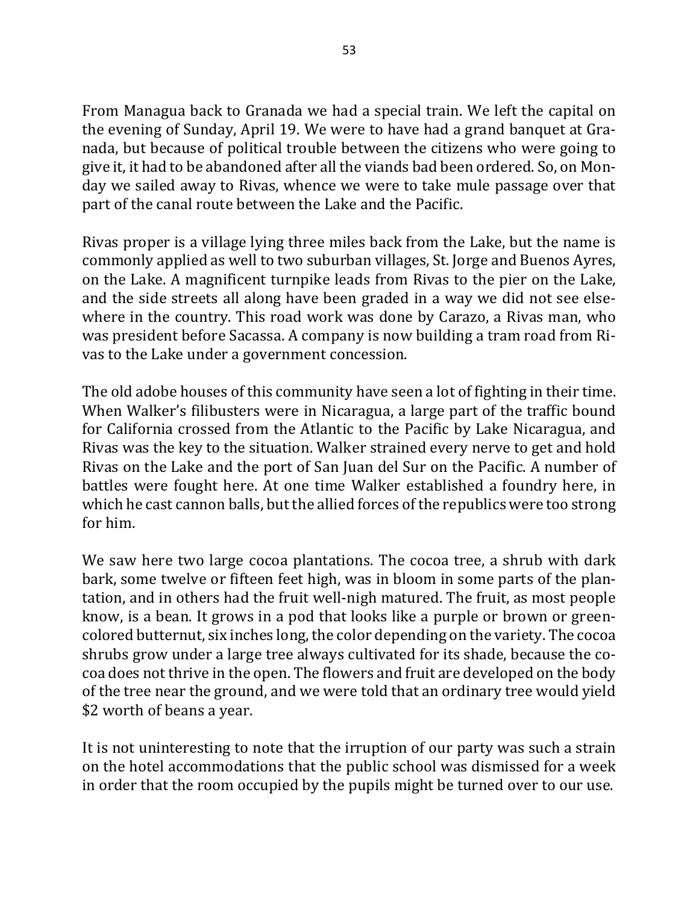From Managua back to Granada we had a special train. We left the capital on the evening of Sunday, April 19. We were to have had a grand banquet at Granada, but because of political trouble between the citizens who were going to give it, it had to be abandoned after all the viands bad been ordered. So, on Monday we sailed away to Rivas, whence we were to take mule passage over that part of the canal route between the Lake and the Pacific.

Rivas proper is a village lying three miles back from the Lake, but the name is commonly applied as well to two suburban villages, St. Jorge and Buenos Ayres, on the Lake. A magnificent turnpike leads from Rivas to the pier on the Lake, and the side streets all along have been graded in a way we did not see elsewhere in the country. This road work was done by Carazo, a Rivas man, who was president before Sacassa. A company is now building a tram road from Rivas to the Lake under a government concession.

The old adobe houses of this community have seen a lot of fighting in their time. When Walker's filibusters were in Nicaragua, a large part of the traffic bound for California crossed from the Atlantic to the Pacific by Lake Nicaragua, and Rivas was the key to the situation. Walker strained every nerve to get and hold Rivas on the Lake and the port of San Juan del Sur on the Pacific. A number of battles were fought here. At one time Walker established a foundry here, in which he cast cannon balls, but the allied forces of the republics were too strong for him.

We saw here two large cocoa plantations. The cocoa tree, a shrub with dark bark, some twelve or fifteen feet high, was in bloom in some parts of the plantation, and in others had the fruit well-nigh matured. The fruit, as most people know, is a bean. It grows in a pod that looks like a purple or brown or greencolored butternut, six inches long, the color depending on the variety. The cocoa shrubs grow under a large tree always cultivated for its shade, because the cocoa does not thrive in the open. The flowers and fruit are developed on the body of the tree near the ground, and we were told that an ordinary tree would yield \$2 worth of beans a year.

It is not uninteresting to note that the irruption of our party was such a strain on the hotel accommodations that the public school was dismissed for a week in order that the room occupied by the pupils might be turned over to our use.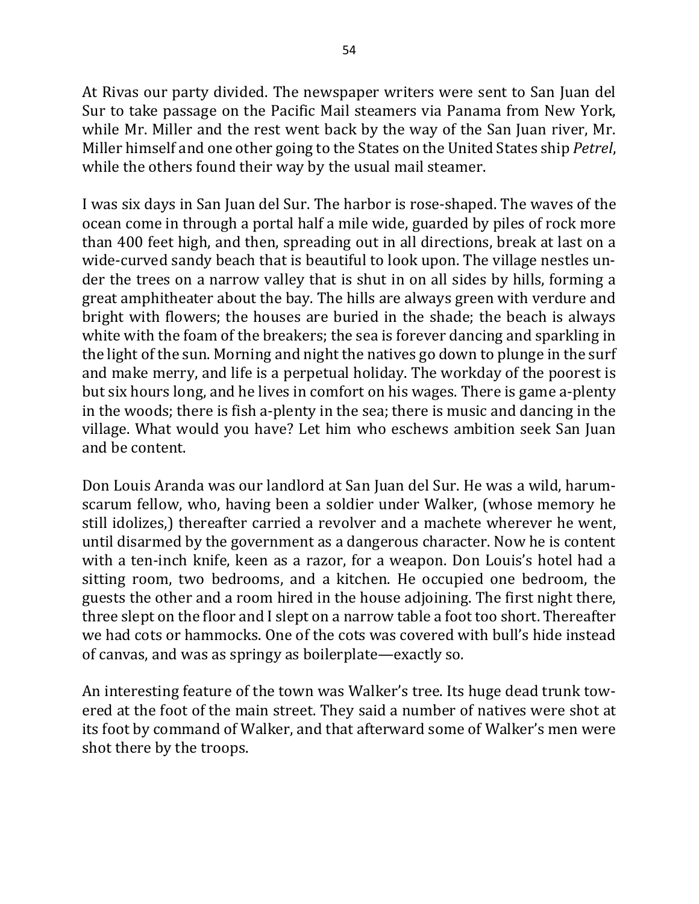At Rivas our party divided. The newspaper writers were sent to San Juan del Sur to take passage on the Pacific Mail steamers via Panama from New York, while Mr. Miller and the rest went back by the way of the San Juan river, Mr. Miller himself and one other going to the States on the United States ship *Petrel*, while the others found their way by the usual mail steamer.

I was six days in San Juan del Sur. The harbor is rose-shaped. The waves of the ocean come in through a portal half a mile wide, guarded by piles of rock more than 400 feet high, and then, spreading out in all directions, break at last on a wide-curved sandy beach that is beautiful to look upon. The village nestles under the trees on a narrow valley that is shut in on all sides by hills, forming a great amphitheater about the bay. The hills are always green with verdure and bright with flowers; the houses are buried in the shade; the beach is always white with the foam of the breakers; the sea is forever dancing and sparkling in the light of the sun. Morning and night the natives go down to plunge in the surf and make merry, and life is a perpetual holiday. The workday of the poorest is but six hours long, and he lives in comfort on his wages. There is game a-plenty in the woods; there is fish a-plenty in the sea; there is music and dancing in the village. What would you have? Let him who eschews ambition seek San Juan and be content. 

Don Louis Aranda was our landlord at San Juan del Sur. He was a wild, harumscarum fellow, who, having been a soldier under Walker, (whose memory he still idolizes,) thereafter carried a revolver and a machete wherever he went, until disarmed by the government as a dangerous character. Now he is content with a ten-inch knife, keen as a razor, for a weapon. Don Louis's hotel had a sitting room, two bedrooms, and a kitchen. He occupied one bedroom, the guests the other and a room hired in the house adjoining. The first night there, three slept on the floor and I slept on a narrow table a foot too short. Thereafter we had cots or hammocks. One of the cots was covered with bull's hide instead of canvas, and was as springy as boilerplate—exactly so.

An interesting feature of the town was Walker's tree. Its huge dead trunk towered at the foot of the main street. They said a number of natives were shot at its foot by command of Walker, and that afterward some of Walker's men were shot there by the troops.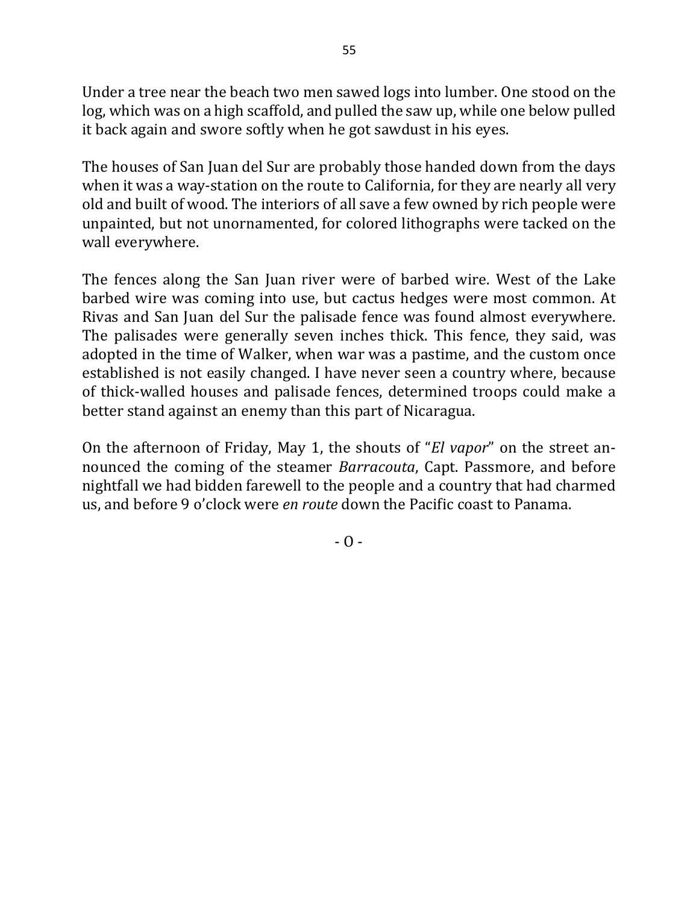Under a tree near the beach two men sawed logs into lumber. One stood on the log, which was on a high scaffold, and pulled the saw up, while one below pulled it back again and swore softly when he got sawdust in his eyes.

The houses of San Juan del Sur are probably those handed down from the days when it was a way-station on the route to California, for they are nearly all very old and built of wood. The interiors of all save a few owned by rich people were unpainted, but not unornamented, for colored lithographs were tacked on the wall everywhere.

The fences along the San Juan river were of barbed wire. West of the Lake barbed wire was coming into use, but cactus hedges were most common. At Rivas and San Juan del Sur the palisade fence was found almost everywhere. The palisades were generally seven inches thick. This fence, they said, was adopted in the time of Walker, when war was a pastime, and the custom once established is not easily changed. I have never seen a country where, because of thick-walled houses and palisade fences, determined troops could make a better stand against an enemy than this part of Nicaragua.

On the afternoon of Friday, May 1, the shouts of "*El vapor*" on the street announced the coming of the steamer *Barracouta*, Capt. Passmore, and before nightfall we had bidden farewell to the people and a country that had charmed us, and before 9 o'clock were *en route* down the Pacific coast to Panama.

 $- 0 -$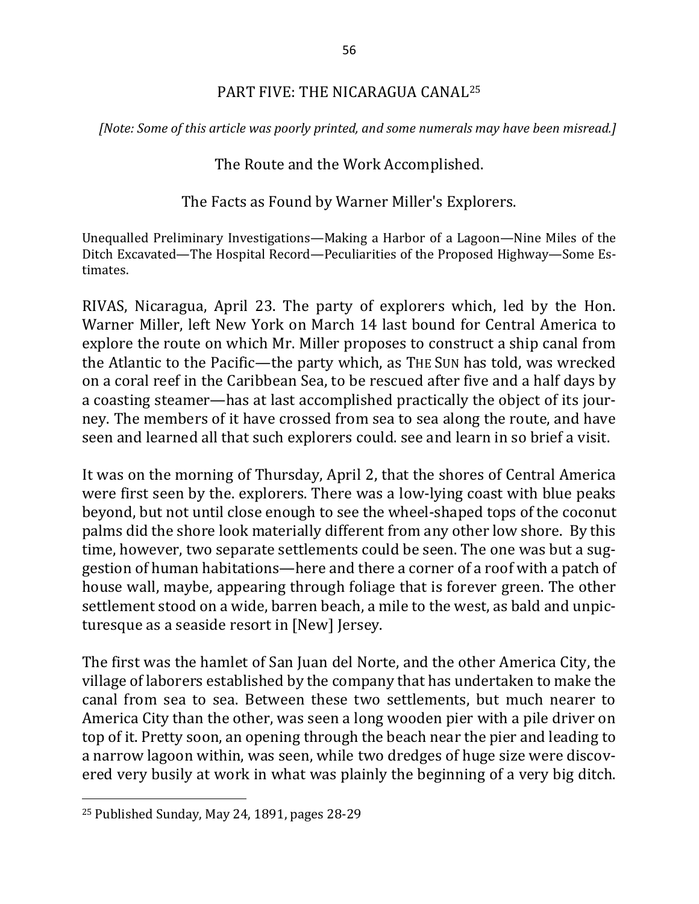#### PART FIVE: THE NICARAGUA CANAL<sup>25</sup>

*[Note: Some of this article was poorly printed, and some numerals may have been misread.]* 

#### The Route and the Work Accomplished.

#### The Facts as Found by Warner Miller's Explorers.

Unequalled Preliminary Investigations—Making a Harbor of a Lagoon—Nine Miles of the Ditch Excavated—The Hospital Record—Peculiarities of the Proposed Highway—Some Estimates.

RIVAS, Nicaragua, April 23. The party of explorers which, led by the Hon. Warner Miller, left New York on March 14 last bound for Central America to explore the route on which Mr. Miller proposes to construct a ship canal from the Atlantic to the Pacific—the party which, as THE SUN has told, was wrecked on a coral reef in the Caribbean Sea, to be rescued after five and a half days by a coasting steamer—has at last accomplished practically the object of its journey. The members of it have crossed from sea to sea along the route, and have seen and learned all that such explorers could. see and learn in so brief a visit.

It was on the morning of Thursday, April 2, that the shores of Central America were first seen by the. explorers. There was a low-lying coast with blue peaks beyond, but not until close enough to see the wheel-shaped tops of the coconut palms did the shore look materially different from any other low shore. By this time, however, two separate settlements could be seen. The one was but a suggestion of human habitations—here and there a corner of a roof with a patch of house wall, maybe, appearing through foliage that is forever green. The other settlement stood on a wide, barren beach, a mile to the west, as bald and unpicturesque as a seaside resort in [New] Jersey.

The first was the hamlet of San Juan del Norte, and the other America City, the village of laborers established by the company that has undertaken to make the canal from sea to sea. Between these two settlements, but much nearer to America City than the other, was seen a long wooden pier with a pile driver on top of it. Pretty soon, an opening through the beach near the pier and leading to a narrow lagoon within, was seen, while two dredges of huge size were discovered very busily at work in what was plainly the beginning of a very big ditch.

 $\overline{\phantom{a}}$ 

 $25$  Published Sunday, May 24, 1891, pages 28-29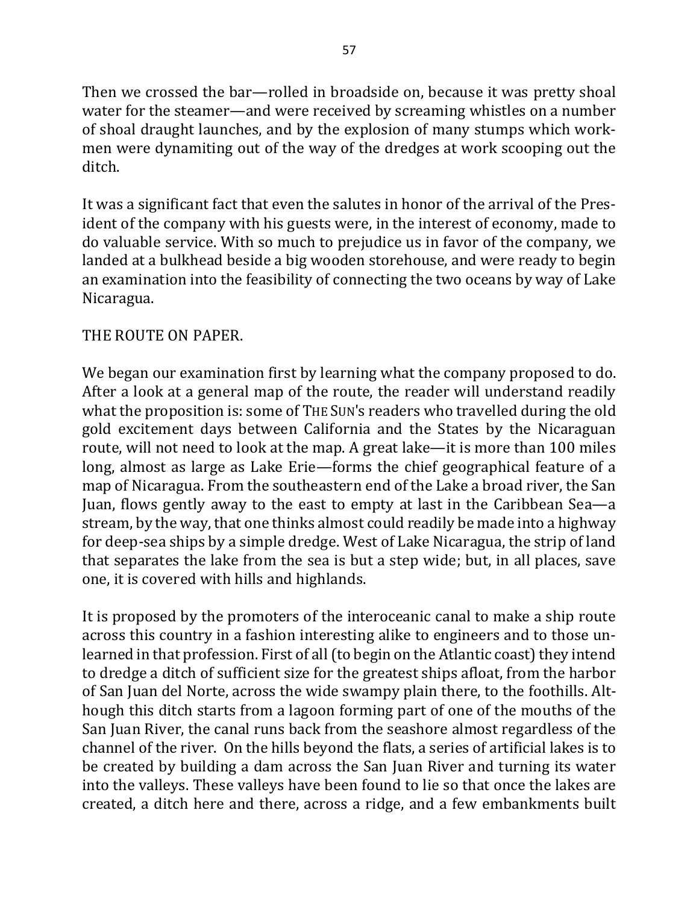Then we crossed the bar—rolled in broadside on, because it was pretty shoal water for the steamer—and were received by screaming whistles on a number of shoal draught launches, and by the explosion of many stumps which workmen were dynamiting out of the way of the dredges at work scooping out the ditch.

It was a significant fact that even the salutes in honor of the arrival of the President of the company with his guests were, in the interest of economy, made to do valuable service. With so much to prejudice us in favor of the company, we landed at a bulkhead beside a big wooden storehouse, and were ready to begin an examination into the feasibility of connecting the two oceans by way of Lake Nicaragua.

## THE ROUTE ON PAPER.

We began our examination first by learning what the company proposed to do. After a look at a general map of the route, the reader will understand readily what the proposition is: some of THE SUN's readers who travelled during the old gold excitement days between California and the States by the Nicaraguan route, will not need to look at the map. A great lake—it is more than 100 miles long, almost as large as Lake Erie—forms the chief geographical feature of a map of Nicaragua. From the southeastern end of the Lake a broad river, the San Juan, flows gently away to the east to empty at last in the Caribbean Sea—a stream, by the way, that one thinks almost could readily be made into a highway for deep-sea ships by a simple dredge. West of Lake Nicaragua, the strip of land that separates the lake from the sea is but a step wide; but, in all places, save one, it is covered with hills and highlands.

It is proposed by the promoters of the interoceanic canal to make a ship route across this country in a fashion interesting alike to engineers and to those unlearned in that profession. First of all (to begin on the Atlantic coast) they intend to dredge a ditch of sufficient size for the greatest ships afloat, from the harbor of San Juan del Norte, across the wide swampy plain there, to the foothills. Although this ditch starts from a lagoon forming part of one of the mouths of the San Juan River, the canal runs back from the seashore almost regardless of the channel of the river. On the hills beyond the flats, a series of artificial lakes is to be created by building a dam across the San Juan River and turning its water into the valleys. These valleys have been found to lie so that once the lakes are created, a ditch here and there, across a ridge, and a few embankments built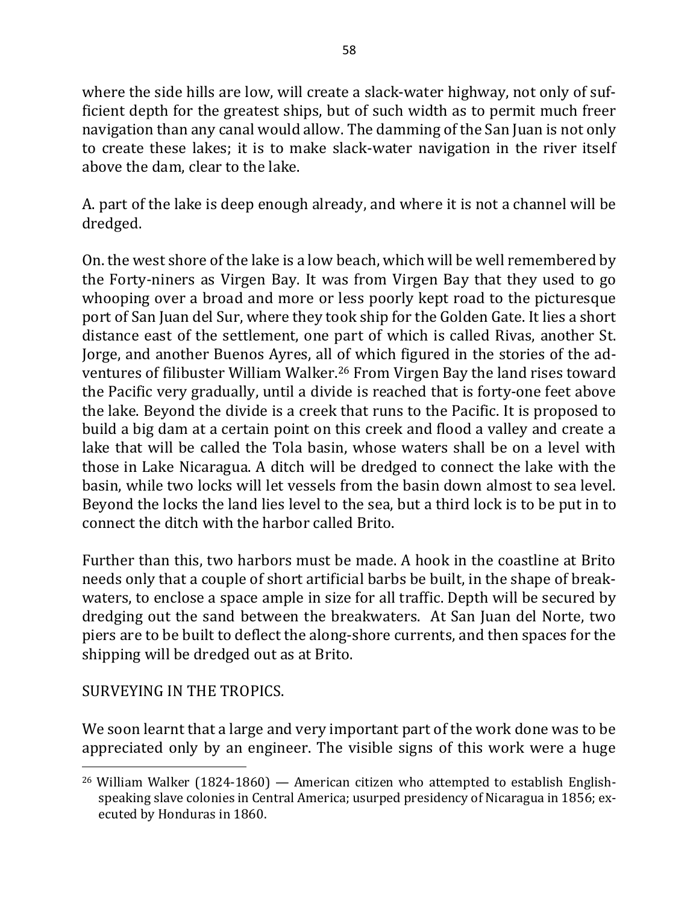where the side hills are low, will create a slack-water highway, not only of sufficient depth for the greatest ships, but of such width as to permit much freer navigation than any canal would allow. The damming of the San Juan is not only to create these lakes; it is to make slack-water navigation in the river itself above the dam, clear to the lake.

A. part of the lake is deep enough already, and where it is not a channel will be dredged.

On, the west shore of the lake is a low beach, which will be well remembered by the Forty-niners as Virgen Bay. It was from Virgen Bay that they used to go whooping over a broad and more or less poorly kept road to the picturesque port of San Juan del Sur, where they took ship for the Golden Gate. It lies a short distance east of the settlement, one part of which is called Rivas, another St. Jorge, and another Buenos Ayres, all of which figured in the stories of the adventures of filibuster William Walker.<sup>26</sup> From Virgen Bay the land rises toward the Pacific very gradually, until a divide is reached that is forty-one feet above the lake. Beyond the divide is a creek that runs to the Pacific. It is proposed to build a big dam at a certain point on this creek and flood a valley and create a lake that will be called the Tola basin, whose waters shall be on a level with those in Lake Nicaragua. A ditch will be dredged to connect the lake with the basin, while two locks will let vessels from the basin down almost to sea level. Beyond the locks the land lies level to the sea, but a third lock is to be put in to connect the ditch with the harbor called Brito.

Further than this, two harbors must be made. A hook in the coastline at Brito needs only that a couple of short artificial barbs be built, in the shape of breakwaters, to enclose a space ample in size for all traffic. Depth will be secured by dredging out the sand between the breakwaters. At San Juan del Norte, two piers are to be built to deflect the along-shore currents, and then spaces for the shipping will be dredged out as at Brito.

## SURVEYING IN THE TROPICS.

 $\overline{a}$ 

We soon learnt that a large and very important part of the work done was to be appreciated only by an engineer. The visible signs of this work were a huge

<sup>&</sup>lt;sup>26</sup> William Walker (1824-1860) — American citizen who attempted to establish Englishspeaking slave colonies in Central America; usurped presidency of Nicaragua in 1856; executed by Honduras in 1860.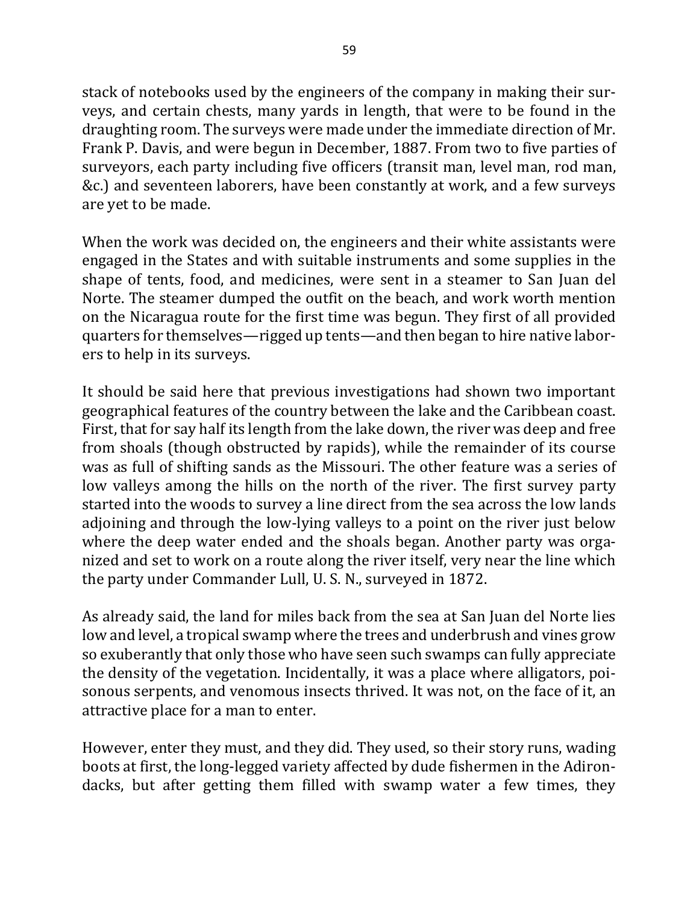stack of notebooks used by the engineers of the company in making their surveys, and certain chests, many yards in length, that were to be found in the draughting room. The surveys were made under the immediate direction of Mr. Frank P. Davis, and were begun in December, 1887. From two to five parties of surveyors, each party including five officers (transit man, level man, rod man, &c.) and seventeen laborers, have been constantly at work, and a few surveys are yet to be made.

When the work was decided on, the engineers and their white assistants were engaged in the States and with suitable instruments and some supplies in the shape of tents, food, and medicines, were sent in a steamer to San Juan del Norte. The steamer dumped the outfit on the beach, and work worth mention on the Nicaragua route for the first time was begun. They first of all provided quarters for themselves—rigged up tents—and then began to hire native laborers to help in its surveys.

It should be said here that previous investigations had shown two important geographical features of the country between the lake and the Caribbean coast. First, that for say half its length from the lake down, the river was deep and free from shoals (though obstructed by rapids), while the remainder of its course was as full of shifting sands as the Missouri. The other feature was a series of low valleys among the hills on the north of the river. The first survey party started into the woods to survey a line direct from the sea across the low lands adjoining and through the low-lying valleys to a point on the river just below where the deep water ended and the shoals began. Another party was organized and set to work on a route along the river itself, very near the line which the party under Commander Lull, U. S. N., surveyed in 1872.

As already said, the land for miles back from the sea at San Juan del Norte lies low and level, a tropical swamp where the trees and underbrush and vines grow so exuberantly that only those who have seen such swamps can fully appreciate the density of the vegetation. Incidentally, it was a place where alligators, poisonous serpents, and venomous insects thrived. It was not, on the face of it, an attractive place for a man to enter.

However, enter they must, and they did. They used, so their story runs, wading boots at first, the long-legged variety affected by dude fishermen in the Adirondacks, but after getting them filled with swamp water a few times, they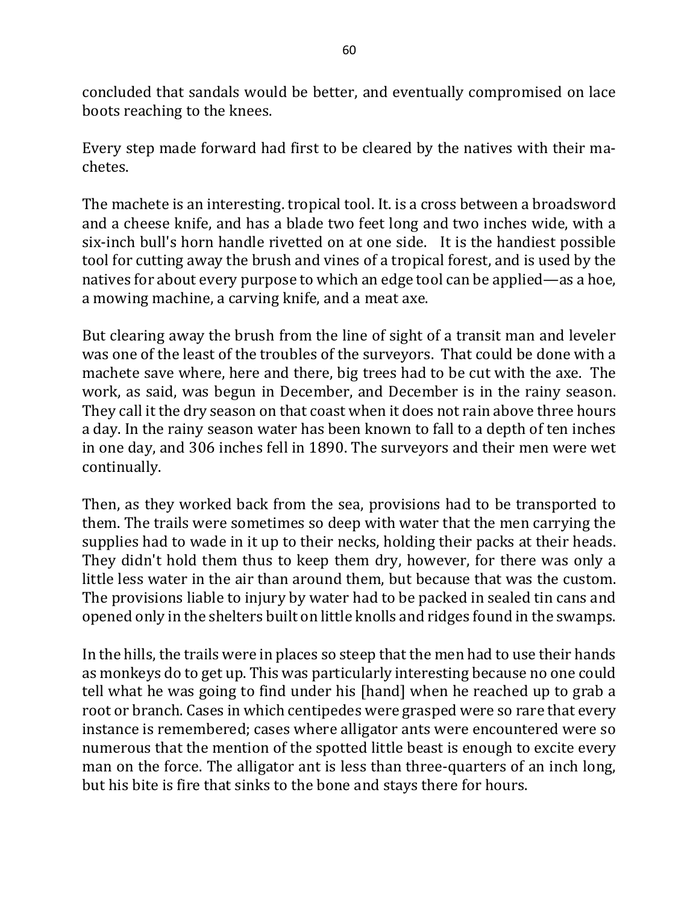concluded that sandals would be better, and eventually compromised on lace boots reaching to the knees.

Every step made forward had first to be cleared by the natives with their machetes. 

The machete is an interesting. tropical tool. It. is a cross between a broadsword and a cheese knife, and has a blade two feet long and two inches wide, with a six-inch bull's horn handle rivetted on at one side. It is the handiest possible tool for cutting away the brush and vines of a tropical forest, and is used by the natives for about every purpose to which an edge tool can be applied—as a hoe, a mowing machine, a carving knife, and a meat axe.

But clearing away the brush from the line of sight of a transit man and leveler was one of the least of the troubles of the surveyors. That could be done with a machete save where, here and there, big trees had to be cut with the axe. The work, as said, was begun in December, and December is in the rainy season. They call it the dry season on that coast when it does not rain above three hours a day. In the rainy season water has been known to fall to a depth of ten inches in one day, and 306 inches fell in 1890. The surveyors and their men were wet continually.

Then, as they worked back from the sea, provisions had to be transported to them. The trails were sometimes so deep with water that the men carrying the supplies had to wade in it up to their necks, holding their packs at their heads. They didn't hold them thus to keep them dry, however, for there was only a little less water in the air than around them, but because that was the custom. The provisions liable to injury by water had to be packed in sealed tin cans and opened only in the shelters built on little knolls and ridges found in the swamps.

In the hills, the trails were in places so steep that the men had to use their hands as monkeys do to get up. This was particularly interesting because no one could tell what he was going to find under his [hand] when he reached up to grab a root or branch. Cases in which centipedes were grasped were so rare that every instance is remembered; cases where alligator ants were encountered were so numerous that the mention of the spotted little beast is enough to excite every man on the force. The alligator ant is less than three-quarters of an inch long, but his bite is fire that sinks to the bone and stays there for hours.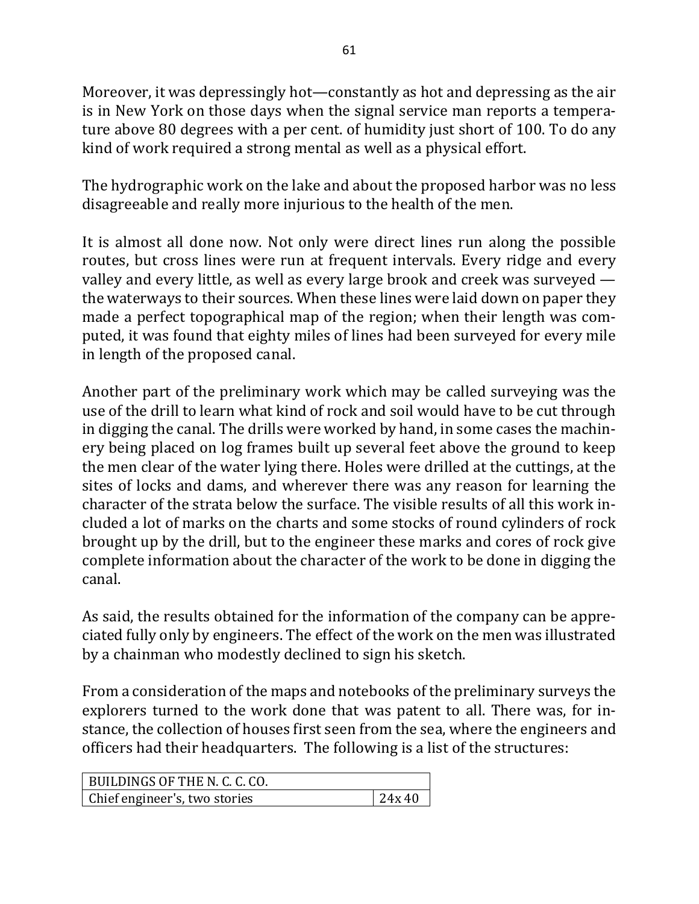Moreover, it was depressingly hot—constantly as hot and depressing as the air is in New York on those days when the signal service man reports a temperature above 80 degrees with a per cent. of humidity just short of 100. To do any kind of work required a strong mental as well as a physical effort.

The hydrographic work on the lake and about the proposed harbor was no less disagreeable and really more injurious to the health of the men.

It is almost all done now. Not only were direct lines run along the possible routes, but cross lines were run at frequent intervals. Every ridge and every valley and every little, as well as every large brook and creek was surveyed  $$ the waterways to their sources. When these lines were laid down on paper they made a perfect topographical map of the region; when their length was computed, it was found that eighty miles of lines had been surveyed for every mile in length of the proposed canal.

Another part of the preliminary work which may be called surveying was the use of the drill to learn what kind of rock and soil would have to be cut through in digging the canal. The drills were worked by hand, in some cases the machinery being placed on log frames built up several feet above the ground to keep the men clear of the water lying there. Holes were drilled at the cuttings, at the sites of locks and dams, and wherever there was any reason for learning the character of the strata below the surface. The visible results of all this work included a lot of marks on the charts and some stocks of round cylinders of rock brought up by the drill, but to the engineer these marks and cores of rock give complete information about the character of the work to be done in digging the canal.

As said, the results obtained for the information of the company can be appreciated fully only by engineers. The effect of the work on the men was illustrated by a chainman who modestly declined to sign his sketch.

From a consideration of the maps and notebooks of the preliminary surveys the explorers turned to the work done that was patent to all. There was, for instance, the collection of houses first seen from the sea, where the engineers and officers had their headquarters. The following is a list of the structures:

| BUILDINGS OF THE N. C. C. CO. |       |
|-------------------------------|-------|
| Chief engineer's, two stories | 24x40 |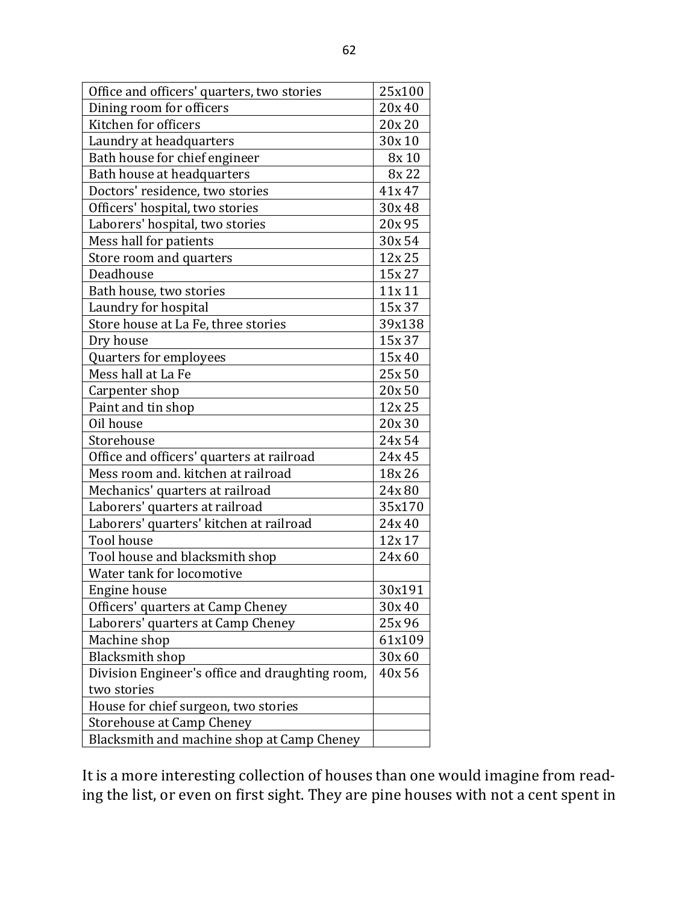| Office and officers' quarters, two stories      | 25x100 |
|-------------------------------------------------|--------|
| Dining room for officers                        | 20x 40 |
| Kitchen for officers                            | 20x 20 |
| Laundry at headquarters                         | 30x 10 |
| Bath house for chief engineer                   | 8x 10  |
| Bath house at headquarters                      | 8x 22  |
| Doctors' residence, two stories                 | 41x 47 |
| Officers' hospital, two stories                 | 30x48  |
| Laborers' hospital, two stories                 | 20x 95 |
| Mess hall for patients                          | 30x 54 |
| Store room and quarters                         | 12x 25 |
| Deadhouse                                       | 15x 27 |
| Bath house, two stories                         | 11x 11 |
| Laundry for hospital                            | 15x 37 |
| Store house at La Fe, three stories             | 39x138 |
| Dry house                                       | 15x 37 |
| Quarters for employees                          | 15x 40 |
| Mess hall at La Fe                              | 25x 50 |
| Carpenter shop                                  | 20x 50 |
| Paint and tin shop                              | 12x 25 |
| Oil house                                       | 20x 30 |
| Storehouse                                      | 24x 54 |
| Office and officers' quarters at railroad       | 24x 45 |
| Mess room and. kitchen at railroad              | 18x 26 |
| Mechanics' quarters at railroad                 | 24x80  |
| Laborers' quarters at railroad                  | 35x170 |
| Laborers' quarters' kitchen at railroad         | 24x40  |
| <b>Tool house</b>                               | 12x 17 |
| Tool house and blacksmith shop                  | 24x60  |
| Water tank for locomotive                       |        |
| Engine house                                    | 30x191 |
| Officers' quarters at Camp Cheney               | 30x 40 |
| Laborers' quarters at Camp Cheney               | 25x 96 |
| Machine shop                                    | 61x109 |
| <b>Blacksmith shop</b>                          | 30x 60 |
| Division Engineer's office and draughting room, | 40x 56 |
| two stories                                     |        |
| House for chief surgeon, two stories            |        |
| <b>Storehouse at Camp Cheney</b>                |        |
| Blacksmith and machine shop at Camp Cheney      |        |

It is a more interesting collection of houses than one would imagine from reading the list, or even on first sight. They are pine houses with not a cent spent in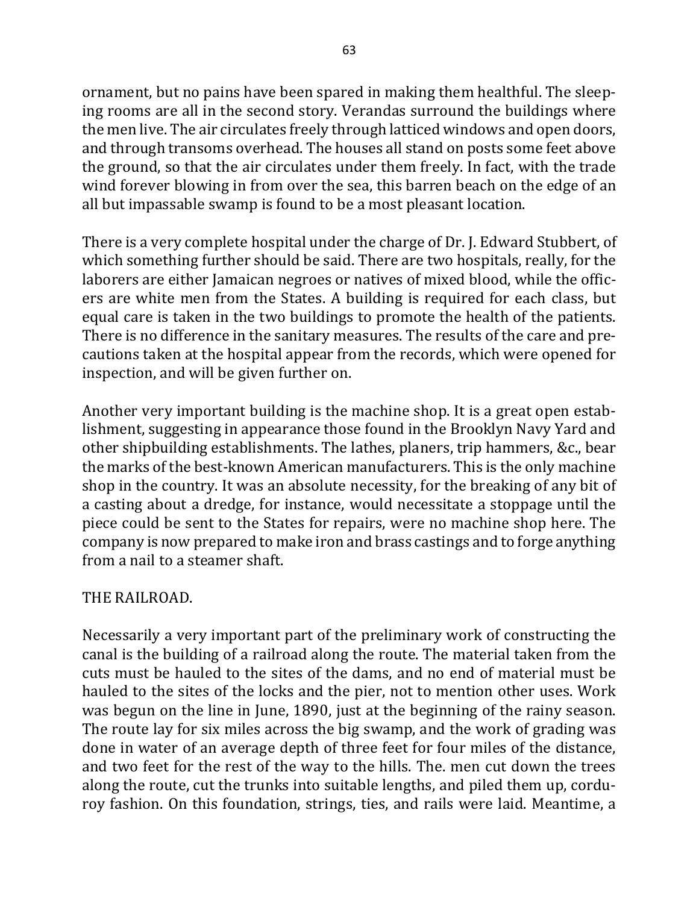ornament, but no pains have been spared in making them healthful. The sleeping rooms are all in the second story. Verandas surround the buildings where the men live. The air circulates freely through latticed windows and open doors, and through transoms overhead. The houses all stand on posts some feet above the ground, so that the air circulates under them freely. In fact, with the trade wind forever blowing in from over the sea, this barren beach on the edge of an all but impassable swamp is found to be a most pleasant location.

There is a very complete hospital under the charge of Dr. J. Edward Stubbert, of which something further should be said. There are two hospitals, really, for the laborers are either Jamaican negroes or natives of mixed blood, while the officers are white men from the States. A building is required for each class, but equal care is taken in the two buildings to promote the health of the patients. There is no difference in the sanitary measures. The results of the care and precautions taken at the hospital appear from the records, which were opened for inspection, and will be given further on.

Another very important building is the machine shop. It is a great open establishment, suggesting in appearance those found in the Brooklyn Navy Yard and other shipbuilding establishments. The lathes, planers, trip hammers, &c., bear the marks of the best-known American manufacturers. This is the only machine shop in the country. It was an absolute necessity, for the breaking of any bit of a casting about a dredge, for instance, would necessitate a stoppage until the piece could be sent to the States for repairs, were no machine shop here. The company is now prepared to make iron and brass castings and to forge anything from a nail to a steamer shaft.

## THE RAILROAD.

Necessarily a very important part of the preliminary work of constructing the canal is the building of a railroad along the route. The material taken from the cuts must be hauled to the sites of the dams, and no end of material must be hauled to the sites of the locks and the pier, not to mention other uses. Work was begun on the line in June, 1890, just at the beginning of the rainy season. The route lay for six miles across the big swamp, and the work of grading was done in water of an average depth of three feet for four miles of the distance, and two feet for the rest of the way to the hills. The men cut down the trees along the route, cut the trunks into suitable lengths, and piled them up, corduroy fashion. On this foundation, strings, ties, and rails were laid. Meantime, a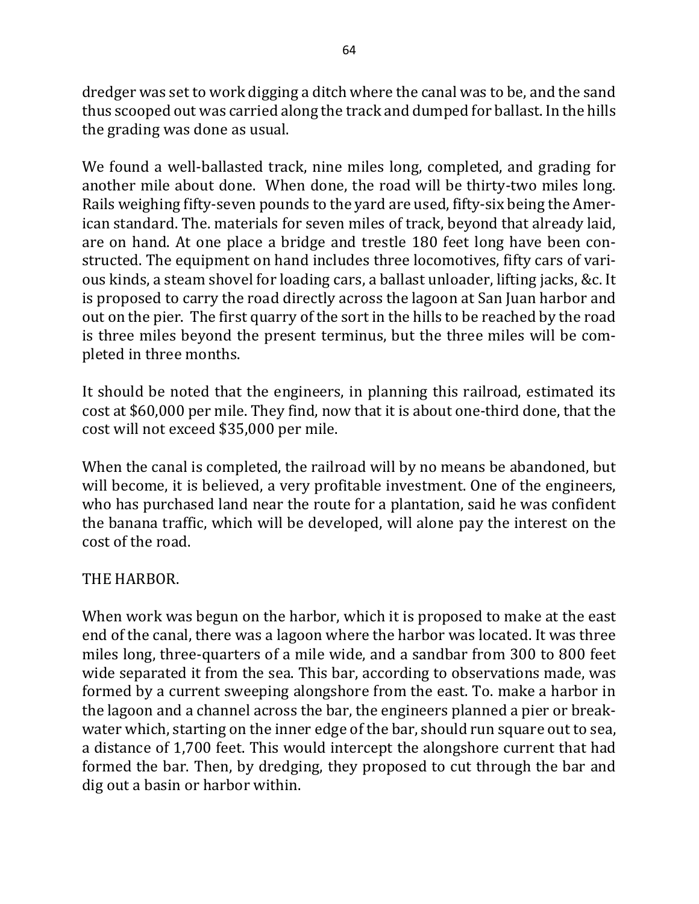dredger was set to work digging a ditch where the canal was to be, and the sand thus scooped out was carried along the track and dumped for ballast. In the hills the grading was done as usual.

We found a well-ballasted track, nine miles long, completed, and grading for another mile about done. When done, the road will be thirty-two miles long. Rails weighing fifty-seven pounds to the yard are used, fifty-six being the American standard. The. materials for seven miles of track, beyond that already laid, are on hand. At one place a bridge and trestle 180 feet long have been constructed. The equipment on hand includes three locomotives, fifty cars of various kinds, a steam shovel for loading cars, a ballast unloader, lifting jacks, &c. It is proposed to carry the road directly across the lagoon at San Juan harbor and out on the pier. The first quarry of the sort in the hills to be reached by the road is three miles beyond the present terminus, but the three miles will be completed in three months.

It should be noted that the engineers, in planning this railroad, estimated its cost at \$60,000 per mile. They find, now that it is about one-third done, that the cost will not exceed \$35,000 per mile.

When the canal is completed, the railroad will by no means be abandoned, but will become, it is believed, a very profitable investment. One of the engineers, who has purchased land near the route for a plantation, said he was confident the banana traffic, which will be developed, will alone pay the interest on the cost of the road.

## THE HARBOR.

When work was begun on the harbor, which it is proposed to make at the east end of the canal, there was a lagoon where the harbor was located. It was three miles long, three-quarters of a mile wide, and a sandbar from 300 to 800 feet wide separated it from the sea. This bar, according to observations made, was formed by a current sweeping alongshore from the east. To, make a harbor in the lagoon and a channel across the bar, the engineers planned a pier or breakwater which, starting on the inner edge of the bar, should run square out to sea, a distance of 1,700 feet. This would intercept the alongshore current that had formed the bar. Then, by dredging, they proposed to cut through the bar and dig out a basin or harbor within.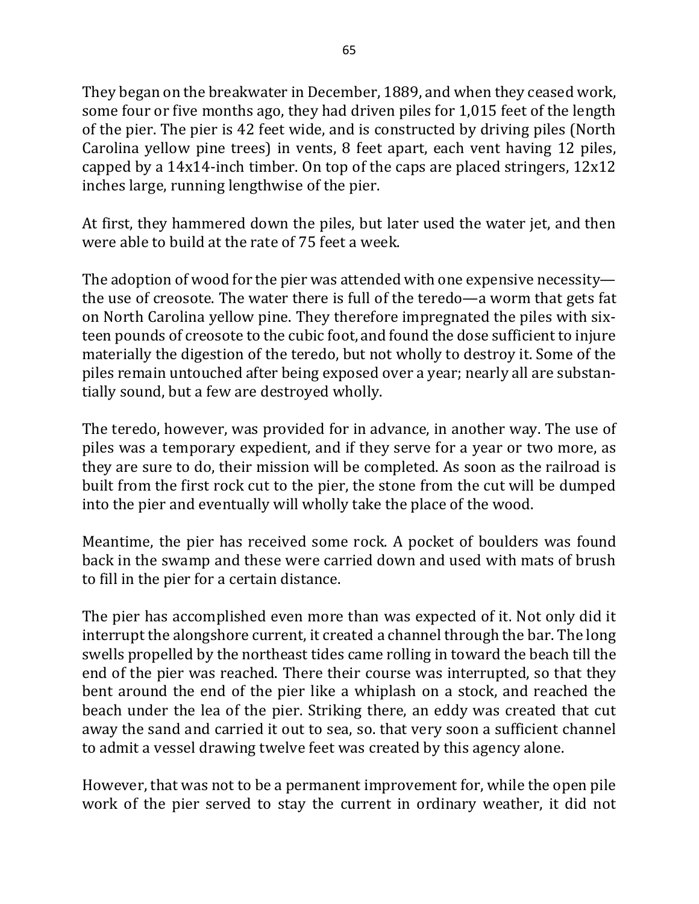They began on the breakwater in December, 1889, and when they ceased work, some four or five months ago, they had driven piles for 1,015 feet of the length of the pier. The pier is 42 feet wide, and is constructed by driving piles (North Carolina yellow pine trees) in vents, 8 feet apart, each vent having 12 piles, capped by a  $14x14$ -inch timber. On top of the caps are placed stringers,  $12x12$ inches large, running lengthwise of the pier.

At first, they hammered down the piles, but later used the water jet, and then were able to build at the rate of 75 feet a week.

The adoption of wood for the pier was attended with one expensive necessity the use of creosote. The water there is full of the teredo—a worm that gets fat on North Carolina yellow pine. They therefore impregnated the piles with sixteen pounds of creosote to the cubic foot, and found the dose sufficient to injure materially the digestion of the teredo, but not wholly to destroy it. Some of the piles remain untouched after being exposed over a year; nearly all are substantially sound, but a few are destroyed wholly.

The teredo, however, was provided for in advance, in another way. The use of piles was a temporary expedient, and if they serve for a year or two more, as they are sure to do, their mission will be completed. As soon as the railroad is built from the first rock cut to the pier, the stone from the cut will be dumped into the pier and eventually will wholly take the place of the wood.

Meantime, the pier has received some rock. A pocket of boulders was found back in the swamp and these were carried down and used with mats of brush to fill in the pier for a certain distance.

The pier has accomplished even more than was expected of it. Not only did it interrupt the alongshore current, it created a channel through the bar. The long swells propelled by the northeast tides came rolling in toward the beach till the end of the pier was reached. There their course was interrupted, so that they bent around the end of the pier like a whiplash on a stock, and reached the beach under the lea of the pier. Striking there, an eddy was created that cut away the sand and carried it out to sea, so. that very soon a sufficient channel to admit a vessel drawing twelve feet was created by this agency alone.

However, that was not to be a permanent improvement for, while the open pile work of the pier served to stay the current in ordinary weather, it did not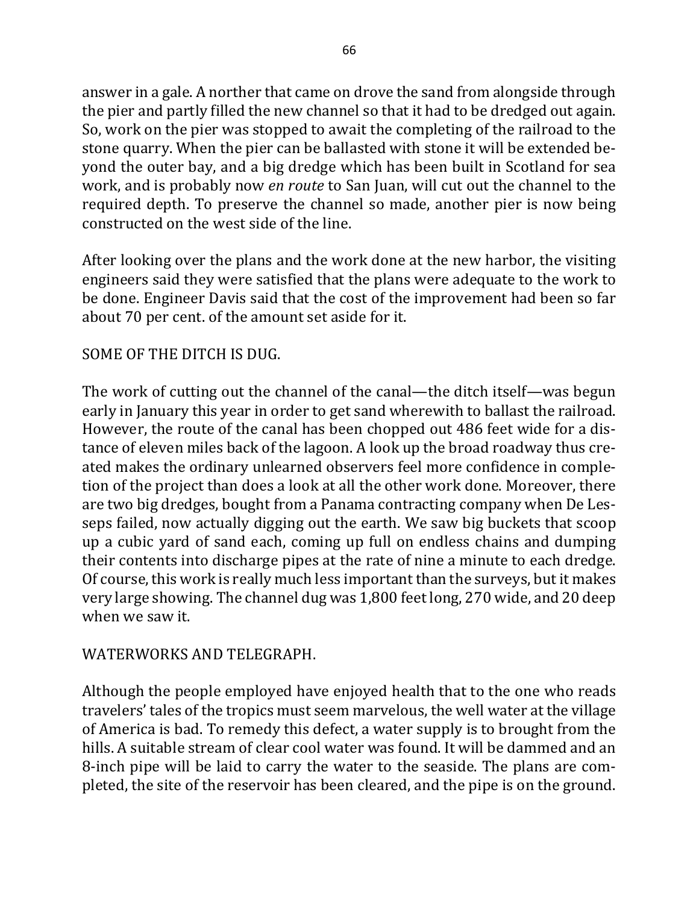answer in a gale. A norther that came on drove the sand from alongside through the pier and partly filled the new channel so that it had to be dredged out again. So, work on the pier was stopped to await the completing of the railroad to the stone quarry. When the pier can be ballasted with stone it will be extended beyond the outer bay, and a big dredge which has been built in Scotland for sea work, and is probably now *en route* to San Juan, will cut out the channel to the required depth. To preserve the channel so made, another pier is now being constructed on the west side of the line.

After looking over the plans and the work done at the new harbor, the visiting engineers said they were satisfied that the plans were adequate to the work to be done. Engineer Davis said that the cost of the improvement had been so far about 70 per cent. of the amount set aside for it.

## SOME OF THE DITCH IS DUG.

The work of cutting out the channel of the canal—the ditch itself—was begun early in January this year in order to get sand wherewith to ballast the railroad. However, the route of the canal has been chopped out 486 feet wide for a distance of eleven miles back of the lagoon. A look up the broad roadway thus created makes the ordinary unlearned observers feel more confidence in completion of the project than does a look at all the other work done. Moreover, there are two big dredges, bought from a Panama contracting company when De Lesseps failed, now actually digging out the earth. We saw big buckets that scoop up a cubic yard of sand each, coming up full on endless chains and dumping their contents into discharge pipes at the rate of nine a minute to each dredge. Of course, this work is really much less important than the surveys, but it makes very large showing. The channel dug was 1,800 feet long, 270 wide, and 20 deep when we saw it.

#### WATERWORKS AND TELEGRAPH.

Although the people employed have enjoyed health that to the one who reads travelers' tales of the tropics must seem marvelous, the well water at the village of America is bad. To remedy this defect, a water supply is to brought from the hills. A suitable stream of clear cool water was found. It will be dammed and an 8-inch pipe will be laid to carry the water to the seaside. The plans are completed, the site of the reservoir has been cleared, and the pipe is on the ground.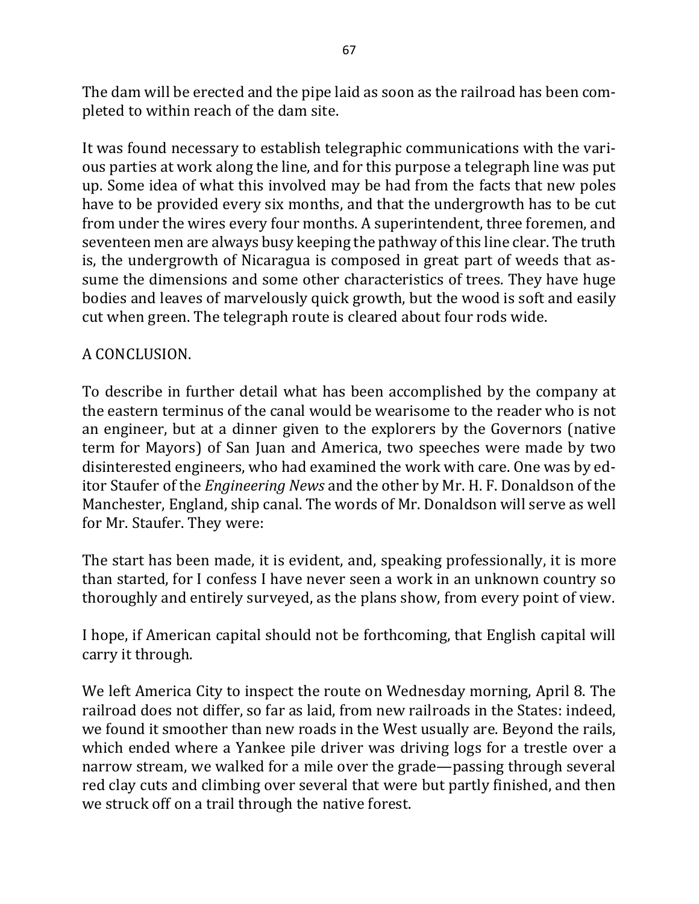The dam will be erected and the pipe laid as soon as the railroad has been completed to within reach of the dam site.

It was found necessary to establish telegraphic communications with the various parties at work along the line, and for this purpose a telegraph line was put up. Some idea of what this involved may be had from the facts that new poles have to be provided every six months, and that the undergrowth has to be cut from under the wires every four months. A superintendent, three foremen, and seventeen men are always busy keeping the pathway of this line clear. The truth is, the undergrowth of Nicaragua is composed in great part of weeds that assume the dimensions and some other characteristics of trees. They have huge bodies and leaves of marvelously quick growth, but the wood is soft and easily cut when green. The telegraph route is cleared about four rods wide.

### A CONCLUSION.

To describe in further detail what has been accomplished by the company at the eastern terminus of the canal would be wearisome to the reader who is not an engineer, but at a dinner given to the explorers by the Governors (native term for Mayors) of San Juan and America, two speeches were made by two disinterested engineers, who had examined the work with care. One was by editor Staufer of the *Engineering News* and the other by Mr. H. F. Donaldson of the Manchester, England, ship canal. The words of Mr. Donaldson will serve as well for Mr. Staufer. They were:

The start has been made, it is evident, and, speaking professionally, it is more than started, for I confess I have never seen a work in an unknown country so thoroughly and entirely surveyed, as the plans show, from every point of view.

I hope, if American capital should not be forthcoming, that English capital will carry it through.

We left America City to inspect the route on Wednesday morning, April 8. The railroad does not differ, so far as laid, from new railroads in the States: indeed, we found it smoother than new roads in the West usually are. Beyond the rails, which ended where a Yankee pile driver was driving logs for a trestle over a narrow stream, we walked for a mile over the grade—passing through several red clay cuts and climbing over several that were but partly finished, and then we struck off on a trail through the native forest.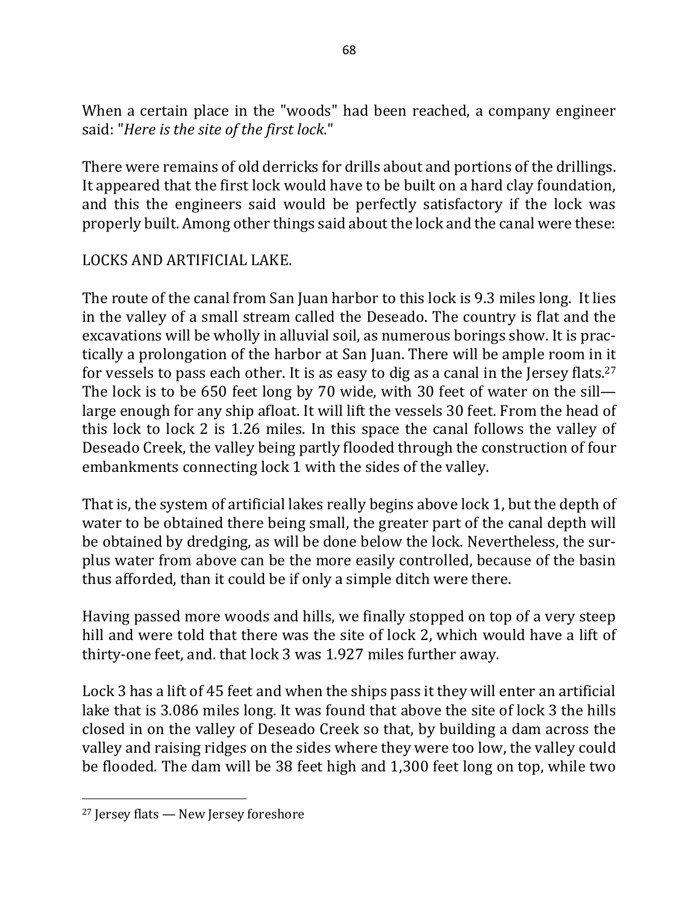When a certain place in the "woods" had been reached, a company engineer said: "Here is the site of the first lock."

There were remains of old derricks for drills about and portions of the drillings. It appeared that the first lock would have to be built on a hard clay foundation, and this the engineers said would be perfectly satisfactory if the lock was properly built. Among other things said about the lock and the canal were these:

### LOCKS AND ARTIFICIAL LAKE.

The route of the canal from San Juan harbor to this lock is 9.3 miles long. It lies in the valley of a small stream called the Deseado. The country is flat and the excavations will be wholly in alluvial soil, as numerous borings show. It is practically a prolongation of the harbor at San Juan. There will be ample room in it for vessels to pass each other. It is as easy to dig as a canal in the Jersey flats.<sup>27</sup> The lock is to be 650 feet long by 70 wide, with 30 feet of water on the sill large enough for any ship afloat. It will lift the vessels 30 feet. From the head of this lock to lock 2 is 1.26 miles. In this space the canal follows the valley of Deseado Creek, the valley being partly flooded through the construction of four embankments connecting lock 1 with the sides of the valley.

That is, the system of artificial lakes really begins above lock 1, but the depth of water to be obtained there being small, the greater part of the canal depth will be obtained by dredging, as will be done below the lock. Nevertheless, the surplus water from above can be the more easily controlled, because of the basin thus afforded, than it could be if only a simple ditch were there.

Having passed more woods and hills, we finally stopped on top of a very steep hill and were told that there was the site of lock 2, which would have a lift of thirty-one feet, and. that lock 3 was 1.927 miles further away.

Lock 3 has a lift of 45 feet and when the ships pass it they will enter an artificial lake that is 3.086 miles long. It was found that above the site of lock 3 the hills closed in on the valley of Deseado Creek so that, by building a dam across the valley and raising ridges on the sides where they were too low, the valley could be flooded. The dam will be 38 feet high and 1,300 feet long on top, while two

 $\overline{\phantom{a}}$ 

 $27$  Jersey flats  $-$  New Jersey foreshore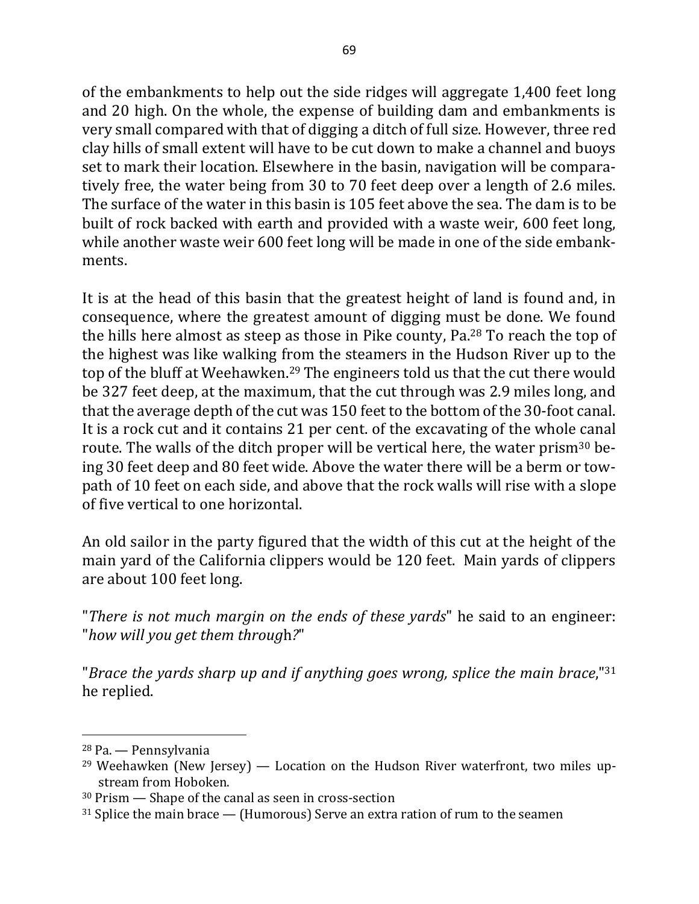of the embankments to help out the side ridges will aggregate 1,400 feet long and 20 high. On the whole, the expense of building dam and embankments is very small compared with that of digging a ditch of full size. However, three red clay hills of small extent will have to be cut down to make a channel and buoys set to mark their location. Elsewhere in the basin, navigation will be comparatively free, the water being from 30 to 70 feet deep over a length of 2.6 miles. The surface of the water in this basin is 105 feet above the sea. The dam is to be built of rock backed with earth and provided with a waste weir, 600 feet long, while another waste weir 600 feet long will be made in one of the side embankments.

It is at the head of this basin that the greatest height of land is found and, in consequence, where the greatest amount of digging must be done. We found the hills here almost as steep as those in Pike county,  $Pa<sup>28</sup>$  To reach the top of the highest was like walking from the steamers in the Hudson River up to the top of the bluff at Weehawken.<sup>29</sup> The engineers told us that the cut there would be 327 feet deep, at the maximum, that the cut through was 2.9 miles long, and that the average depth of the cut was 150 feet to the bottom of the 30-foot canal. It is a rock cut and it contains 21 per cent. of the excavating of the whole canal route. The walls of the ditch proper will be vertical here, the water prism<sup>30</sup> being 30 feet deep and 80 feet wide. Above the water there will be a berm or towpath of 10 feet on each side, and above that the rock walls will rise with a slope of five vertical to one horizontal.

An old sailor in the party figured that the width of this cut at the height of the main yard of the California clippers would be 120 feet. Main yards of clippers are about 100 feet long.

"There is not much margin on the ends of these yards" he said to an engineer: "*how will you get them throug*h*?*"

"*Brace the yards sharp up and if anything goes wrong, splice the main brace*,"<sup>31</sup> he replied.

 $\overline{a}$ 

<sup>&</sup>lt;sup>28</sup> Pa. — Pennsylvania

<sup>&</sup>lt;sup>29</sup> Weehawken (New Jersey) — Location on the Hudson River waterfront, two miles upstream from Hoboken.

 $30$  Prism  $-$  Shape of the canal as seen in cross-section

 $31$  Splice the main brace  $-$  (Humorous) Serve an extra ration of rum to the seamen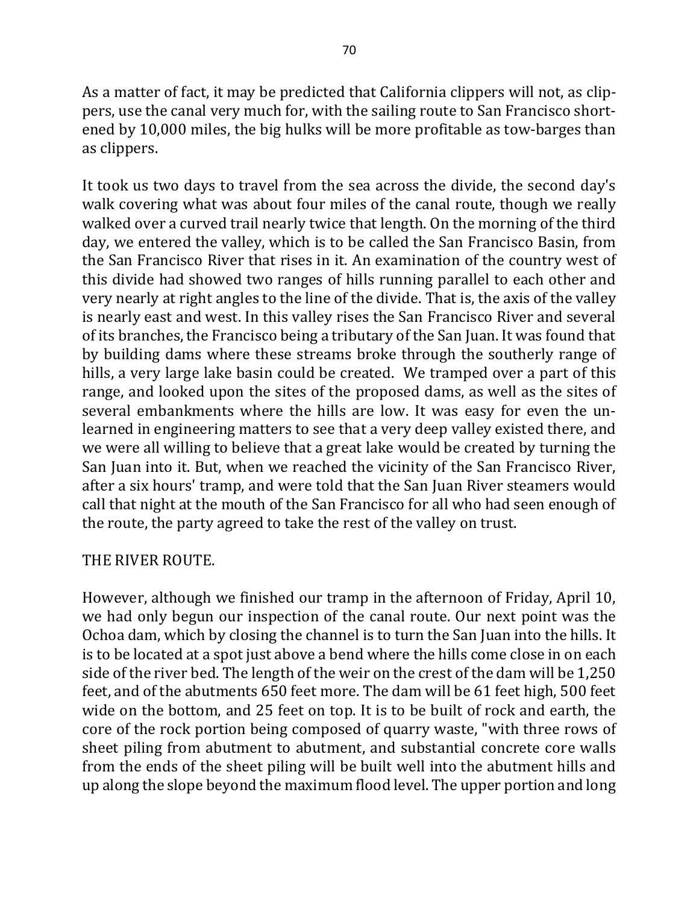As a matter of fact, it may be predicted that California clippers will not, as clippers, use the canal very much for, with the sailing route to San Francisco shortened by 10,000 miles, the big hulks will be more profitable as tow-barges than as clippers.

It took us two days to travel from the sea across the divide, the second day's walk covering what was about four miles of the canal route, though we really walked over a curved trail nearly twice that length. On the morning of the third day, we entered the valley, which is to be called the San Francisco Basin, from the San Francisco River that rises in it. An examination of the country west of this divide had showed two ranges of hills running parallel to each other and very nearly at right angles to the line of the divide. That is, the axis of the valley is nearly east and west. In this valley rises the San Francisco River and several of its branches, the Francisco being a tributary of the San Juan. It was found that by building dams where these streams broke through the southerly range of hills, a very large lake basin could be created. We tramped over a part of this range, and looked upon the sites of the proposed dams, as well as the sites of several embankments where the hills are low. It was easy for even the unlearned in engineering matters to see that a very deep valley existed there, and we were all willing to believe that a great lake would be created by turning the San Juan into it. But, when we reached the vicinity of the San Francisco River, after a six hours' tramp, and were told that the San Juan River steamers would call that night at the mouth of the San Francisco for all who had seen enough of the route, the party agreed to take the rest of the valley on trust.

#### THE RIVER ROUTE.

However, although we finished our tramp in the afternoon of Friday, April 10, we had only begun our inspection of the canal route. Our next point was the Ochoa dam, which by closing the channel is to turn the San Juan into the hills. It is to be located at a spot just above a bend where the hills come close in on each side of the river bed. The length of the weir on the crest of the dam will be 1,250 feet, and of the abutments 650 feet more. The dam will be 61 feet high, 500 feet wide on the bottom, and 25 feet on top. It is to be built of rock and earth, the core of the rock portion being composed of quarry waste, "with three rows of sheet piling from abutment to abutment, and substantial concrete core walls from the ends of the sheet piling will be built well into the abutment hills and up along the slope beyond the maximum flood level. The upper portion and long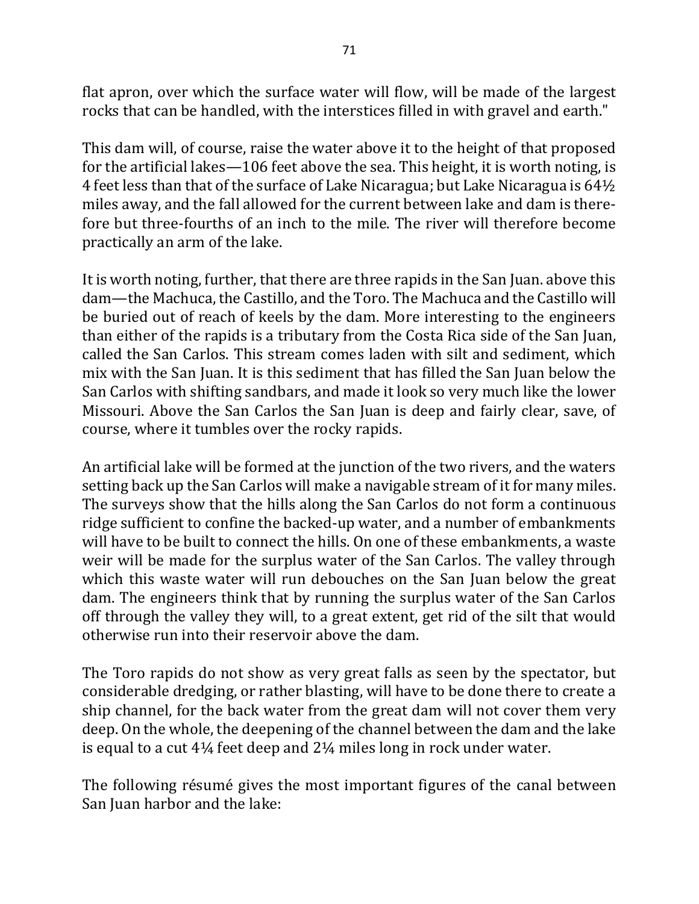flat apron, over which the surface water will flow, will be made of the largest rocks that can be handled, with the interstices filled in with gravel and earth."

This dam will, of course, raise the water above it to the height of that proposed for the artificial lakes—106 feet above the sea. This height, it is worth noting, is 4 feet less than that of the surface of Lake Nicaragua; but Lake Nicaragua is  $64\frac{1}{2}$ miles away, and the fall allowed for the current between lake and dam is therefore but three-fourths of an inch to the mile. The river will therefore become practically an arm of the lake.

It is worth noting, further, that there are three rapids in the San Juan. above this dam—the Machuca, the Castillo, and the Toro. The Machuca and the Castillo will be buried out of reach of keels by the dam. More interesting to the engineers than either of the rapids is a tributary from the Costa Rica side of the San Juan, called the San Carlos. This stream comes laden with silt and sediment, which mix with the San Juan. It is this sediment that has filled the San Juan below the San Carlos with shifting sandbars, and made it look so very much like the lower Missouri. Above the San Carlos the San Juan is deep and fairly clear, save, of course, where it tumbles over the rocky rapids.

An artificial lake will be formed at the junction of the two rivers, and the waters setting back up the San Carlos will make a navigable stream of it for many miles. The surveys show that the hills along the San Carlos do not form a continuous ridge sufficient to confine the backed-up water, and a number of embankments will have to be built to connect the hills. On one of these embankments, a waste weir will be made for the surplus water of the San Carlos. The valley through which this waste water will run debouches on the San Juan below the great dam. The engineers think that by running the surplus water of the San Carlos off through the valley they will, to a great extent, get rid of the silt that would otherwise run into their reservoir above the dam.

The Toro rapids do not show as very great falls as seen by the spectator, but considerable dredging, or rather blasting, will have to be done there to create a ship channel, for the back water from the great dam will not cover them very deep. On the whole, the deepening of the channel between the dam and the lake is equal to a cut  $4\frac{1}{4}$  feet deep and  $2\frac{1}{4}$  miles long in rock under water.

The following résumé gives the most important figures of the canal between San Juan harbor and the lake: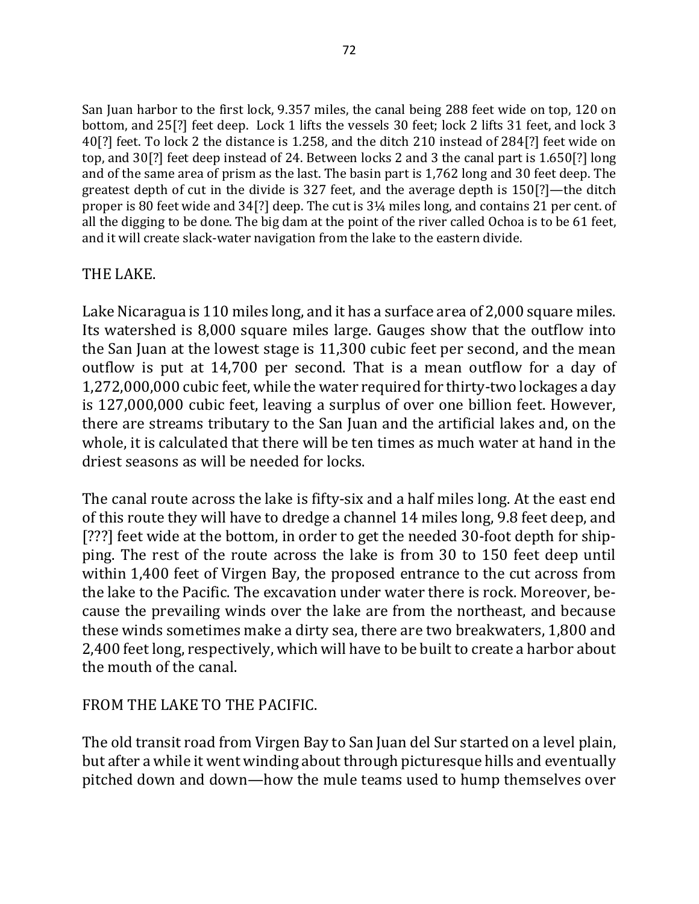San Juan harbor to the first lock, 9.357 miles, the canal being 288 feet wide on top, 120 on bottom, and 25[?] feet deep. Lock 1 lifts the vessels 30 feet; lock 2 lifts 31 feet, and lock 3 40[?] feet. To lock 2 the distance is 1.258, and the ditch 210 instead of 284[?] feet wide on top, and 30[?] feet deep instead of 24. Between locks 2 and 3 the canal part is 1.650[?] long and of the same area of prism as the last. The basin part is 1,762 long and 30 feet deep. The greatest depth of cut in the divide is 327 feet, and the average depth is  $150$ [?]—the ditch proper is 80 feet wide and  $34$ [?] deep. The cut is  $3\frac{1}{4}$  miles long, and contains 21 per cent. of all the digging to be done. The big dam at the point of the river called Ochoa is to be 61 feet, and it will create slack-water navigation from the lake to the eastern divide.

## THE LAKE.

Lake Nicaragua is 110 miles long, and it has a surface area of 2,000 square miles. Its watershed is 8,000 square miles large. Gauges show that the outflow into the San Juan at the lowest stage is 11,300 cubic feet per second, and the mean outflow is put at 14,700 per second. That is a mean outflow for a day of 1,272,000,000 cubic feet, while the water required for thirty-two lockages a day is 127,000,000 cubic feet, leaving a surplus of over one billion feet. However, there are streams tributary to the San Juan and the artificial lakes and, on the whole, it is calculated that there will be ten times as much water at hand in the driest seasons as will be needed for locks.

The canal route across the lake is fifty-six and a half miles long. At the east end of this route they will have to dredge a channel 14 miles long, 9.8 feet deep, and [???] feet wide at the bottom, in order to get the needed 30-foot depth for shipping. The rest of the route across the lake is from 30 to 150 feet deep until within 1,400 feet of Virgen Bay, the proposed entrance to the cut across from the lake to the Pacific. The excavation under water there is rock. Moreover, because the prevailing winds over the lake are from the northeast, and because these winds sometimes make a dirty sea, there are two breakwaters, 1,800 and 2,400 feet long, respectively, which will have to be built to create a harbor about the mouth of the canal.

## FROM THE LAKE TO THE PACIFIC.

The old transit road from Virgen Bay to San Juan del Sur started on a level plain, but after a while it went winding about through picturesque hills and eventually pitched down and down—how the mule teams used to hump themselves over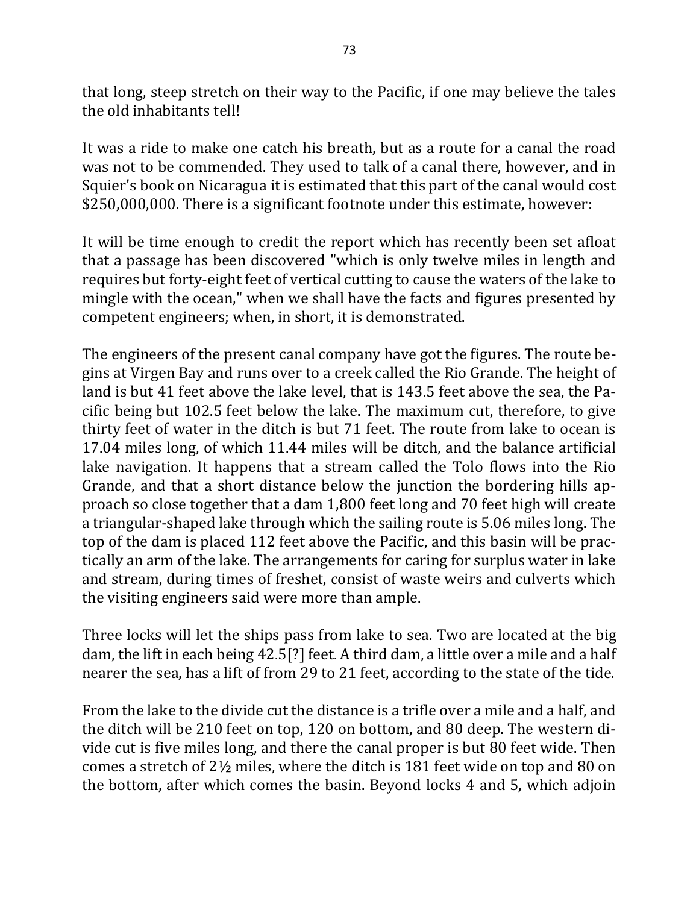that long, steep stretch on their way to the Pacific, if one may believe the tales the old inhabitants tell!

It was a ride to make one catch his breath, but as a route for a canal the road was not to be commended. They used to talk of a canal there, however, and in Squier's book on Nicaragua it is estimated that this part of the canal would cost \$250,000,000. There is a significant footnote under this estimate, however:

It will be time enough to credit the report which has recently been set afloat that a passage has been discovered "which is only twelve miles in length and requires but forty-eight feet of vertical cutting to cause the waters of the lake to mingle with the ocean," when we shall have the facts and figures presented by competent engineers; when, in short, it is demonstrated.

The engineers of the present canal company have got the figures. The route begins at Virgen Bay and runs over to a creek called the Rio Grande. The height of land is but 41 feet above the lake level, that is 143.5 feet above the sea, the Pacific being but 102.5 feet below the lake. The maximum cut, therefore, to give thirty feet of water in the ditch is but 71 feet. The route from lake to ocean is 17.04 miles long, of which 11.44 miles will be ditch, and the balance artificial lake navigation. It happens that a stream called the Tolo flows into the Rio Grande, and that a short distance below the junction the bordering hills approach so close together that a dam 1,800 feet long and 70 feet high will create a triangular-shaped lake through which the sailing route is 5.06 miles long. The top of the dam is placed 112 feet above the Pacific, and this basin will be practically an arm of the lake. The arrangements for caring for surplus water in lake and stream, during times of freshet, consist of waste weirs and culverts which the visiting engineers said were more than ample.

Three locks will let the ships pass from lake to sea. Two are located at the big dam, the lift in each being 42.5[?] feet. A third dam, a little over a mile and a half nearer the sea, has a lift of from 29 to 21 feet, according to the state of the tide.

From the lake to the divide cut the distance is a trifle over a mile and a half, and the ditch will be 210 feet on top, 120 on bottom, and 80 deep. The western divide cut is five miles long, and there the canal proper is but 80 feet wide. Then comes a stretch of  $2\frac{1}{2}$  miles, where the ditch is 181 feet wide on top and 80 on the bottom, after which comes the basin. Beyond locks 4 and 5, which adjoin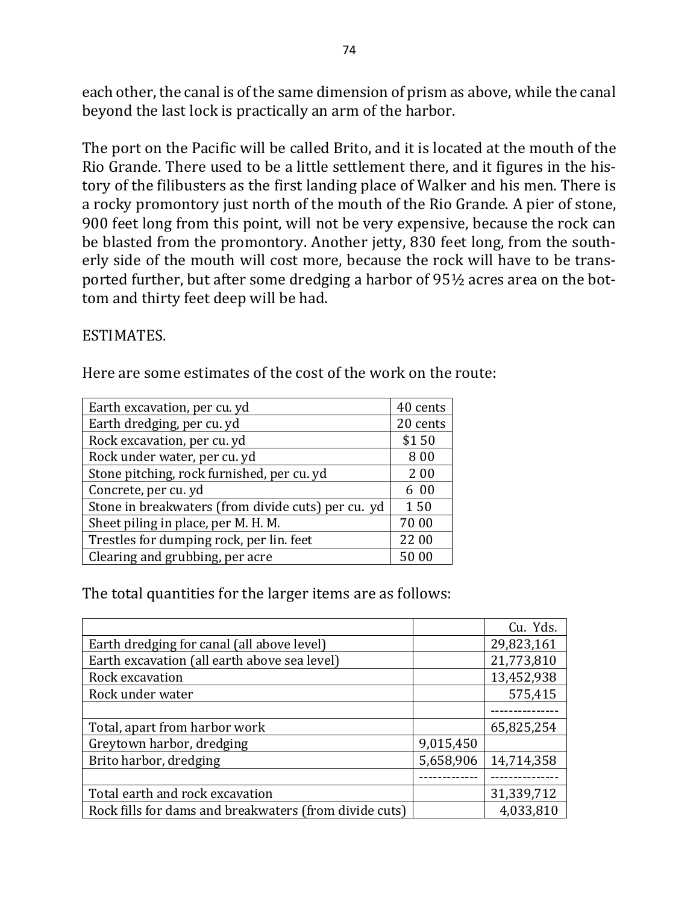each other, the canal is of the same dimension of prism as above, while the canal beyond the last lock is practically an arm of the harbor.

The port on the Pacific will be called Brito, and it is located at the mouth of the Rio Grande. There used to be a little settlement there, and it figures in the history of the filibusters as the first landing place of Walker and his men. There is a rocky promontory just north of the mouth of the Rio Grande. A pier of stone, 900 feet long from this point, will not be very expensive, because the rock can be blasted from the promontory. Another jetty, 830 feet long, from the southerly side of the mouth will cost more, because the rock will have to be transported further, but after some dredging a harbor of  $95\frac{1}{2}$  acres area on the bottom and thirty feet deep will be had.

#### ESTIMATES.

Here are some estimates of the cost of the work on the route:

| Earth excavation, per cu. yd                       | 40 cents |
|----------------------------------------------------|----------|
| Earth dredging, per cu. yd                         | 20 cents |
| Rock excavation, per cu. yd                        | \$150    |
| Rock under water, per cu. yd                       | 800      |
| Stone pitching, rock furnished, per cu. yd         | 200      |
| Concrete, per cu. yd                               | 6 00     |
| Stone in breakwaters (from divide cuts) per cu. yd | 150      |
| Sheet piling in place, per M. H. M.                | 70 00    |
| Trestles for dumping rock, per lin. feet           | 22 00    |
| Clearing and grubbing, per acre                    | 50 00    |

The total quantities for the larger items are as follows:

|                                                        |           | Cu. Yds.   |
|--------------------------------------------------------|-----------|------------|
| Earth dredging for canal (all above level)             |           | 29,823,161 |
| Earth excavation (all earth above sea level)           |           | 21,773,810 |
| Rock excavation                                        |           | 13,452,938 |
| Rock under water                                       |           | 575,415    |
|                                                        |           |            |
| Total, apart from harbor work                          |           | 65,825,254 |
| Greytown harbor, dredging                              | 9,015,450 |            |
| Brito harbor, dredging                                 | 5,658,906 | 14,714,358 |
|                                                        |           |            |
| Total earth and rock excavation                        |           | 31,339,712 |
| Rock fills for dams and breakwaters (from divide cuts) |           | 4,033,810  |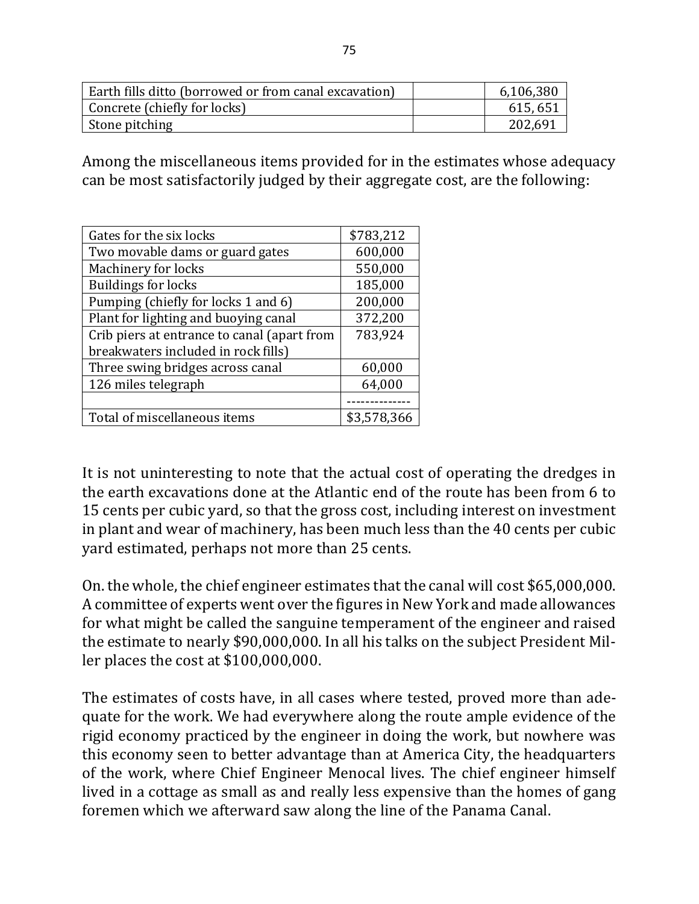| Earth fills ditto (borrowed or from canal excavation) | 6,106,380 |
|-------------------------------------------------------|-----------|
| Concrete (chiefly for locks)                          | 615, 651  |
| Stone pitching                                        | 202,691   |

Among the miscellaneous items provided for in the estimates whose adequacy can be most satisfactorily judged by their aggregate cost, are the following:

| Gates for the six locks                     | \$783,212   |
|---------------------------------------------|-------------|
| Two movable dams or guard gates             | 600,000     |
| Machinery for locks                         | 550,000     |
| <b>Buildings for locks</b>                  | 185,000     |
| Pumping (chiefly for locks 1 and 6)         | 200,000     |
| Plant for lighting and buoying canal        | 372,200     |
| Crib piers at entrance to canal (apart from | 783,924     |
| breakwaters included in rock fills)         |             |
| Three swing bridges across canal            | 60,000      |
| 126 miles telegraph                         | 64,000      |
|                                             |             |
| Total of miscellaneous items                | \$3,578,366 |

It is not uninteresting to note that the actual cost of operating the dredges in the earth excavations done at the Atlantic end of the route has been from 6 to 15 cents per cubic yard, so that the gross cost, including interest on investment in plant and wear of machinery, has been much less than the 40 cents per cubic yard estimated, perhaps not more than 25 cents.

On. the whole, the chief engineer estimates that the canal will cost \$65,000,000. A committee of experts went over the figures in New York and made allowances for what might be called the sanguine temperament of the engineer and raised the estimate to nearly \$90,000,000. In all his talks on the subject President Miller places the cost at  $$100,000,000$ .

The estimates of costs have, in all cases where tested, proved more than adequate for the work. We had everywhere along the route ample evidence of the rigid economy practiced by the engineer in doing the work, but nowhere was this economy seen to better advantage than at America City, the headquarters of the work, where Chief Engineer Menocal lives. The chief engineer himself lived in a cottage as small as and really less expensive than the homes of gang foremen which we afterward saw along the line of the Panama Canal.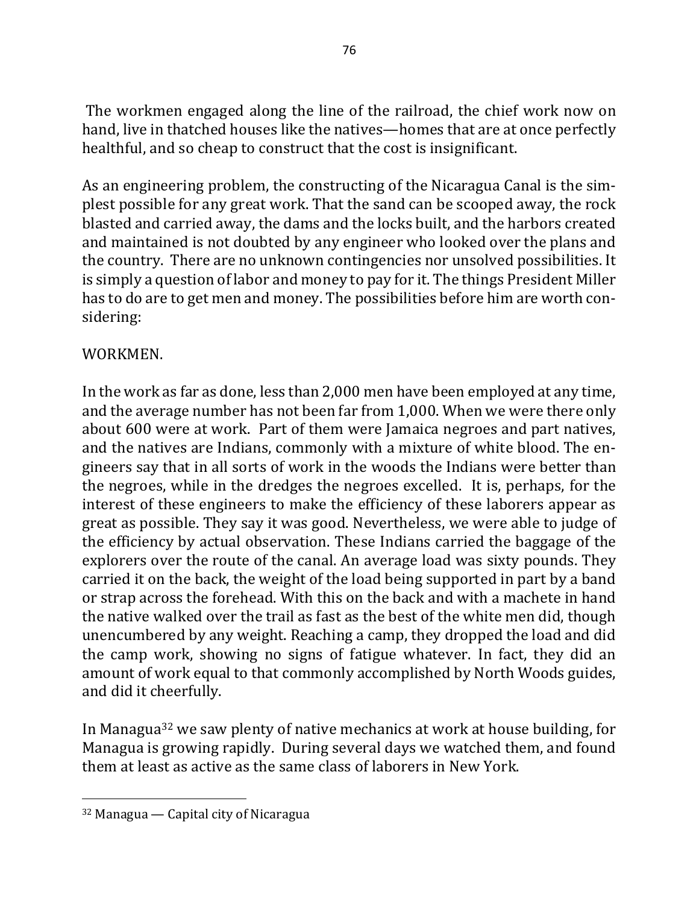The workmen engaged along the line of the railroad, the chief work now on hand, live in thatched houses like the natives—homes that are at once perfectly healthful, and so cheap to construct that the cost is insignificant.

As an engineering problem, the constructing of the Nicaragua Canal is the simplest possible for any great work. That the sand can be scooped away, the rock blasted and carried away, the dams and the locks built, and the harbors created and maintained is not doubted by any engineer who looked over the plans and the country. There are no unknown contingencies nor unsolved possibilities. It is simply a question of labor and money to pay for it. The things President Miller has to do are to get men and money. The possibilities before him are worth considering:

## WORKMEN.

In the work as far as done, less than 2,000 men have been employed at any time, and the average number has not been far from 1,000. When we were there only about 600 were at work. Part of them were Jamaica negroes and part natives, and the natives are Indians, commonly with a mixture of white blood. The engineers say that in all sorts of work in the woods the Indians were better than the negroes, while in the dredges the negroes excelled. It is, perhaps, for the interest of these engineers to make the efficiency of these laborers appear as great as possible. They say it was good. Nevertheless, we were able to judge of the efficiency by actual observation. These Indians carried the baggage of the explorers over the route of the canal. An average load was sixty pounds. They carried it on the back, the weight of the load being supported in part by a band or strap across the forehead. With this on the back and with a machete in hand the native walked over the trail as fast as the best of the white men did, though unencumbered by any weight. Reaching a camp, they dropped the load and did the camp work, showing no signs of fatigue whatever. In fact, they did an amount of work equal to that commonly accomplished by North Woods guides, and did it cheerfully.

In Managua<sup>32</sup> we saw plenty of native mechanics at work at house building, for Managua is growing rapidly. During several days we watched them, and found them at least as active as the same class of laborers in New York.

 $32$  Managua — Capital city of Nicaragua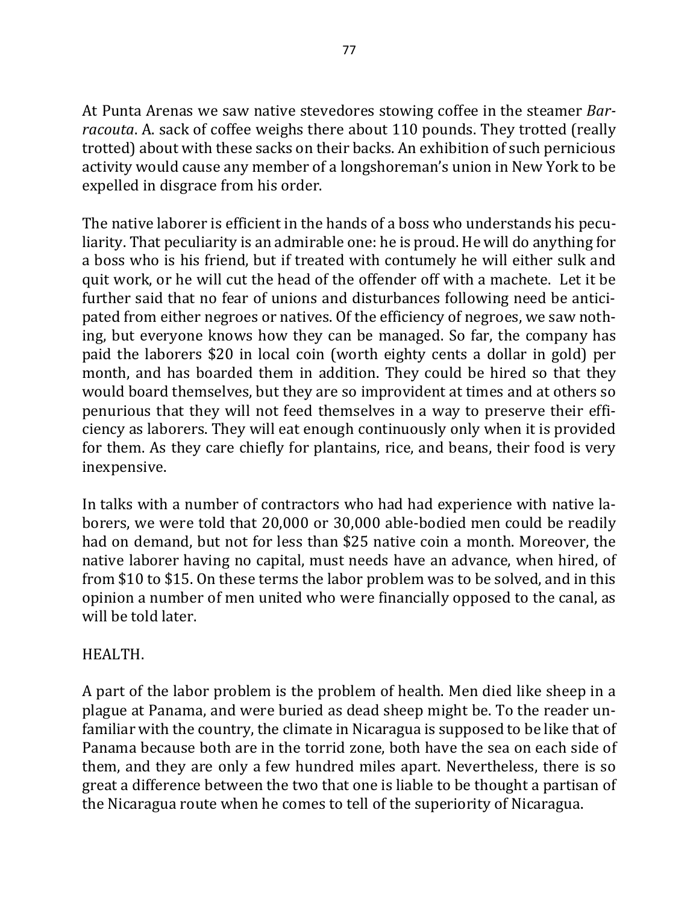At Punta Arenas we saw native stevedores stowing coffee in the steamer *Barracouta*. A. sack of coffee weighs there about 110 pounds. They trotted (really trotted) about with these sacks on their backs. An exhibition of such pernicious activity would cause any member of a longshoreman's union in New York to be expelled in disgrace from his order.

The native laborer is efficient in the hands of a boss who understands his peculiarity. That peculiarity is an admirable one: he is proud. He will do anything for a boss who is his friend, but if treated with contumely he will either sulk and quit work, or he will cut the head of the offender off with a machete. Let it be further said that no fear of unions and disturbances following need be anticipated from either negroes or natives. Of the efficiency of negroes, we saw nothing, but everyone knows how they can be managed. So far, the company has paid the laborers \$20 in local coin (worth eighty cents a dollar in gold) per month, and has boarded them in addition. They could be hired so that they would board themselves, but they are so improvident at times and at others so penurious that they will not feed themselves in a way to preserve their efficiency as laborers. They will eat enough continuously only when it is provided for them. As they care chiefly for plantains, rice, and beans, their food is very inexpensive.

In talks with a number of contractors who had had experience with native laborers, we were told that 20,000 or 30,000 able-bodied men could be readily had on demand, but not for less than \$25 native coin a month. Moreover, the native laborer having no capital, must needs have an advance, when hired, of from \$10 to \$15. On these terms the labor problem was to be solved, and in this opinion a number of men united who were financially opposed to the canal, as will be told later.

### HEALTH.

A part of the labor problem is the problem of health. Men died like sheep in a plague at Panama, and were buried as dead sheep might be. To the reader unfamiliar with the country, the climate in Nicaragua is supposed to be like that of Panama because both are in the torrid zone, both have the sea on each side of them, and they are only a few hundred miles apart. Nevertheless, there is so great a difference between the two that one is liable to be thought a partisan of the Nicaragua route when he comes to tell of the superiority of Nicaragua.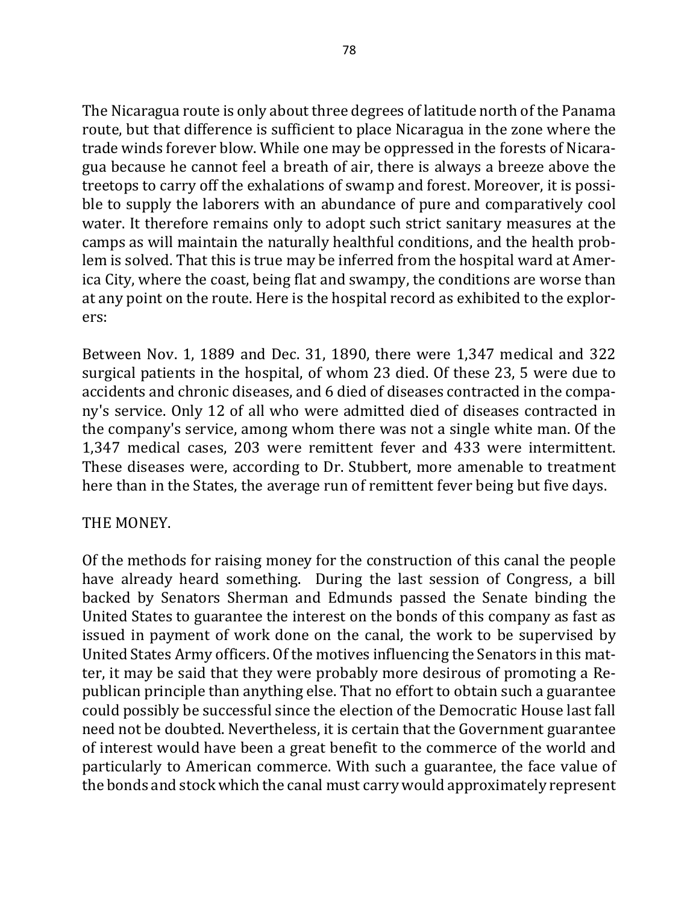The Nicaragua route is only about three degrees of latitude north of the Panama route, but that difference is sufficient to place Nicaragua in the zone where the trade winds forever blow. While one may be oppressed in the forests of Nicaragua because he cannot feel a breath of air, there is always a breeze above the treetops to carry off the exhalations of swamp and forest. Moreover, it is possible to supply the laborers with an abundance of pure and comparatively cool water. It therefore remains only to adopt such strict sanitary measures at the camps as will maintain the naturally healthful conditions, and the health problem is solved. That this is true may be inferred from the hospital ward at America City, where the coast, being flat and swampy, the conditions are worse than at any point on the route. Here is the hospital record as exhibited to the explorers:

Between Nov. 1, 1889 and Dec. 31, 1890, there were 1,347 medical and 322 surgical patients in the hospital, of whom 23 died. Of these 23, 5 were due to accidents and chronic diseases, and 6 died of diseases contracted in the company's service. Only 12 of all who were admitted died of diseases contracted in the company's service, among whom there was not a single white man. Of the 1,347 medical cases, 203 were remittent fever and 433 were intermittent. These diseases were, according to Dr. Stubbert, more amenable to treatment here than in the States, the average run of remittent fever being but five days.

## THE MONEY.

Of the methods for raising money for the construction of this canal the people have already heard something. During the last session of Congress, a bill backed by Senators Sherman and Edmunds passed the Senate binding the United States to guarantee the interest on the bonds of this company as fast as issued in payment of work done on the canal, the work to be supervised by United States Army officers. Of the motives influencing the Senators in this matter, it may be said that they were probably more desirous of promoting a Republican principle than anything else. That no effort to obtain such a guarantee could possibly be successful since the election of the Democratic House last fall need not be doubted. Nevertheless, it is certain that the Government guarantee of interest would have been a great benefit to the commerce of the world and particularly to American commerce. With such a guarantee, the face value of the bonds and stock which the canal must carry would approximately represent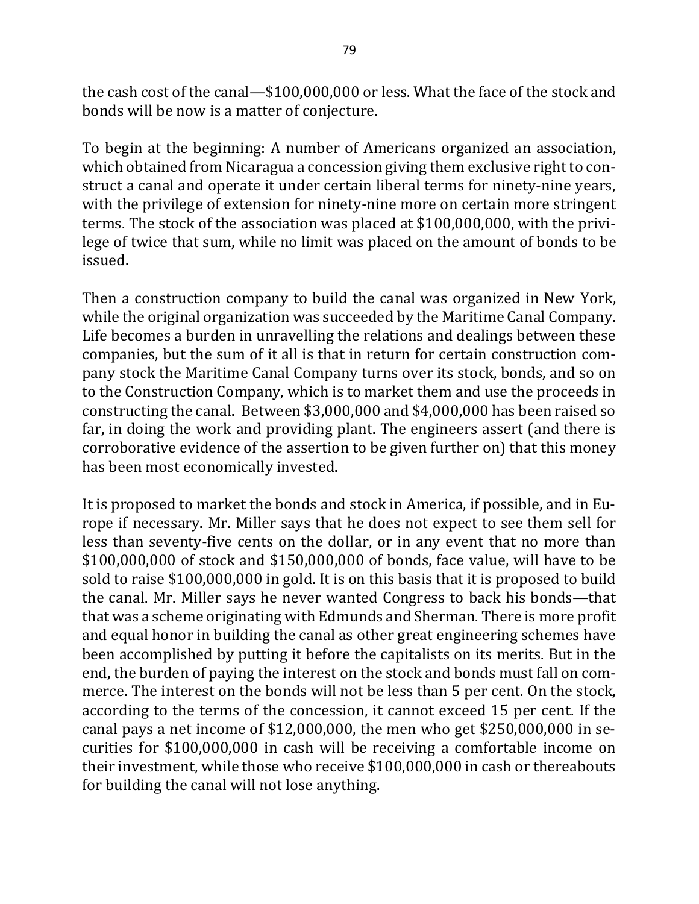the cash cost of the canal— $$100,000,000$  or less. What the face of the stock and bonds will be now is a matter of conjecture.

To begin at the beginning: A number of Americans organized an association, which obtained from Nicaragua a concession giving them exclusive right to construct a canal and operate it under certain liberal terms for ninety-nine years, with the privilege of extension for ninety-nine more on certain more stringent terms. The stock of the association was placed at  $$100,000,000$ , with the privilege of twice that sum, while no limit was placed on the amount of bonds to be issued.

Then a construction company to build the canal was organized in New York, while the original organization was succeeded by the Maritime Canal Company. Life becomes a burden in unravelling the relations and dealings between these companies, but the sum of it all is that in return for certain construction company stock the Maritime Canal Company turns over its stock, bonds, and so on to the Construction Company, which is to market them and use the proceeds in constructing the canal. Between  $$3,000,000$  and  $$4,000,000$  has been raised so far, in doing the work and providing plant. The engineers assert (and there is corroborative evidence of the assertion to be given further on) that this money has been most economically invested.

It is proposed to market the bonds and stock in America, if possible, and in Europe if necessary. Mr. Miller says that he does not expect to see them sell for less than seventy-five cents on the dollar, or in any event that no more than  $$100,000,000$  of stock and  $$150,000,000$  of bonds, face value, will have to be sold to raise \$100,000,000 in gold. It is on this basis that it is proposed to build the canal. Mr. Miller says he never wanted Congress to back his bonds—that that was a scheme originating with Edmunds and Sherman. There is more profit and equal honor in building the canal as other great engineering schemes have been accomplished by putting it before the capitalists on its merits. But in the end, the burden of paying the interest on the stock and bonds must fall on commerce. The interest on the bonds will not be less than 5 per cent. On the stock, according to the terms of the concession, it cannot exceed 15 per cent. If the canal pays a net income of  $$12,000,000$ , the men who get  $$250,000,000$  in securities for \$100,000,000 in cash will be receiving a comfortable income on their investment, while those who receive \$100,000,000 in cash or thereabouts for building the canal will not lose anything.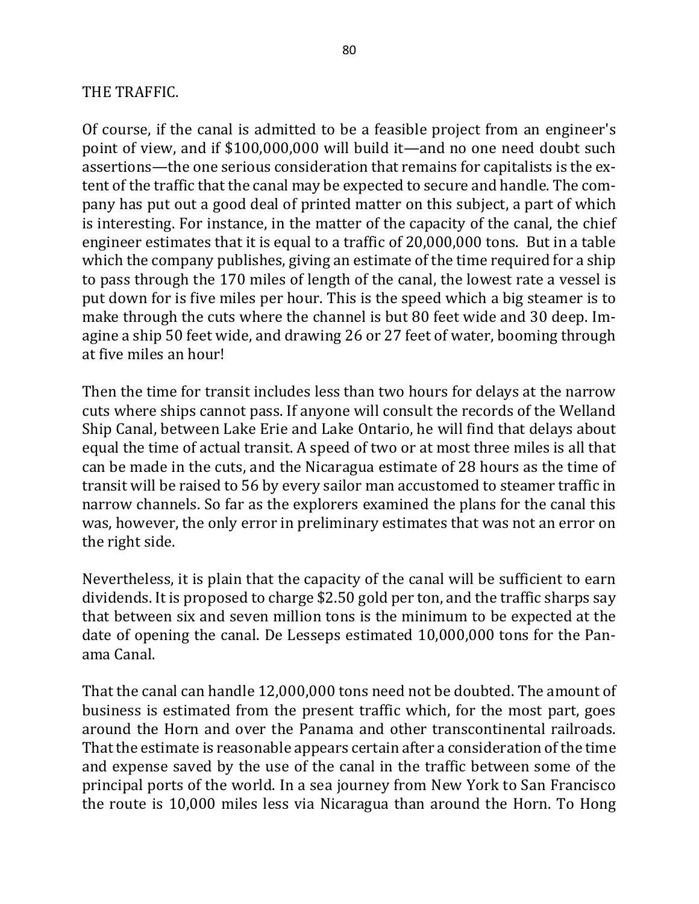### THE TRAFFIC.

Of course, if the canal is admitted to be a feasible project from an engineer's point of view, and if \$100,000,000 will build it—and no one need doubt such assertions—the one serious consideration that remains for capitalists is the extent of the traffic that the canal may be expected to secure and handle. The company has put out a good deal of printed matter on this subject, a part of which is interesting. For instance, in the matter of the capacity of the canal, the chief engineer estimates that it is equal to a traffic of  $20,000,000$  tons. But in a table which the company publishes, giving an estimate of the time required for a ship to pass through the 170 miles of length of the canal, the lowest rate a vessel is put down for is five miles per hour. This is the speed which a big steamer is to make through the cuts where the channel is but 80 feet wide and 30 deep. Imagine a ship 50 feet wide, and drawing 26 or 27 feet of water, booming through at five miles an hour!

Then the time for transit includes less than two hours for delays at the narrow cuts where ships cannot pass. If anyone will consult the records of the Welland Ship Canal, between Lake Erie and Lake Ontario, he will find that delays about equal the time of actual transit. A speed of two or at most three miles is all that can be made in the cuts, and the Nicaragua estimate of 28 hours as the time of transit will be raised to 56 by every sailor man accustomed to steamer traffic in narrow channels. So far as the explorers examined the plans for the canal this was, however, the only error in preliminary estimates that was not an error on the right side.

Nevertheless, it is plain that the capacity of the canal will be sufficient to earn dividends. It is proposed to charge \$2.50 gold per ton, and the traffic sharps say that between six and seven million tons is the minimum to be expected at the date of opening the canal. De Lesseps estimated 10,000,000 tons for the Panama Canal.

That the canal can handle 12,000,000 tons need not be doubted. The amount of business is estimated from the present traffic which, for the most part, goes around the Horn and over the Panama and other transcontinental railroads. That the estimate is reasonable appears certain after a consideration of the time and expense saved by the use of the canal in the traffic between some of the principal ports of the world. In a sea journey from New York to San Francisco the route is 10,000 miles less via Nicaragua than around the Horn. To Hong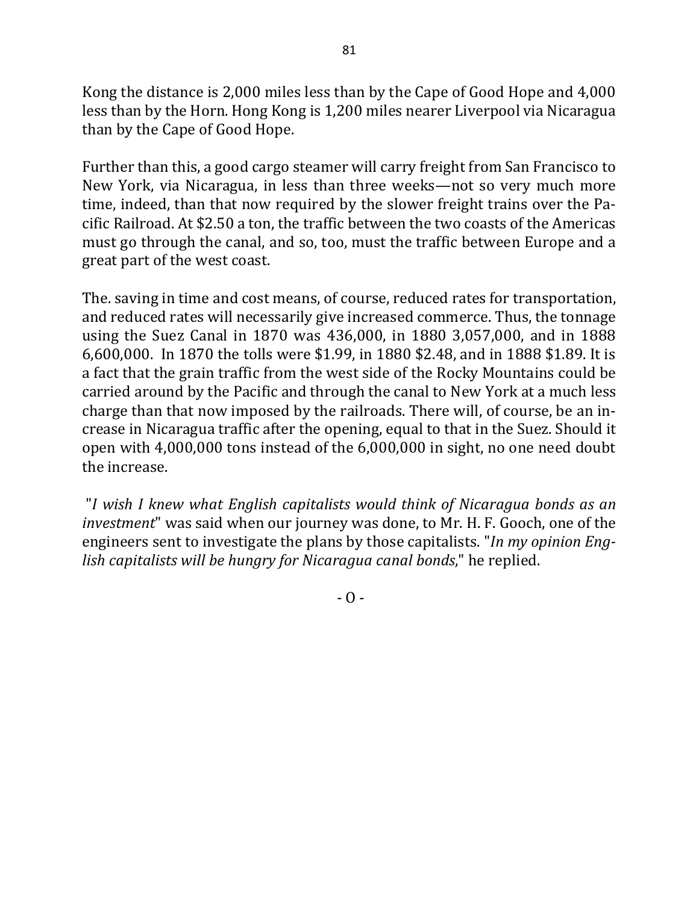Kong the distance is 2,000 miles less than by the Cape of Good Hope and 4,000 less than by the Horn. Hong Kong is 1,200 miles nearer Liverpool via Nicaragua than by the Cape of Good Hope.

Further than this, a good cargo steamer will carry freight from San Francisco to New York, via Nicaragua, in less than three weeks—not so very much more time, indeed, than that now required by the slower freight trains over the Pacific Railroad. At \$2.50 a ton, the traffic between the two coasts of the Americas must go through the canal, and so, too, must the traffic between Europe and a great part of the west coast.

The, saving in time and cost means, of course, reduced rates for transportation, and reduced rates will necessarily give increased commerce. Thus, the tonnage using the Suez Canal in 1870 was 436,000, in 1880 3,057,000, and in 1888 6,600,000. In 1870 the tolls were \$1.99, in 1880 \$2.48, and in 1888 \$1.89. It is a fact that the grain traffic from the west side of the Rocky Mountains could be carried around by the Pacific and through the canal to New York at a much less charge than that now imposed by the railroads. There will, of course, be an increase in Nicaragua traffic after the opening, equal to that in the Suez. Should it open with  $4,000,000$  tons instead of the  $6,000,000$  in sight, no one need doubt the increase.

"*I wish I knew what English capitalists would think of Nicaragua bonds as an investment*" was said when our journey was done, to Mr. H. F. Gooch, one of the engineers sent to investigate the plans by those capitalists. "*In my opinion English capitalists will be hungry for Nicaragua canal bonds*," he replied.

 $- 0 -$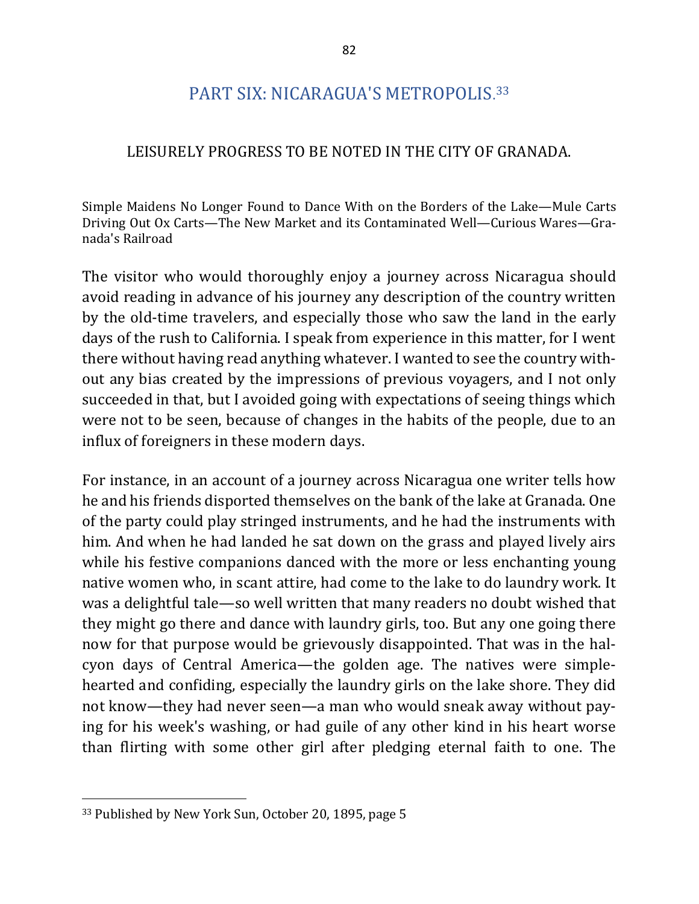# PART SIX: NICARAGUA'S METROPOLIS. 33

#### LEISURELY PROGRESS TO BE NOTED IN THE CITY OF GRANADA.

Simple Maidens No Longer Found to Dance With on the Borders of the Lake-Mule Carts Driving Out Ox Carts—The New Market and its Contaminated Well—Curious Wares—Granada's Railroad

The visitor who would thoroughly enjoy a journey across Nicaragua should avoid reading in advance of his journey any description of the country written by the old-time travelers, and especially those who saw the land in the early days of the rush to California. I speak from experience in this matter, for I went there without having read anything whatever. I wanted to see the country without any bias created by the impressions of previous voyagers, and I not only succeeded in that, but I avoided going with expectations of seeing things which were not to be seen, because of changes in the habits of the people, due to an influx of foreigners in these modern days.

For instance, in an account of a journey across Nicaragua one writer tells how he and his friends disported themselves on the bank of the lake at Granada. One of the party could play stringed instruments, and he had the instruments with him. And when he had landed he sat down on the grass and played lively airs while his festive companions danced with the more or less enchanting young native women who, in scant attire, had come to the lake to do laundry work. It was a delightful tale—so well written that many readers no doubt wished that they might go there and dance with laundry girls, too. But any one going there now for that purpose would be grievously disappointed. That was in the halcyon days of Central America—the golden age. The natives were simplehearted and confiding, especially the laundry girls on the lake shore. They did not know—they had never seen—a man who would sneak away without paying for his week's washing, or had guile of any other kind in his heart worse than flirting with some other girl after pledging eternal faith to one. The

<sup>&</sup>lt;sup>33</sup> Published by New York Sun, October 20, 1895, page 5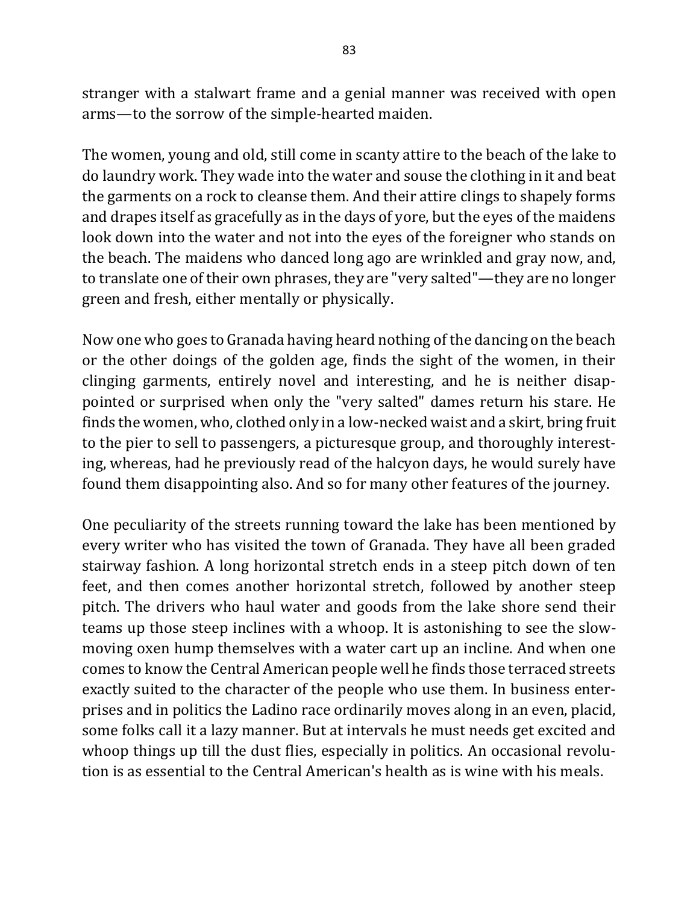stranger with a stalwart frame and a genial manner was received with open arms—to the sorrow of the simple-hearted maiden.

The women, young and old, still come in scanty attire to the beach of the lake to do laundry work. They wade into the water and souse the clothing in it and beat the garments on a rock to cleanse them. And their attire clings to shapely forms and drapes itself as gracefully as in the days of yore, but the eyes of the maidens look down into the water and not into the eyes of the foreigner who stands on the beach. The maidens who danced long ago are wrinkled and gray now, and, to translate one of their own phrases, they are "very salted"—they are no longer green and fresh, either mentally or physically.

Now one who goes to Granada having heard nothing of the dancing on the beach or the other doings of the golden age, finds the sight of the women, in their clinging garments, entirely novel and interesting, and he is neither disappointed or surprised when only the "very salted" dames return his stare. He finds the women, who, clothed only in a low-necked waist and a skirt, bring fruit to the pier to sell to passengers, a picturesque group, and thoroughly interesting, whereas, had he previously read of the halcyon days, he would surely have found them disappointing also. And so for many other features of the journey.

One peculiarity of the streets running toward the lake has been mentioned by every writer who has visited the town of Granada. They have all been graded stairway fashion. A long horizontal stretch ends in a steep pitch down of ten feet, and then comes another horizontal stretch, followed by another steep pitch. The drivers who haul water and goods from the lake shore send their teams up those steep inclines with a whoop. It is astonishing to see the slowmoving oxen hump themselves with a water cart up an incline. And when one comes to know the Central American people well he finds those terraced streets exactly suited to the character of the people who use them. In business enterprises and in politics the Ladino race ordinarily moves along in an even, placid, some folks call it a lazy manner. But at intervals he must needs get excited and whoop things up till the dust flies, especially in politics. An occasional revolution is as essential to the Central American's health as is wine with his meals.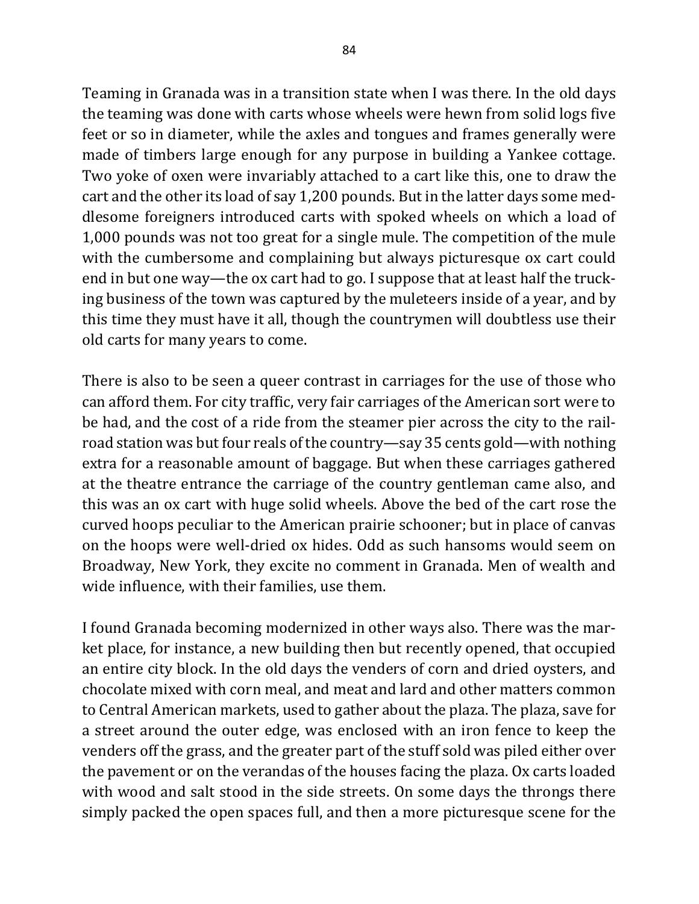Teaming in Granada was in a transition state when I was there. In the old days the teaming was done with carts whose wheels were hewn from solid logs five feet or so in diameter, while the axles and tongues and frames generally were made of timbers large enough for any purpose in building a Yankee cottage. Two yoke of oxen were invariably attached to a cart like this, one to draw the cart and the other its load of say 1,200 pounds. But in the latter days some meddlesome foreigners introduced carts with spoked wheels on which a load of 1,000 pounds was not too great for a single mule. The competition of the mule with the cumbersome and complaining but always picturesque ox cart could end in but one way—the ox cart had to go. I suppose that at least half the trucking business of the town was captured by the muleteers inside of a year, and by this time they must have it all, though the countrymen will doubtless use their old carts for many years to come.

There is also to be seen a queer contrast in carriages for the use of those who can afford them. For city traffic, very fair carriages of the American sort were to be had, and the cost of a ride from the steamer pier across the city to the railroad station was but four reals of the country—say 35 cents gold—with nothing extra for a reasonable amount of baggage. But when these carriages gathered at the theatre entrance the carriage of the country gentleman came also, and this was an ox cart with huge solid wheels. Above the bed of the cart rose the curved hoops peculiar to the American prairie schooner; but in place of canvas on the hoops were well-dried ox hides. Odd as such hansoms would seem on Broadway, New York, they excite no comment in Granada. Men of wealth and wide influence, with their families, use them.

I found Granada becoming modernized in other ways also. There was the market place, for instance, a new building then but recently opened, that occupied an entire city block. In the old days the venders of corn and dried oysters, and chocolate mixed with corn meal, and meat and lard and other matters common to Central American markets, used to gather about the plaza. The plaza, save for a street around the outer edge, was enclosed with an iron fence to keep the venders off the grass, and the greater part of the stuff sold was piled either over the pavement or on the verandas of the houses facing the plaza. Ox carts loaded with wood and salt stood in the side streets. On some days the throngs there simply packed the open spaces full, and then a more picturesque scene for the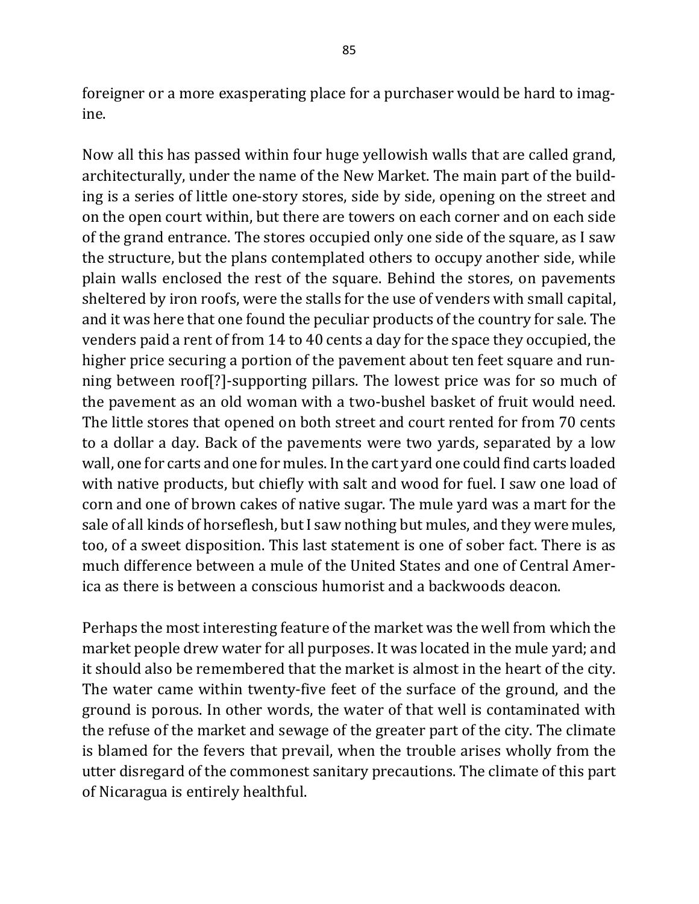foreigner or a more exasperating place for a purchaser would be hard to imagine.

Now all this has passed within four huge yellowish walls that are called grand, architecturally, under the name of the New Market. The main part of the building is a series of little one-story stores, side by side, opening on the street and on the open court within, but there are towers on each corner and on each side of the grand entrance. The stores occupied only one side of the square, as I saw the structure, but the plans contemplated others to occupy another side, while plain walls enclosed the rest of the square. Behind the stores, on pavements sheltered by iron roofs, were the stalls for the use of venders with small capital, and it was here that one found the peculiar products of the country for sale. The venders paid a rent of from 14 to 40 cents a day for the space they occupied, the higher price securing a portion of the pavement about ten feet square and running between roof[?]-supporting pillars. The lowest price was for so much of the pavement as an old woman with a two-bushel basket of fruit would need. The little stores that opened on both street and court rented for from 70 cents to a dollar a day. Back of the pavements were two yards, separated by a low wall, one for carts and one for mules. In the cart yard one could find carts loaded with native products, but chiefly with salt and wood for fuel. I saw one load of corn and one of brown cakes of native sugar. The mule yard was a mart for the sale of all kinds of horseflesh, but I saw nothing but mules, and they were mules, too, of a sweet disposition. This last statement is one of sober fact. There is as much difference between a mule of the United States and one of Central America as there is between a conscious humorist and a backwoods deacon.

Perhaps the most interesting feature of the market was the well from which the market people drew water for all purposes. It was located in the mule yard; and it should also be remembered that the market is almost in the heart of the city. The water came within twenty-five feet of the surface of the ground, and the ground is porous. In other words, the water of that well is contaminated with the refuse of the market and sewage of the greater part of the city. The climate is blamed for the fevers that prevail, when the trouble arises wholly from the utter disregard of the commonest sanitary precautions. The climate of this part of Nicaragua is entirely healthful.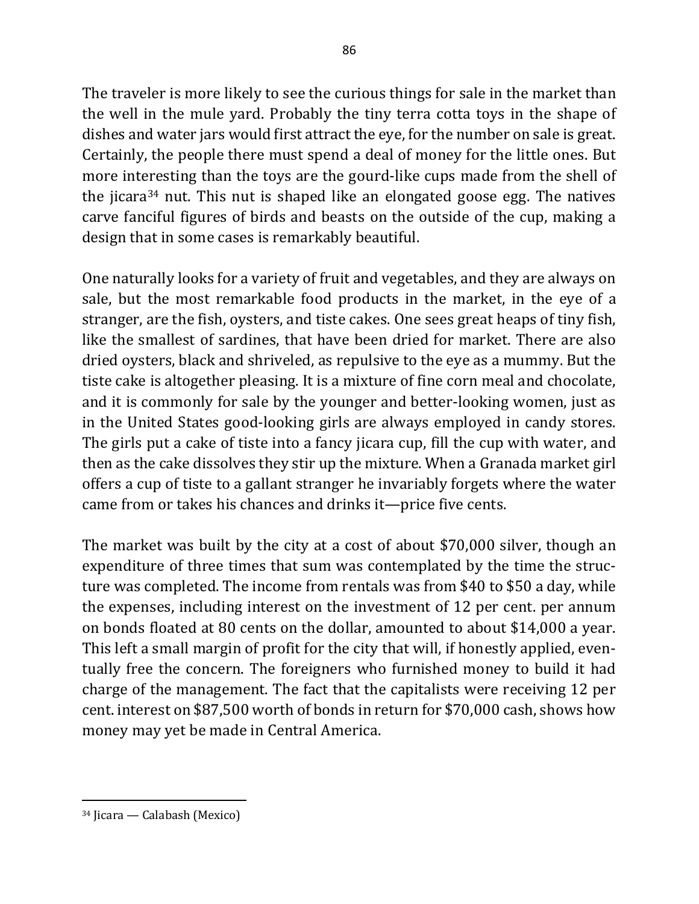The traveler is more likely to see the curious things for sale in the market than the well in the mule yard. Probably the tiny terra cotta toys in the shape of dishes and water jars would first attract the eye, for the number on sale is great. Certainly, the people there must spend a deal of money for the little ones. But more interesting than the toys are the gourd-like cups made from the shell of the jicara<sup>34</sup> nut. This nut is shaped like an elongated goose egg. The natives carve fanciful figures of birds and beasts on the outside of the cup, making a design that in some cases is remarkably beautiful.

One naturally looks for a variety of fruit and vegetables, and they are always on sale, but the most remarkable food products in the market, in the eye of a stranger, are the fish, oysters, and tiste cakes. One sees great heaps of tiny fish, like the smallest of sardines, that have been dried for market. There are also dried oysters, black and shriveled, as repulsive to the eye as a mummy. But the tiste cake is altogether pleasing. It is a mixture of fine corn meal and chocolate, and it is commonly for sale by the younger and better-looking women, just as in the United States good-looking girls are always employed in candy stores. The girls put a cake of tiste into a fancy jicara cup, fill the cup with water, and then as the cake dissolves they stir up the mixture. When a Granada market girl offers a cup of tiste to a gallant stranger he invariably forgets where the water came from or takes his chances and drinks it—price five cents.

The market was built by the city at a cost of about \$70,000 silver, though an expenditure of three times that sum was contemplated by the time the structure was completed. The income from rentals was from \$40 to \$50 a day, while the expenses, including interest on the investment of 12 per cent. per annum on bonds floated at 80 cents on the dollar, amounted to about \$14,000 a year. This left a small margin of profit for the city that will, if honestly applied, eventually free the concern. The foreigners who furnished money to build it had charge of the management. The fact that the capitalists were receiving 12 per cent. interest on \$87,500 worth of bonds in return for \$70,000 cash, shows how money may yet be made in Central America.

 $34$  Jicara — Calabash (Mexico)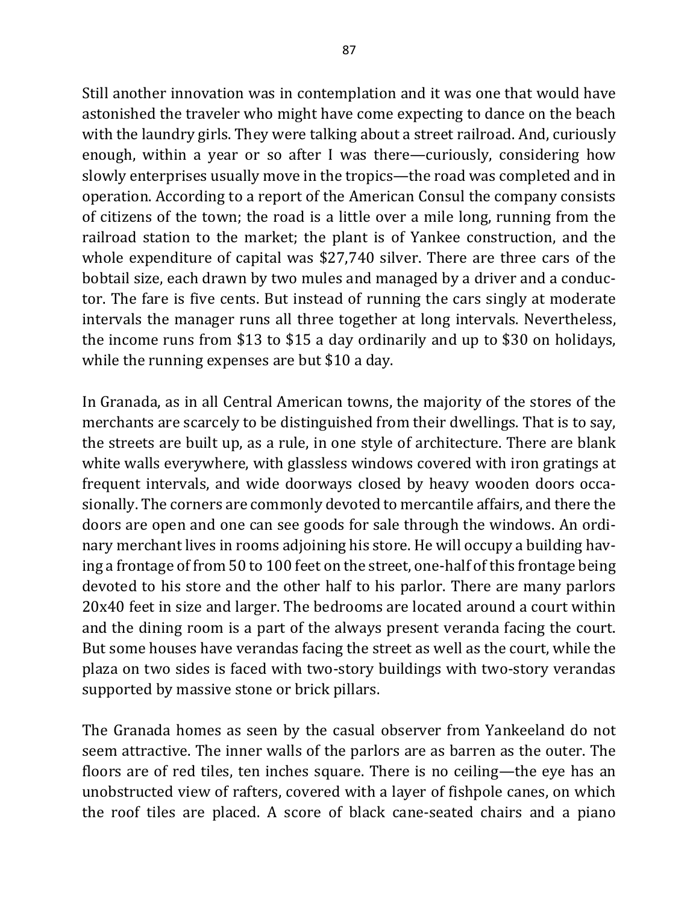Still another innovation was in contemplation and it was one that would have astonished the traveler who might have come expecting to dance on the beach with the laundry girls. They were talking about a street railroad. And, curiously enough, within a year or so after I was there—curiously, considering how slowly enterprises usually move in the tropics—the road was completed and in operation. According to a report of the American Consul the company consists of citizens of the town; the road is a little over a mile long, running from the railroad station to the market; the plant is of Yankee construction, and the whole expenditure of capital was \$27,740 silver. There are three cars of the bobtail size, each drawn by two mules and managed by a driver and a conductor. The fare is five cents. But instead of running the cars singly at moderate intervals the manager runs all three together at long intervals. Nevertheless, the income runs from \$13 to \$15 a day ordinarily and up to \$30 on holidays, while the running expenses are but  $$10$  a day.

In Granada, as in all Central American towns, the majority of the stores of the merchants are scarcely to be distinguished from their dwellings. That is to say, the streets are built up, as a rule, in one style of architecture. There are blank white walls everywhere, with glassless windows covered with iron gratings at frequent intervals, and wide doorways closed by heavy wooden doors occasionally. The corners are commonly devoted to mercantile affairs, and there the doors are open and one can see goods for sale through the windows. An ordinary merchant lives in rooms adjoining his store. He will occupy a building having a frontage of from 50 to 100 feet on the street, one-half of this frontage being devoted to his store and the other half to his parlor. There are many parlors 20x40 feet in size and larger. The bedrooms are located around a court within and the dining room is a part of the always present veranda facing the court. But some houses have verandas facing the street as well as the court, while the plaza on two sides is faced with two-story buildings with two-story verandas supported by massive stone or brick pillars.

The Granada homes as seen by the casual observer from Yankeeland do not seem attractive. The inner walls of the parlors are as barren as the outer. The floors are of red tiles, ten inches square. There is no ceiling—the eye has an unobstructed view of rafters, covered with a layer of fishpole canes, on which the roof tiles are placed. A score of black cane-seated chairs and a piano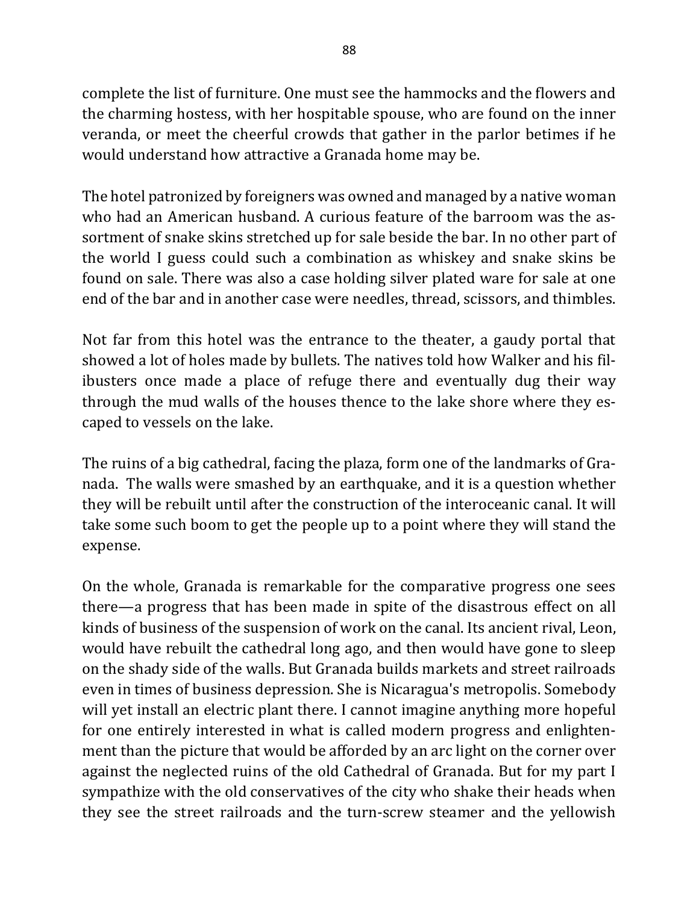complete the list of furniture. One must see the hammocks and the flowers and the charming hostess, with her hospitable spouse, who are found on the inner veranda, or meet the cheerful crowds that gather in the parlor betimes if he would understand how attractive a Granada home may be.

The hotel patronized by foreigners was owned and managed by a native woman who had an American husband. A curious feature of the barroom was the assortment of snake skins stretched up for sale beside the bar. In no other part of the world I guess could such a combination as whiskey and snake skins be found on sale. There was also a case holding silver plated ware for sale at one end of the bar and in another case were needles, thread, scissors, and thimbles.

Not far from this hotel was the entrance to the theater, a gaudy portal that showed a lot of holes made by bullets. The natives told how Walker and his filibusters once made a place of refuge there and eventually dug their way through the mud walls of the houses thence to the lake shore where they escaped to vessels on the lake.

The ruins of a big cathedral, facing the plaza, form one of the landmarks of Granada. The walls were smashed by an earthquake, and it is a question whether they will be rebuilt until after the construction of the interoceanic canal. It will take some such boom to get the people up to a point where they will stand the expense.

On the whole, Granada is remarkable for the comparative progress one sees there—a progress that has been made in spite of the disastrous effect on all kinds of business of the suspension of work on the canal. Its ancient rival, Leon, would have rebuilt the cathedral long ago, and then would have gone to sleep on the shady side of the walls. But Granada builds markets and street railroads even in times of business depression. She is Nicaragua's metropolis. Somebody will yet install an electric plant there. I cannot imagine anything more hopeful for one entirely interested in what is called modern progress and enlightenment than the picture that would be afforded by an arc light on the corner over against the neglected ruins of the old Cathedral of Granada. But for my part I sympathize with the old conservatives of the city who shake their heads when they see the street railroads and the turn-screw steamer and the yellowish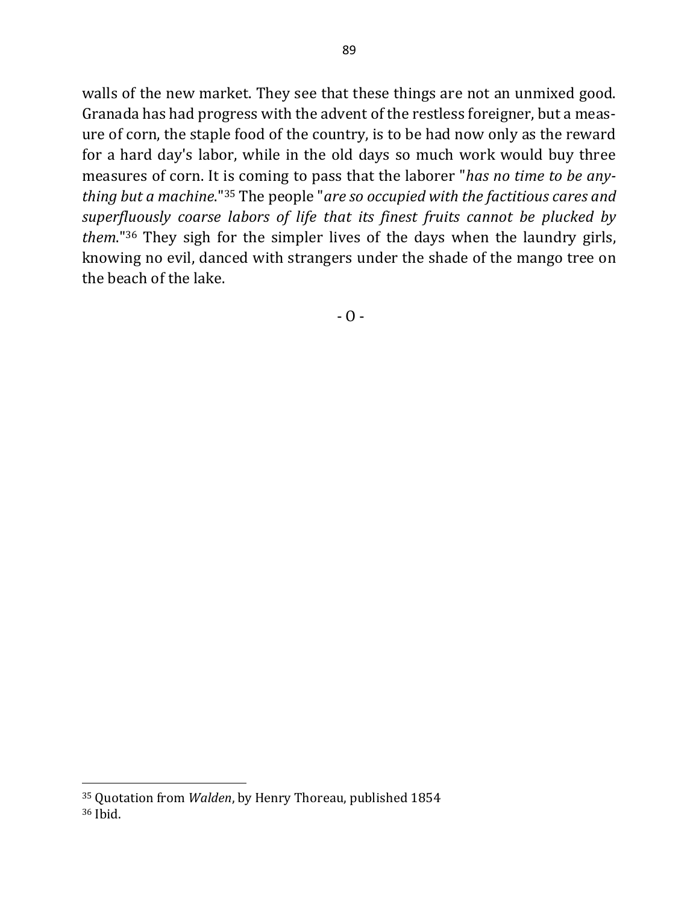walls of the new market. They see that these things are not an unmixed good. Granada has had progress with the advent of the restless foreigner, but a measure of corn, the staple food of the country, is to be had now only as the reward for a hard day's labor, while in the old days so much work would buy three measures of corn. It is coming to pass that the laborer "*has no time to be anything but a machine*."<sup>35</sup> The people "*are so occupied with the factitious cares and* superfluously coarse labors of life that its finest fruits cannot be plucked by *them*."<sup>36</sup> They sigh for the simpler lives of the days when the laundry girls, knowing no evil, danced with strangers under the shade of the mango tree on the beach of the lake.

 $- 0 -$ 

<sup>&</sup>lt;sup>35</sup> Quotation from *Walden*, by Henry Thoreau, published 1854 <sup>36</sup> Ibid.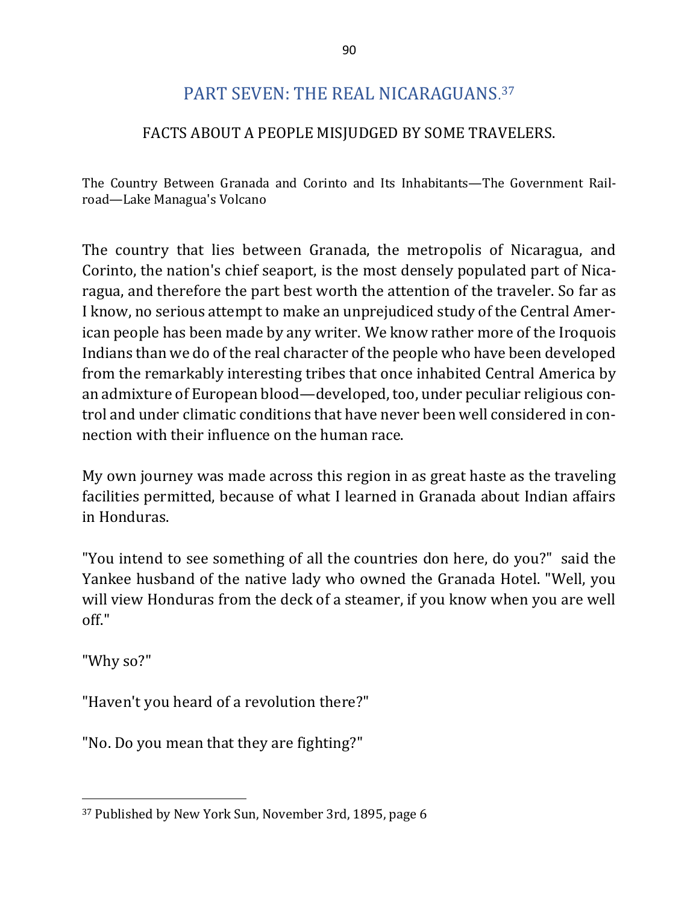# PART SEVEN: THE REAL NICARAGUANS. 37

## FACTS ABOUT A PEOPLE MISJUDGED BY SOME TRAVELERS.

The Country Between Granada and Corinto and Its Inhabitants—The Government Railroad—Lake Managua's Volcano

The country that lies between Granada, the metropolis of Nicaragua, and Corinto, the nation's chief seaport, is the most densely populated part of Nicaragua, and therefore the part best worth the attention of the traveler. So far as I know, no serious attempt to make an unprejudiced study of the Central American people has been made by any writer. We know rather more of the Iroquois Indians than we do of the real character of the people who have been developed from the remarkably interesting tribes that once inhabited Central America by an admixture of European blood—developed, too, under peculiar religious control and under climatic conditions that have never been well considered in connection with their influence on the human race.

My own journey was made across this region in as great haste as the traveling facilities permitted, because of what I learned in Granada about Indian affairs in Honduras.

"You intend to see something of all the countries don here, do you?" said the Yankee husband of the native lady who owned the Granada Hotel. "Well, you will view Honduras from the deck of a steamer, if you know when you are well off."

"Why so?"

 $\overline{a}$ 

"Haven't you heard of a revolution there?"

"No. Do you mean that they are fighting?"

<sup>&</sup>lt;sup>37</sup> Published by New York Sun, November 3rd, 1895, page 6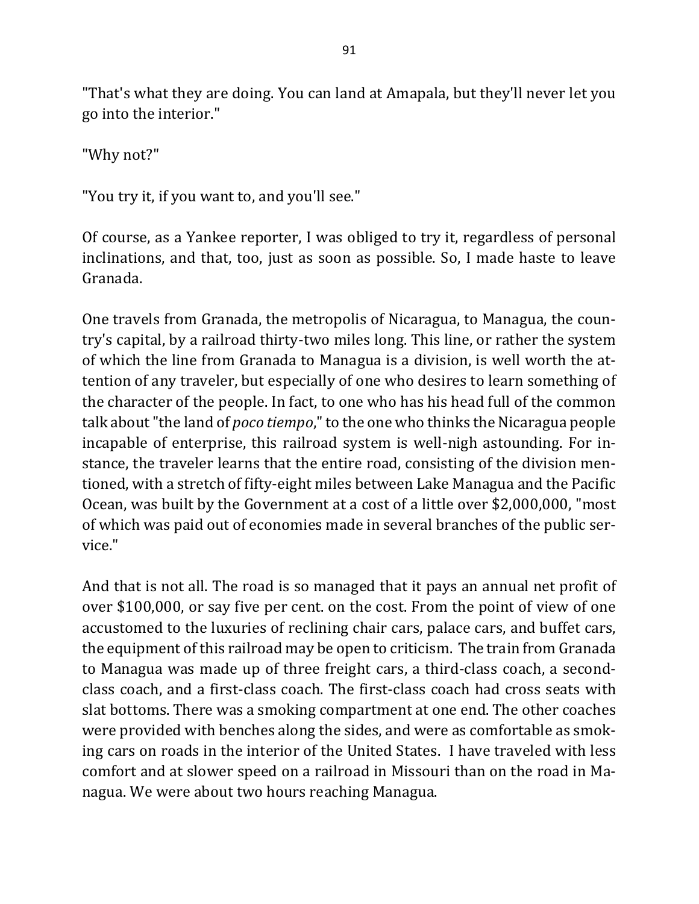"That's what they are doing. You can land at Amapala, but they'll never let you go into the interior."

"Why not?"

"You try it, if you want to, and you'll see."

Of course, as a Yankee reporter, I was obliged to try it, regardless of personal inclinations, and that, too, just as soon as possible. So, I made haste to leave Granada.

One travels from Granada, the metropolis of Nicaragua, to Managua, the country's capital, by a railroad thirty-two miles long. This line, or rather the system of which the line from Granada to Managua is a division, is well worth the attention of any traveler, but especially of one who desires to learn something of the character of the people. In fact, to one who has his head full of the common talk about "the land of *poco tiempo*," to the one who thinks the Nicaragua people incapable of enterprise, this railroad system is well-nigh astounding. For instance, the traveler learns that the entire road, consisting of the division mentioned, with a stretch of fifty-eight miles between Lake Managua and the Pacific Ocean, was built by the Government at a cost of a little over \$2,000,000, "most of which was paid out of economies made in several branches of the public service."

And that is not all. The road is so managed that it pays an annual net profit of over \$100,000, or say five per cent. on the cost. From the point of view of one accustomed to the luxuries of reclining chair cars, palace cars, and buffet cars, the equipment of this railroad may be open to criticism. The train from Granada to Managua was made up of three freight cars, a third-class coach, a secondclass coach, and a first-class coach. The first-class coach had cross seats with slat bottoms. There was a smoking compartment at one end. The other coaches were provided with benches along the sides, and were as comfortable as smoking cars on roads in the interior of the United States. I have traveled with less comfort and at slower speed on a railroad in Missouri than on the road in Managua. We were about two hours reaching Managua.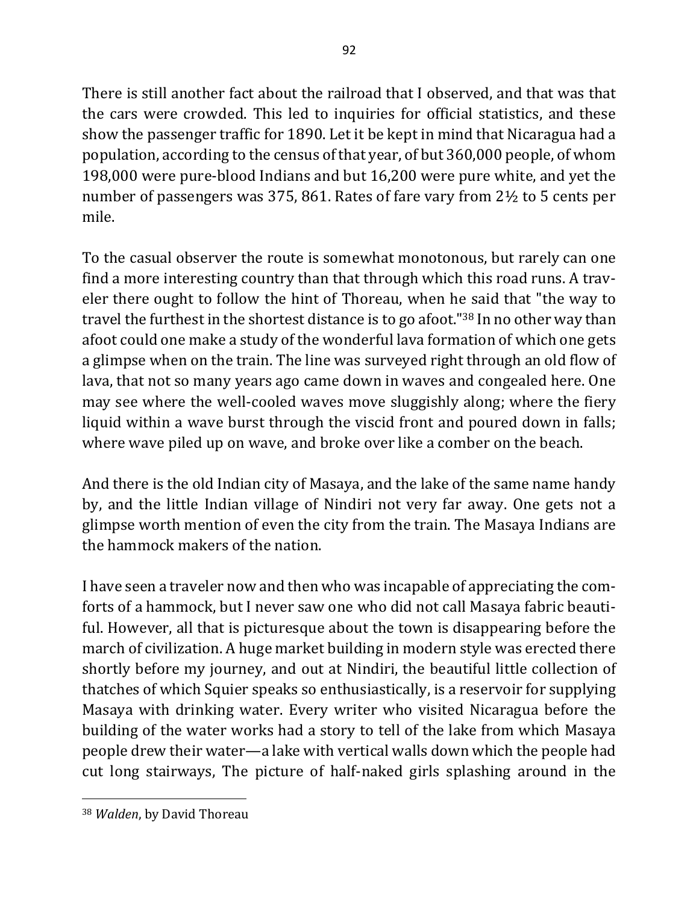There is still another fact about the railroad that I observed, and that was that the cars were crowded. This led to inquiries for official statistics, and these show the passenger traffic for 1890. Let it be kept in mind that Nicaragua had a

population, according to the census of that year, of but 360,000 people, of whom 198,000 were pure-blood Indians and but 16,200 were pure white, and yet the number of passengers was 375, 861. Rates of fare vary from  $2\frac{1}{2}$  to 5 cents per mile.

To the casual observer the route is somewhat monotonous, but rarely can one find a more interesting country than that through which this road runs. A traveler there ought to follow the hint of Thoreau, when he said that "the way to travel the furthest in the shortest distance is to go afoot." $38$  In no other way than afoot could one make a study of the wonderful lava formation of which one gets a glimpse when on the train. The line was surveyed right through an old flow of lava, that not so many years ago came down in waves and congealed here. One may see where the well-cooled waves move sluggishly along; where the fiery liquid within a wave burst through the viscid front and poured down in falls; where wave piled up on wave, and broke over like a comber on the beach.

And there is the old Indian city of Masaya, and the lake of the same name handy by, and the little Indian village of Nindiri not very far away. One gets not a glimpse worth mention of even the city from the train. The Masaya Indians are the hammock makers of the nation.

I have seen a traveler now and then who was incapable of appreciating the comforts of a hammock, but I never saw one who did not call Masaya fabric beautiful. However, all that is picturesque about the town is disappearing before the march of civilization. A huge market building in modern style was erected there shortly before my journey, and out at Nindiri, the beautiful little collection of thatches of which Squier speaks so enthusiastically, is a reservoir for supplying Masaya with drinking water. Every writer who visited Nicaragua before the building of the water works had a story to tell of the lake from which Masaya people drew their water—a lake with vertical walls down which the people had cut long stairways, The picture of half-naked girls splashing around in the

<sup>&</sup>lt;sup>38</sup> *Walden*, by David Thoreau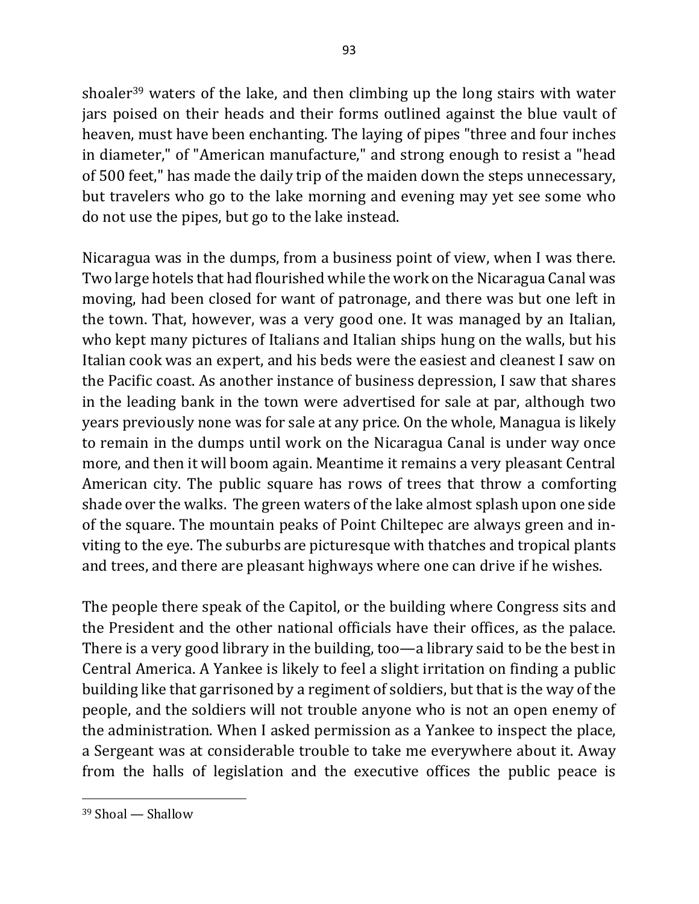shoaler<sup>39</sup> waters of the lake, and then climbing up the long stairs with water jars poised on their heads and their forms outlined against the blue vault of heaven, must have been enchanting. The laying of pipes "three and four inches" in diameter," of "American manufacture," and strong enough to resist a "head of 500 feet," has made the daily trip of the maiden down the steps unnecessary, but travelers who go to the lake morning and evening may yet see some who do not use the pipes, but go to the lake instead.

Nicaragua was in the dumps, from a business point of view, when I was there. Two large hotels that had flourished while the work on the Nicaragua Canal was moving, had been closed for want of patronage, and there was but one left in the town. That, however, was a very good one. It was managed by an Italian, who kept many pictures of Italians and Italian ships hung on the walls, but his Italian cook was an expert, and his beds were the easiest and cleanest I saw on the Pacific coast. As another instance of business depression, I saw that shares in the leading bank in the town were advertised for sale at par, although two years previously none was for sale at any price. On the whole, Managua is likely to remain in the dumps until work on the Nicaragua Canal is under way once more, and then it will boom again. Meantime it remains a very pleasant Central American city. The public square has rows of trees that throw a comforting shade over the walks. The green waters of the lake almost splash upon one side of the square. The mountain peaks of Point Chiltepec are always green and inviting to the eye. The suburbs are picturesque with thatches and tropical plants and trees, and there are pleasant highways where one can drive if he wishes.

The people there speak of the Capitol, or the building where Congress sits and the President and the other national officials have their offices, as the palace. There is a very good library in the building, too—a library said to be the best in Central America. A Yankee is likely to feel a slight irritation on finding a public building like that garrisoned by a regiment of soldiers, but that is the way of the people, and the soldiers will not trouble anyone who is not an open enemy of the administration. When I asked permission as a Yankee to inspect the place, a Sergeant was at considerable trouble to take me everywhere about it. Away from the halls of legislation and the executive offices the public peace is

 $39$  Shoal  $-$  Shallow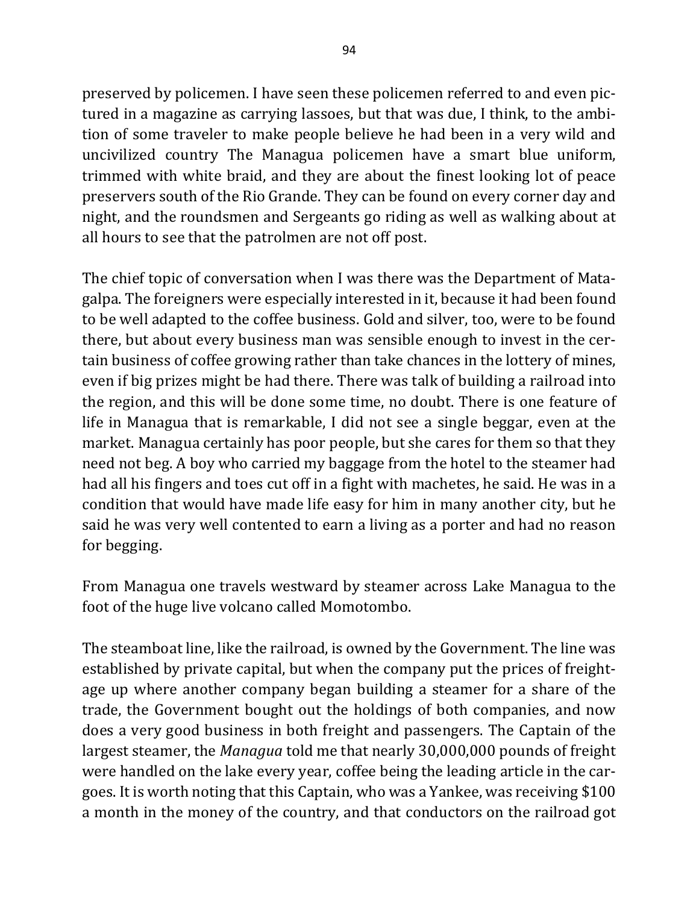preserved by policemen. I have seen these policemen referred to and even pictured in a magazine as carrying lassoes, but that was due, I think, to the ambition of some traveler to make people believe he had been in a very wild and uncivilized country The Managua policemen have a smart blue uniform, trimmed with white braid, and they are about the finest looking lot of peace preservers south of the Rio Grande. They can be found on every corner day and night, and the roundsmen and Sergeants go riding as well as walking about at all hours to see that the patrolmen are not off post.

The chief topic of conversation when I was there was the Department of Matagalpa. The foreigners were especially interested in it, because it had been found to be well adapted to the coffee business. Gold and silver, too, were to be found there, but about every business man was sensible enough to invest in the certain business of coffee growing rather than take chances in the lottery of mines, even if big prizes might be had there. There was talk of building a railroad into the region, and this will be done some time, no doubt. There is one feature of life in Managua that is remarkable, I did not see a single beggar, even at the market. Managua certainly has poor people, but she cares for them so that they need not beg. A boy who carried my baggage from the hotel to the steamer had had all his fingers and toes cut off in a fight with machetes, he said. He was in a condition that would have made life easy for him in many another city, but he said he was very well contented to earn a living as a porter and had no reason for begging.

From Managua one travels westward by steamer across Lake Managua to the foot of the huge live volcano called Momotombo.

The steamboat line, like the railroad, is owned by the Government. The line was established by private capital, but when the company put the prices of freightage up where another company began building a steamer for a share of the trade, the Government bought out the holdings of both companies, and now does a very good business in both freight and passengers. The Captain of the largest steamer, the *Managua* told me that nearly 30,000,000 pounds of freight were handled on the lake every year, coffee being the leading article in the cargoes. It is worth noting that this Captain, who was a Yankee, was receiving \$100 a month in the money of the country, and that conductors on the railroad got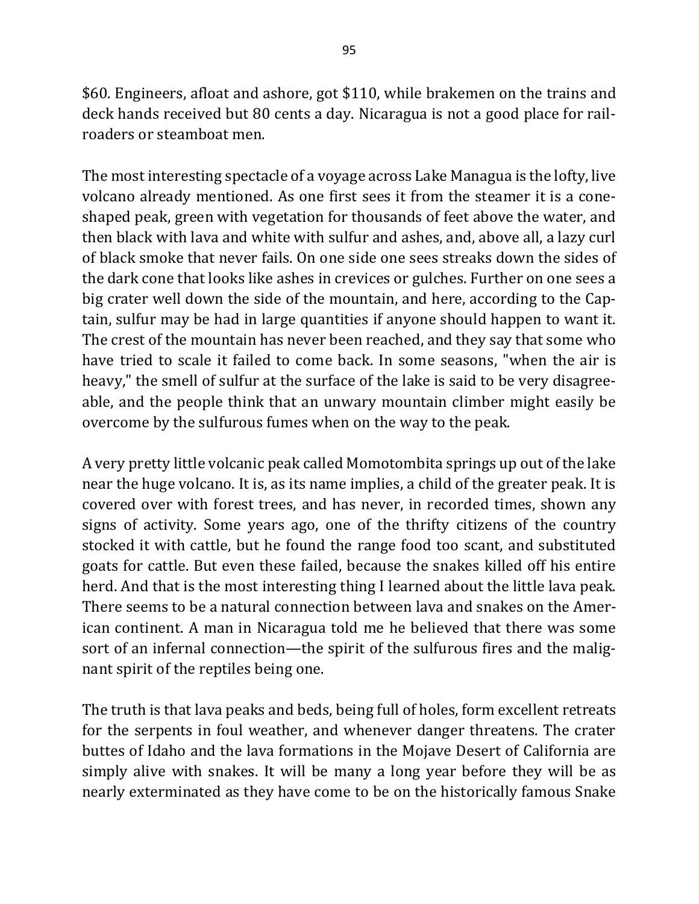\$60. Engineers, afloat and ashore, got \$110, while brakemen on the trains and deck hands received but 80 cents a day. Nicaragua is not a good place for railroaders or steamboat men.

The most interesting spectacle of a voyage across Lake Managua is the lofty, live volcano already mentioned. As one first sees it from the steamer it is a coneshaped peak, green with vegetation for thousands of feet above the water, and then black with lava and white with sulfur and ashes, and, above all, a lazy curl of black smoke that never fails. On one side one sees streaks down the sides of the dark cone that looks like ashes in crevices or gulches. Further on one sees a big crater well down the side of the mountain, and here, according to the Captain, sulfur may be had in large quantities if anyone should happen to want it. The crest of the mountain has never been reached, and they say that some who have tried to scale it failed to come back. In some seasons, "when the air is heavy," the smell of sulfur at the surface of the lake is said to be very disagreeable, and the people think that an unwary mountain climber might easily be overcome by the sulfurous fumes when on the way to the peak.

A very pretty little volcanic peak called Momotombita springs up out of the lake near the huge volcano. It is, as its name implies, a child of the greater peak. It is covered over with forest trees, and has never, in recorded times, shown any signs of activity. Some years ago, one of the thrifty citizens of the country stocked it with cattle, but he found the range food too scant, and substituted goats for cattle. But even these failed, because the snakes killed off his entire herd. And that is the most interesting thing I learned about the little lava peak. There seems to be a natural connection between lava and snakes on the American continent. A man in Nicaragua told me he believed that there was some sort of an infernal connection—the spirit of the sulfurous fires and the malignant spirit of the reptiles being one.

The truth is that lava peaks and beds, being full of holes, form excellent retreats for the serpents in foul weather, and whenever danger threatens. The crater buttes of Idaho and the lava formations in the Mojave Desert of California are simply alive with snakes. It will be many a long year before they will be as nearly exterminated as they have come to be on the historically famous Snake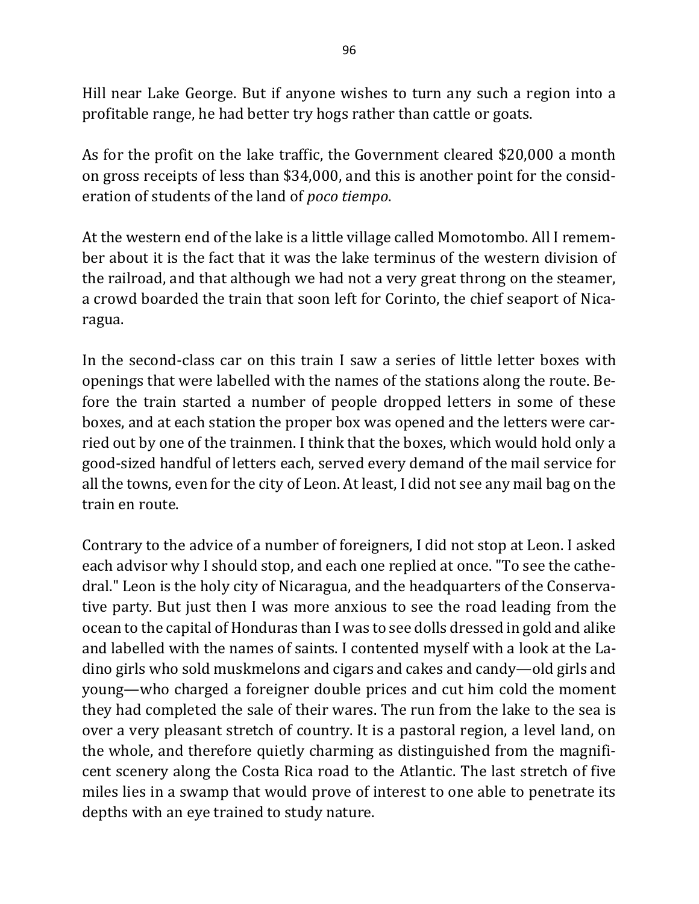Hill near Lake George. But if anyone wishes to turn any such a region into a profitable range, he had better try hogs rather than cattle or goats.

As for the profit on the lake traffic, the Government cleared \$20,000 a month on gross receipts of less than \$34,000, and this is another point for the consideration of students of the land of *poco tiempo*.

At the western end of the lake is a little village called Momotombo. All I remember about it is the fact that it was the lake terminus of the western division of the railroad, and that although we had not a very great throng on the steamer, a crowd boarded the train that soon left for Corinto, the chief seaport of Nicaragua.

In the second-class car on this train I saw a series of little letter boxes with openings that were labelled with the names of the stations along the route. Before the train started a number of people dropped letters in some of these boxes, and at each station the proper box was opened and the letters were carried out by one of the trainmen. I think that the boxes, which would hold only a good-sized handful of letters each, served every demand of the mail service for all the towns, even for the city of Leon. At least, I did not see any mail bag on the train en route.

Contrary to the advice of a number of foreigners, I did not stop at Leon. I asked each advisor why I should stop, and each one replied at once. "To see the cathedral." Leon is the holy city of Nicaragua, and the headquarters of the Conservative party. But just then I was more anxious to see the road leading from the ocean to the capital of Honduras than I was to see dolls dressed in gold and alike and labelled with the names of saints. I contented myself with a look at the Ladino girls who sold muskmelons and cigars and cakes and candy—old girls and young—who charged a foreigner double prices and cut him cold the moment they had completed the sale of their wares. The run from the lake to the sea is over a very pleasant stretch of country. It is a pastoral region, a level land, on the whole, and therefore quietly charming as distinguished from the magnificent scenery along the Costa Rica road to the Atlantic. The last stretch of five miles lies in a swamp that would prove of interest to one able to penetrate its depths with an eye trained to study nature.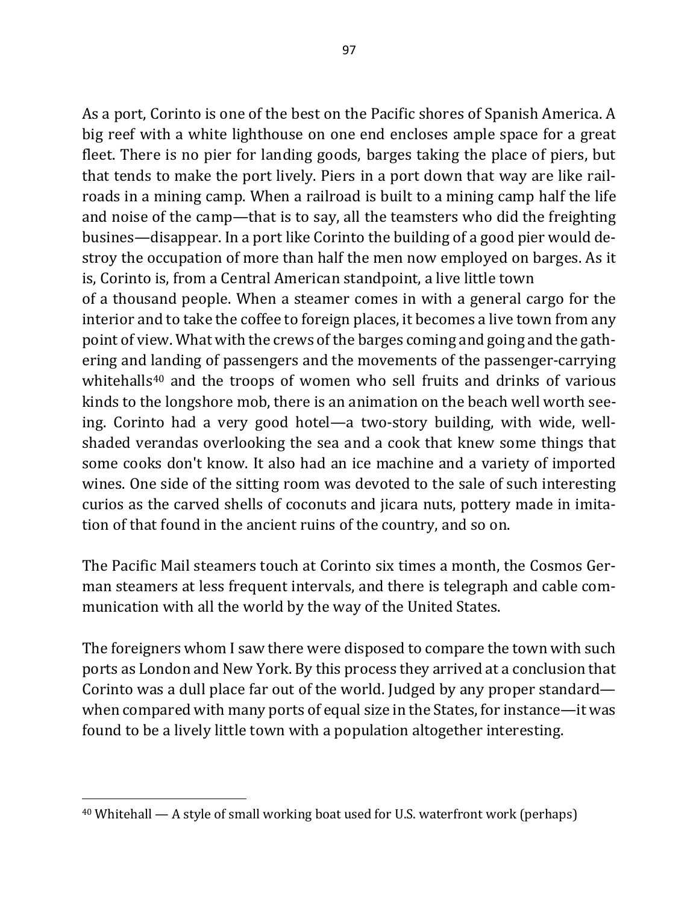As a port, Corinto is one of the best on the Pacific shores of Spanish America. A big reef with a white lighthouse on one end encloses ample space for a great fleet. There is no pier for landing goods, barges taking the place of piers, but that tends to make the port lively. Piers in a port down that way are like railroads in a mining camp. When a railroad is built to a mining camp half the life and noise of the camp—that is to say, all the teamsters who did the freighting busines—disappear. In a port like Corinto the building of a good pier would destroy the occupation of more than half the men now employed on barges. As it is, Corinto is, from a Central American standpoint, a live little town

of a thousand people. When a steamer comes in with a general cargo for the interior and to take the coffee to foreign places, it becomes a live town from any point of view. What with the crews of the barges coming and going and the gathering and landing of passengers and the movements of the passenger-carrying whitehalls<sup>40</sup> and the troops of women who sell fruits and drinks of various kinds to the longshore mob, there is an animation on the beach well worth seeing. Corinto had a very good hotel—a two-story building, with wide, wellshaded verandas overlooking the sea and a cook that knew some things that some cooks don't know. It also had an ice machine and a variety of imported wines. One side of the sitting room was devoted to the sale of such interesting curios as the carved shells of coconuts and jicara nuts, pottery made in imitation of that found in the ancient ruins of the country, and so on.

The Pacific Mail steamers touch at Corinto six times a month, the Cosmos German steamers at less frequent intervals, and there is telegraph and cable communication with all the world by the way of the United States.

The foreigners whom I saw there were disposed to compare the town with such ports as London and New York. By this process they arrived at a conclusion that Corinto was a dull place far out of the world. Judged by any proper standard when compared with many ports of equal size in the States, for instance—it was found to be a lively little town with a population altogether interesting.

 $40$  Whitehall — A style of small working boat used for U.S. waterfront work (perhaps)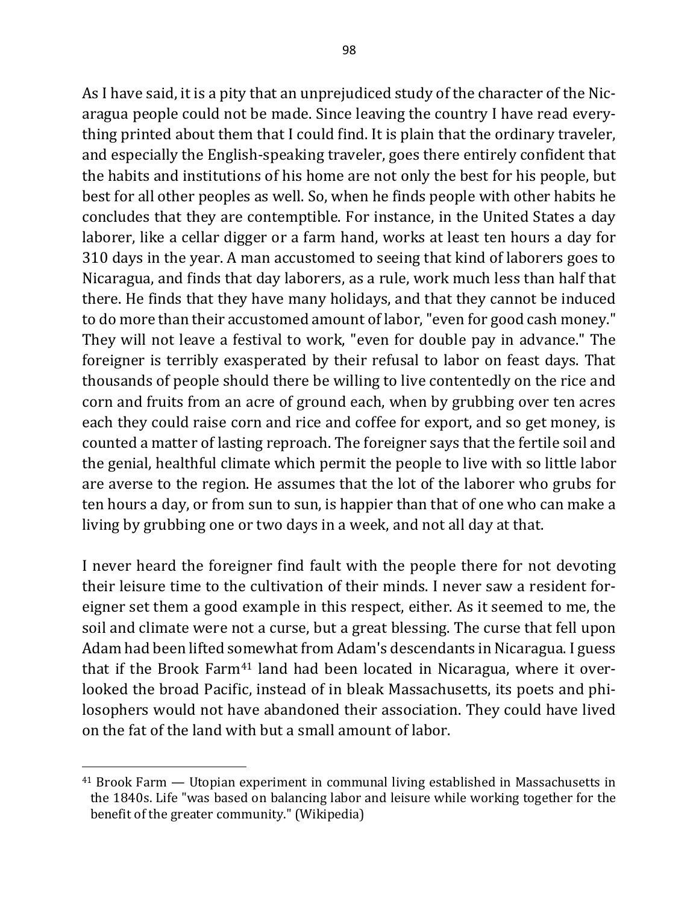As I have said, it is a pity that an unprejudiced study of the character of the Nicaragua people could not be made. Since leaving the country I have read everything printed about them that I could find. It is plain that the ordinary traveler, and especially the English-speaking traveler, goes there entirely confident that the habits and institutions of his home are not only the best for his people, but best for all other peoples as well. So, when he finds people with other habits he concludes that they are contemptible. For instance, in the United States a day laborer, like a cellar digger or a farm hand, works at least ten hours a day for 310 days in the year. A man accustomed to seeing that kind of laborers goes to Nicaragua, and finds that day laborers, as a rule, work much less than half that there. He finds that they have many holidays, and that they cannot be induced to do more than their accustomed amount of labor, "even for good cash money." They will not leave a festival to work, "even for double pay in advance." The foreigner is terribly exasperated by their refusal to labor on feast days. That thousands of people should there be willing to live contentedly on the rice and corn and fruits from an acre of ground each, when by grubbing over ten acres each they could raise corn and rice and coffee for export, and so get money, is counted a matter of lasting reproach. The foreigner says that the fertile soil and the genial, healthful climate which permit the people to live with so little labor are averse to the region. He assumes that the lot of the laborer who grubs for ten hours a day, or from sun to sun, is happier than that of one who can make a living by grubbing one or two days in a week, and not all day at that.

I never heard the foreigner find fault with the people there for not devoting their leisure time to the cultivation of their minds. I never saw a resident foreigner set them a good example in this respect, either. As it seemed to me, the soil and climate were not a curse, but a great blessing. The curse that fell upon Adam had been lifted somewhat from Adam's descendants in Nicaragua. I guess that if the Brook Farm<sup>41</sup> land had been located in Nicaragua, where it overlooked the broad Pacific, instead of in bleak Massachusetts, its poets and philosophers would not have abandoned their association. They could have lived on the fat of the land with but a small amount of labor.

 $41$  Brook Farm — Utopian experiment in communal living established in Massachusetts in the 1840s. Life "was based on balancing labor and leisure while working together for the benefit of the greater community." (Wikipedia)